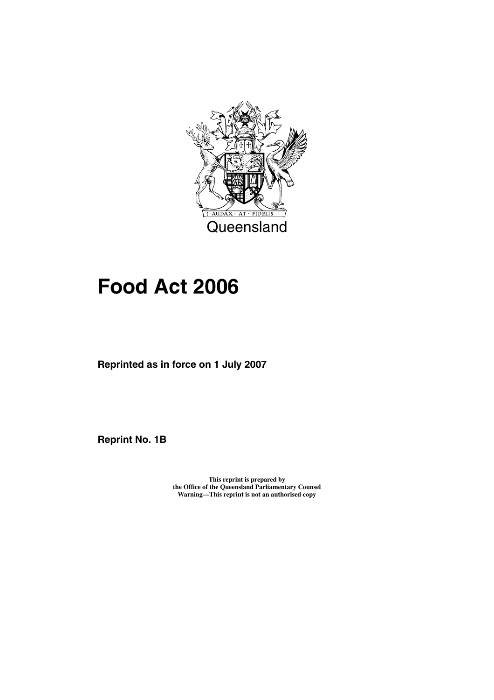

**Reprinted as in force on 1 July 2007**

**Reprint No. 1B**

**This reprint is prepared by the Office of the Queensland Parliamentary Counsel Warning—This reprint is not an authorised copy**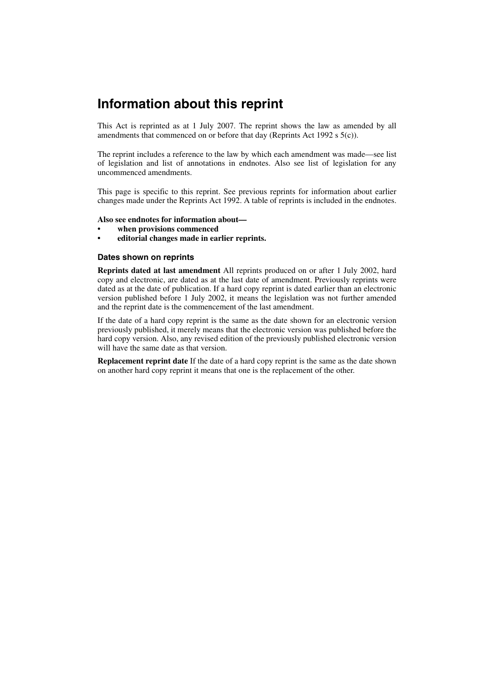# **Information about this reprint**

This Act is reprinted as at 1 July 2007. The reprint shows the law as amended by all amendments that commenced on or before that day (Reprints Act 1992 s 5(c)).

The reprint includes a reference to the law by which each amendment was made—see list of legislation and list of annotations in endnotes. Also see list of legislation for any uncommenced amendments.

This page is specific to this reprint. See previous reprints for information about earlier changes made under the Reprints Act 1992. A table of reprints is included in the endnotes.

#### **Also see endnotes for information about—**

- **when provisions commenced**
- **editorial changes made in earlier reprints.**

#### **Dates shown on reprints**

**Reprints dated at last amendment** All reprints produced on or after 1 July 2002, hard copy and electronic, are dated as at the last date of amendment. Previously reprints were dated as at the date of publication. If a hard copy reprint is dated earlier than an electronic version published before 1 July 2002, it means the legislation was not further amended and the reprint date is the commencement of the last amendment.

If the date of a hard copy reprint is the same as the date shown for an electronic version previously published, it merely means that the electronic version was published before the hard copy version. Also, any revised edition of the previously published electronic version will have the same date as that version.

**Replacement reprint date** If the date of a hard copy reprint is the same as the date shown on another hard copy reprint it means that one is the replacement of the other.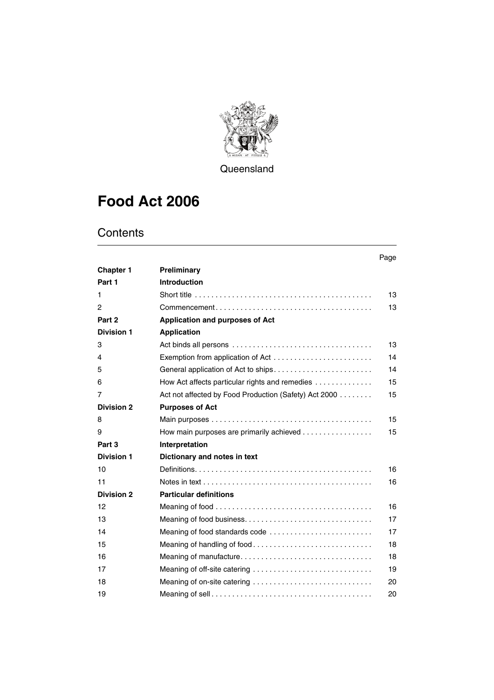

**Queensland** 

# **Food Act 2006**

# **Contents**

|                   |                                                                                            | Page |
|-------------------|--------------------------------------------------------------------------------------------|------|
| <b>Chapter 1</b>  | Preliminary                                                                                |      |
| Part 1            | <b>Introduction</b>                                                                        |      |
| 1                 |                                                                                            | 13   |
| 2                 | $Commonement \ldots \ldots \ldots \ldots \ldots \ldots \ldots \ldots \ldots \ldots \ldots$ | 13   |
| Part 2            | <b>Application and purposes of Act</b>                                                     |      |
| <b>Division 1</b> | <b>Application</b>                                                                         |      |
| 3                 |                                                                                            | 13   |
| 4                 |                                                                                            | 14   |
| 5                 | General application of Act to ships                                                        | 14   |
| 6                 | How Act affects particular rights and remedies                                             | 15   |
| 7                 | Act not affected by Food Production (Safety) Act 2000                                      | 15   |
| <b>Division 2</b> | <b>Purposes of Act</b>                                                                     |      |
| 8                 |                                                                                            | 15   |
| 9                 | How main purposes are primarily achieved $\ldots \ldots \ldots \ldots \ldots$              | 15   |
| Part 3            | Interpretation                                                                             |      |
| <b>Division 1</b> | Dictionary and notes in text                                                               |      |
| 10                |                                                                                            | 16   |
| 11                |                                                                                            | 16   |
| <b>Division 2</b> | <b>Particular definitions</b>                                                              |      |
| 12                |                                                                                            | 16   |
| 13                |                                                                                            | 17   |
| 14                | Meaning of food standards code                                                             | 17   |
| 15                |                                                                                            | 18   |
| 16                |                                                                                            | 18   |
| 17                |                                                                                            | 19   |
| 18                | Meaning of on-site catering                                                                | 20   |
| 19                |                                                                                            | 20   |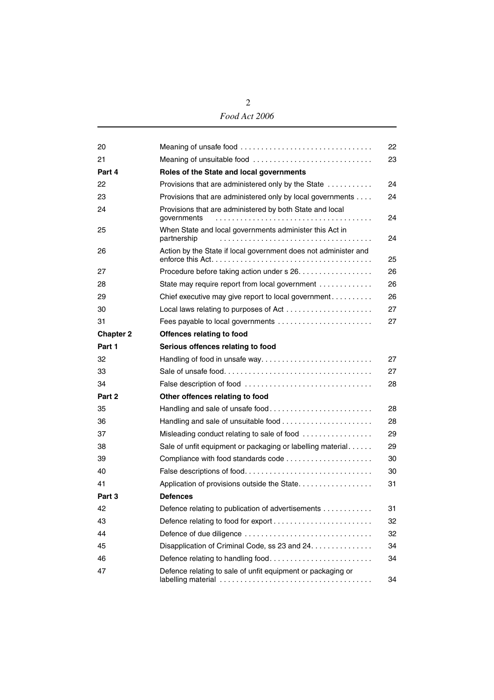| 20               |                                                                         | 22 |
|------------------|-------------------------------------------------------------------------|----|
| 21               | Meaning of unsuitable food                                              | 23 |
| Part 4           | Roles of the State and local governments                                |    |
| 22               | Provisions that are administered only by the State                      | 24 |
| 23               | Provisions that are administered only by local governments              | 24 |
| 24               | Provisions that are administered by both State and local<br>governments | 24 |
| 25               | When State and local governments administer this Act in<br>partnership  | 24 |
| 26               | Action by the State if local government does not administer and         | 25 |
| 27               | Procedure before taking action under s 26.                              | 26 |
| 28               | State may require report from local government                          | 26 |
| 29               | Chief executive may give report to local government                     | 26 |
| 30               |                                                                         | 27 |
| 31               | Fees payable to local governments                                       | 27 |
| <b>Chapter 2</b> | Offences relating to food                                               |    |
| Part 1           | Serious offences relating to food                                       |    |
| 32               | Handling of food in unsafe way                                          | 27 |
| 33               |                                                                         | 27 |
| 34               |                                                                         | 28 |
| Part 2           | Other offences relating to food                                         |    |
| 35               | Handling and sale of unsafe food                                        | 28 |
| 36               | Handling and sale of unsuitable food                                    | 28 |
| 37               | Misleading conduct relating to sale of food                             | 29 |
| 38               | Sale of unfit equipment or packaging or labelling material.             | 29 |
| 39               | Compliance with food standards code                                     | 30 |
| 40               |                                                                         | 30 |
| 41               | Application of provisions outside the State                             | 31 |
| Part 3           | <b>Defences</b>                                                         |    |
| 42               | Defence relating to publication of advertisements                       | 31 |
| 43               | Defence relating to food for export                                     | 32 |
| 44               | Defence of due diligence                                                | 32 |
| 45               | Disapplication of Criminal Code, ss 23 and 24.                          | 34 |
| 46               | Defence relating to handling food                                       | 34 |
| 47               | Defence relating to sale of unfit equipment or packaging or             | 34 |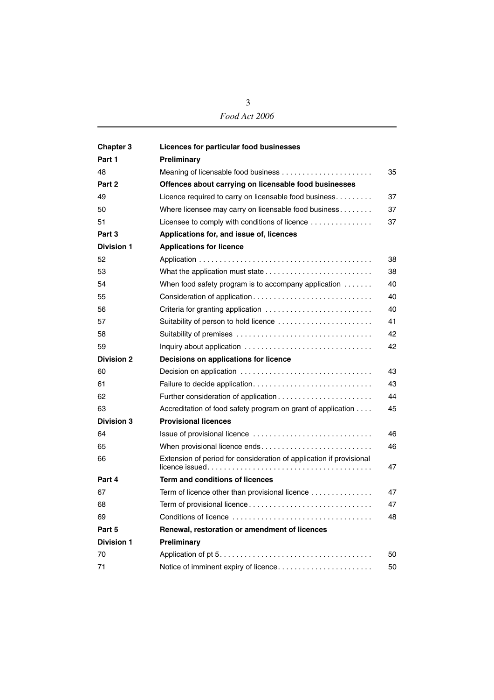| <b>Chapter 3</b>  | Licences for particular food businesses                                                          |    |
|-------------------|--------------------------------------------------------------------------------------------------|----|
| Part 1            | Preliminary                                                                                      |    |
| 48                | Meaning of licensable food business                                                              | 35 |
| Part 2            | Offences about carrying on licensable food businesses                                            |    |
| 49                | Licence required to carry on licensable food business                                            | 37 |
| 50                | Where licensee may carry on licensable food business                                             | 37 |
| 51                | Licensee to comply with conditions of licence                                                    | 37 |
| Part 3            | Applications for, and issue of, licences                                                         |    |
| <b>Division 1</b> | <b>Applications for licence</b>                                                                  |    |
| 52                |                                                                                                  | 38 |
| 53                |                                                                                                  | 38 |
| 54                | When food safety program is to accompany application $\dots \dots$                               | 40 |
| 55                | Consideration of application                                                                     | 40 |
| 56                | Criteria for granting application                                                                | 40 |
| 57                | Suitability of person to hold licence                                                            | 41 |
| 58                |                                                                                                  | 42 |
| 59                | Inquiry about application                                                                        | 42 |
| <b>Division 2</b> | Decisions on applications for licence                                                            |    |
| 60                |                                                                                                  | 43 |
| 61                |                                                                                                  | 43 |
| 62                | Further consideration of application                                                             | 44 |
| 63                | Accreditation of food safety program on grant of application                                     | 45 |
| <b>Division 3</b> | <b>Provisional licences</b>                                                                      |    |
| 64                | $l$ ssue of provisional licence $\ldots \ldots \ldots \ldots \ldots \ldots \ldots \ldots \ldots$ | 46 |
| 65                | When provisional licence ends                                                                    | 46 |
| 66                | Extension of period for consideration of application if provisional                              | 47 |
| Part 4            | Term and conditions of licences                                                                  |    |
| 67                | Term of licence other than provisional licence $\ldots \ldots \ldots \ldots$                     | 47 |
| 68                | Term of provisional licence                                                                      | 47 |
| 69                |                                                                                                  | 48 |
| Part 5            | Renewal, restoration or amendment of licences                                                    |    |
| <b>Division 1</b> | Preliminary                                                                                      |    |
| 70                |                                                                                                  | 50 |
| 71                | Notice of imminent expiry of licence                                                             | 50 |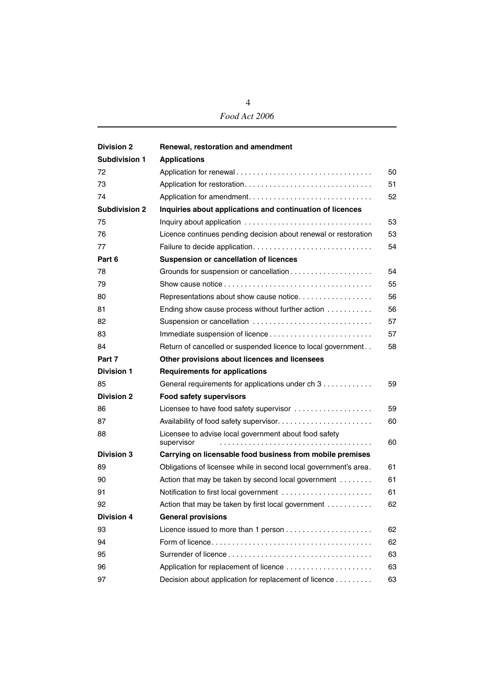| <b>Division 2</b>    | Renewal, restoration and amendment                                  |    |
|----------------------|---------------------------------------------------------------------|----|
| <b>Subdivision 1</b> | <b>Applications</b>                                                 |    |
| 72                   |                                                                     | 50 |
| 73                   | Application for restoration                                         | 51 |
| 74                   | Application for amendment                                           | 52 |
| <b>Subdivision 2</b> | Inquiries about applications and continuation of licences           |    |
| 75                   |                                                                     | 53 |
| 76                   | Licence continues pending decision about renewal or restoration     | 53 |
| 77                   | Failure to decide application                                       | 54 |
| Part 6               | <b>Suspension or cancellation of licences</b>                       |    |
| 78                   | Grounds for suspension or cancellation                              | 54 |
| 79                   |                                                                     | 55 |
| 80                   | Representations about show cause notice                             | 56 |
| 81                   | Ending show cause process without further action                    | 56 |
| 82                   | Suspension or cancellation                                          | 57 |
| 83                   |                                                                     | 57 |
| 84                   | Return of cancelled or suspended licence to local government        | 58 |
| Part 7               | Other provisions about licences and licensees                       |    |
| <b>Division 1</b>    | <b>Requirements for applications</b>                                |    |
| 85                   | General requirements for applications under ch 3                    | 59 |
| <b>Division 2</b>    | <b>Food safety supervisors</b>                                      |    |
| 86                   | Licensee to have food safety supervisor                             | 59 |
| 87                   |                                                                     | 60 |
| 88                   | Licensee to advise local government about food safety<br>supervisor | 60 |
| <b>Division 3</b>    | Carrying on licensable food business from mobile premises           |    |
| 89                   | Obligations of licensee while in second local government's area.    | 61 |
| 90                   | Action that may be taken by second local government                 | 61 |
| 91                   | Notification to first local government                              | 61 |
| 92                   | Action that may be taken by first local government                  | 62 |
| <b>Division 4</b>    | <b>General provisions</b>                                           |    |
| 93                   |                                                                     | 62 |
| 94                   |                                                                     | 62 |
| 95                   |                                                                     | 63 |
| 96                   |                                                                     | 63 |
| 97                   | Decision about application for replacement of licence               | 63 |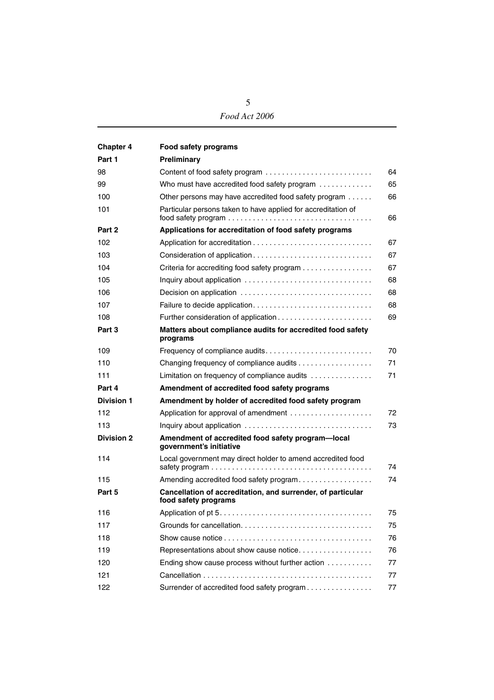| <b>Chapter 4</b>  | Food safety programs                                                                       |    |
|-------------------|--------------------------------------------------------------------------------------------|----|
| Part 1            | Preliminary                                                                                |    |
| 98                |                                                                                            | 64 |
| 99                | Who must have accredited food safety program                                               | 65 |
| 100               | Other persons may have accredited food safety program                                      | 66 |
| 101               | Particular persons taken to have applied for accreditation of                              | 66 |
| Part 2            | Applications for accreditation of food safety programs                                     |    |
| 102               |                                                                                            | 67 |
| 103               | Consideration of application                                                               | 67 |
| 104               | Criteria for accrediting food safety program                                               | 67 |
| 105               | Inquiry about application $\ldots \ldots \ldots \ldots \ldots \ldots \ldots \ldots \ldots$ | 68 |
| 106               |                                                                                            | 68 |
| 107               | Failure to decide application                                                              | 68 |
| 108               | Further consideration of application                                                       | 69 |
| Part 3            | Matters about compliance audits for accredited food safety<br>programs                     |    |
| 109               | Frequency of compliance audits                                                             | 70 |
| 110               | Changing frequency of compliance audits                                                    | 71 |
| 111               | Limitation on frequency of compliance audits                                               | 71 |
| Part 4            | Amendment of accredited food safety programs                                               |    |
| <b>Division 1</b> | Amendment by holder of accredited food safety program                                      |    |
| 112               | Application for approval of amendment                                                      | 72 |
| 113               |                                                                                            | 73 |
| <b>Division 2</b> | Amendment of accredited food safety program-local<br>government's initiative               |    |
| 114               | Local government may direct holder to amend accredited food                                | 74 |
| 115               | Amending accredited food safety program                                                    | 74 |
| Part 5            | Cancellation of accreditation, and surrender, of particular<br>food safety programs        |    |
| 116               |                                                                                            | 75 |
| 117               |                                                                                            | 75 |
| 118               |                                                                                            | 76 |
| 119               | Representations about show cause notice                                                    | 76 |
| 120               | Ending show cause process without further action                                           | 77 |
| 121               |                                                                                            | 77 |
| 122               | Surrender of accredited food safety program                                                | 77 |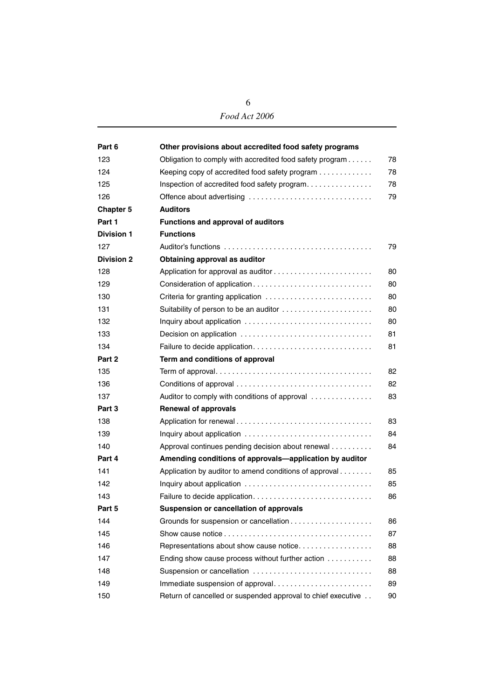| Part 6            | Other provisions about accredited food safety programs       |    |
|-------------------|--------------------------------------------------------------|----|
| 123               | Obligation to comply with accredited food safety program     | 78 |
| 124               | Keeping copy of accredited food safety program               | 78 |
| 125               | Inspection of accredited food safety program.                | 78 |
| 126               | Offence about advertising                                    | 79 |
| <b>Chapter 5</b>  | <b>Auditors</b>                                              |    |
| Part 1            | <b>Functions and approval of auditors</b>                    |    |
| <b>Division 1</b> | <b>Functions</b>                                             |    |
| 127               |                                                              | 79 |
| <b>Division 2</b> | Obtaining approval as auditor                                |    |
| 128               |                                                              | 80 |
| 129               | Consideration of application                                 | 80 |
| 130               | Criteria for granting application                            | 80 |
| 131               | Suitability of person to be an auditor                       | 80 |
| 132               |                                                              | 80 |
| 133               |                                                              | 81 |
| 134               |                                                              | 81 |
| Part 2            | Term and conditions of approval                              |    |
| 135               |                                                              | 82 |
| 136               |                                                              | 82 |
| 137               | Auditor to comply with conditions of approval                | 83 |
| Part 3            | <b>Renewal of approvals</b>                                  |    |
| 138               | Application for renewal                                      | 83 |
| 139               | Inquiry about application                                    | 84 |
| 140               | Approval continues pending decision about renewal            | 84 |
| Part 4            | Amending conditions of approvals-application by auditor      |    |
| 141               | Application by auditor to amend conditions of approval       | 85 |
| 142               |                                                              | 85 |
| 143               | Failure to decide application                                | 86 |
| Part 5            | Suspension or cancellation of approvals                      |    |
| 144               |                                                              | 86 |
| 145               |                                                              | 87 |
| 146               | Representations about show cause notice                      | 88 |
| 147               | Ending show cause process without further action             | 88 |
| 148               | Suspension or cancellation                                   | 88 |
| 149               | Immediate suspension of approval                             | 89 |
| 150               | Return of cancelled or suspended approval to chief executive | 90 |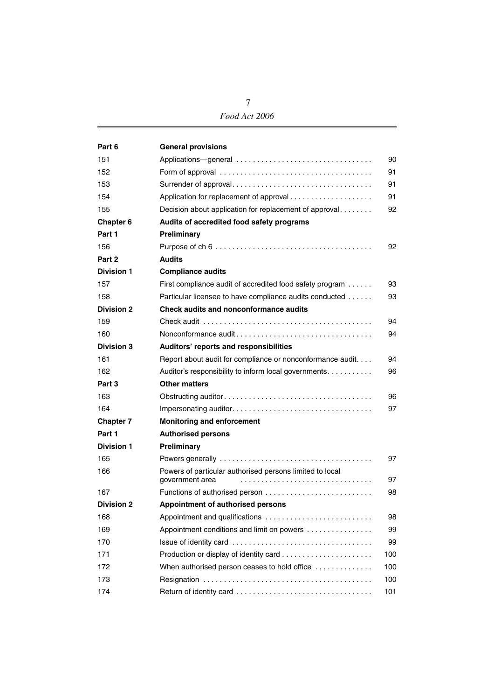| Part 6            | <b>General provisions</b>                                  |     |
|-------------------|------------------------------------------------------------|-----|
| 151               | Applications-general                                       | 90  |
| 152               |                                                            | 91  |
| 153               |                                                            | 91  |
| 154               |                                                            | 91  |
| 155               | Decision about application for replacement of approval     | 92  |
| <b>Chapter 6</b>  | Audits of accredited food safety programs                  |     |
| Part 1            | Preliminary                                                |     |
| 156               |                                                            | 92  |
| Part 2            | <b>Audits</b>                                              |     |
| <b>Division 1</b> | <b>Compliance audits</b>                                   |     |
| 157               | First compliance audit of accredited food safety program   | 93  |
| 158               | Particular licensee to have compliance audits conducted    | 93  |
| <b>Division 2</b> | <b>Check audits and nonconformance audits</b>              |     |
| 159               |                                                            | 94  |
| 160               |                                                            | 94  |
| <b>Division 3</b> | Auditors' reports and responsibilities                     |     |
| 161               | Report about audit for compliance or nonconformance audit. | 94  |
| 162               | Auditor's responsibility to inform local governments       | 96  |
| Part 3            | <b>Other matters</b>                                       |     |
| 163               |                                                            | 96  |
| 164               |                                                            | 97  |
| <b>Chapter 7</b>  | <b>Monitoring and enforcement</b>                          |     |
| Part 1            | <b>Authorised persons</b>                                  |     |
| <b>Division 1</b> | Preliminary                                                |     |
| 165               |                                                            | 97  |
| 166               | Powers of particular authorised persons limited to local   |     |
|                   | government area                                            | 97  |
| 167               | Functions of authorised person                             | 98  |
| <b>Division 2</b> | Appointment of authorised persons                          |     |
| 168               | Appointment and qualifications                             | 98  |
| 169               | Appointment conditions and limit on powers                 | 99  |
| 170               |                                                            | 99  |
| 171               |                                                            | 100 |
| 172               | When authorised person ceases to hold office               | 100 |
| 173               |                                                            | 100 |
| 174               | Return of identity card                                    | 101 |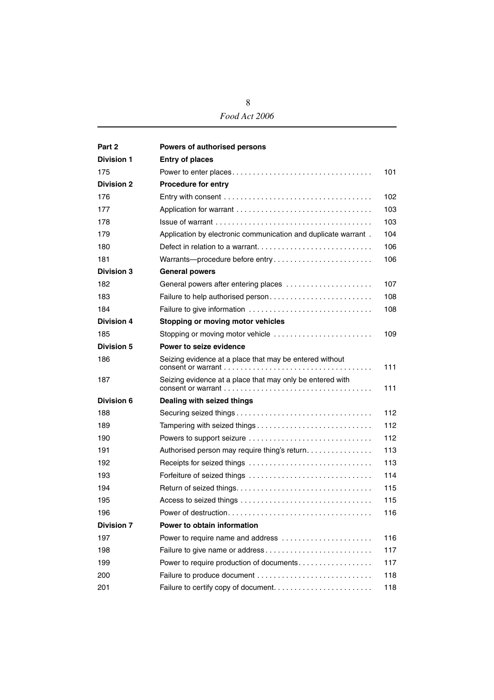| Part 2            | Powers of authorised persons                                   |     |
|-------------------|----------------------------------------------------------------|-----|
| <b>Division 1</b> | <b>Entry of places</b>                                         |     |
| 175               |                                                                | 101 |
| <b>Division 2</b> | <b>Procedure for entry</b>                                     |     |
| 176               |                                                                | 102 |
| 177               |                                                                | 103 |
| 178               |                                                                | 103 |
| 179               | Application by electronic communication and duplicate warrant. | 104 |
| 180               |                                                                | 106 |
| 181               |                                                                | 106 |
| <b>Division 3</b> | <b>General powers</b>                                          |     |
| 182               | General powers after entering places                           | 107 |
| 183               | Failure to help authorised person                              | 108 |
| 184               |                                                                | 108 |
| <b>Division 4</b> | Stopping or moving motor vehicles                              |     |
| 185               | Stopping or moving motor vehicle                               | 109 |
| <b>Division 5</b> | Power to seize evidence                                        |     |
| 186               | Seizing evidence at a place that may be entered without        | 111 |
| 187               | Seizing evidence at a place that may only be entered with      | 111 |
| <b>Division 6</b> | Dealing with seized things                                     |     |
| 188               |                                                                | 112 |
| 189               |                                                                | 112 |
| 190               | Powers to support seizure                                      | 112 |
| 191               | Authorised person may require thing's return                   | 113 |
| 192               |                                                                | 113 |
| 193               |                                                                | 114 |
| 194               |                                                                | 115 |
| 195               |                                                                | 115 |
| 196               |                                                                | 116 |
| <b>Division 7</b> | Power to obtain information                                    |     |
| 197               | Power to require name and address                              | 116 |
| 198               | Failure to give name or address                                | 117 |
| 199               | Power to require production of documents                       | 117 |
| 200               |                                                                | 118 |
| 201               |                                                                | 118 |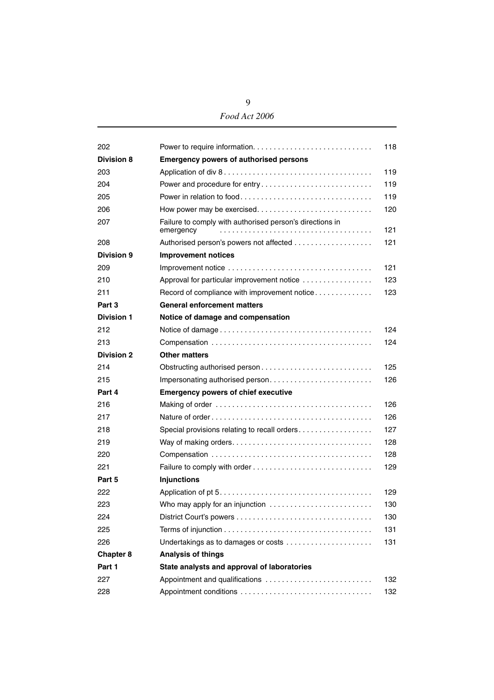| 202               |                                                                       | 118 |
|-------------------|-----------------------------------------------------------------------|-----|
| <b>Division 8</b> | <b>Emergency powers of authorised persons</b>                         |     |
| 203               |                                                                       | 119 |
| 204               | Power and procedure for entry                                         | 119 |
| 205               |                                                                       | 119 |
| 206               | How power may be exercised                                            | 120 |
| 207               | Failure to comply with authorised person's directions in<br>emergency | 121 |
| 208               | Authorised person's powers not affected                               | 121 |
| <b>Division 9</b> | <b>Improvement notices</b>                                            |     |
| 209               |                                                                       | 121 |
| 210               | Approval for particular improvement notice                            | 123 |
| 211               | Record of compliance with improvement notice                          | 123 |
| Part 3            | <b>General enforcement matters</b>                                    |     |
| <b>Division 1</b> | Notice of damage and compensation                                     |     |
| 212               |                                                                       | 124 |
| 213               |                                                                       | 124 |
| <b>Division 2</b> | <b>Other matters</b>                                                  |     |
| 214               | Obstructing authorised person                                         | 125 |
| 215               |                                                                       | 126 |
| Part 4            | <b>Emergency powers of chief executive</b>                            |     |
| 216               |                                                                       | 126 |
| 217               |                                                                       | 126 |
| 218               | Special provisions relating to recall orders                          | 127 |
| 219               |                                                                       | 128 |
| 220               |                                                                       | 128 |
| 221               |                                                                       | 129 |
| Part 5            | <b>Injunctions</b>                                                    |     |
| 222               |                                                                       | 129 |
| 223               | Who may apply for an injunction                                       | 130 |
| 224               |                                                                       | 130 |
| 225               |                                                                       | 131 |
| 226               |                                                                       | 131 |
| <b>Chapter 8</b>  | <b>Analysis of things</b>                                             |     |
| Part 1            | State analysts and approval of laboratories                           |     |
| 227               | Appointment and qualifications                                        | 132 |
| 228               |                                                                       | 132 |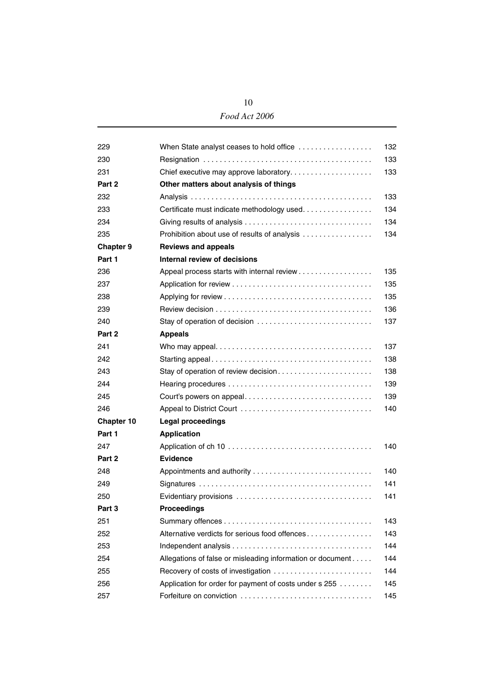| 229               | When State analyst ceases to hold office                   | 132 |
|-------------------|------------------------------------------------------------|-----|
| 230               |                                                            | 133 |
| 231               | Chief executive may approve laboratory                     | 133 |
| Part 2            | Other matters about analysis of things                     |     |
| 232               |                                                            | 133 |
| 233               | Certificate must indicate methodology used.                | 134 |
| 234               |                                                            | 134 |
| 235               | Prohibition about use of results of analysis               | 134 |
| <b>Chapter 9</b>  | <b>Reviews and appeals</b>                                 |     |
| Part 1            | Internal review of decisions                               |     |
| 236               | Appeal process starts with internal review                 | 135 |
| 237               |                                                            | 135 |
| 238               |                                                            | 135 |
| 239               |                                                            | 136 |
| 240               |                                                            | 137 |
| Part 2            | <b>Appeals</b>                                             |     |
| 241               |                                                            | 137 |
| 242               |                                                            | 138 |
| 243               | Stay of operation of review decision                       | 138 |
| 244               |                                                            | 139 |
| 245               |                                                            | 139 |
| 246               |                                                            | 140 |
| <b>Chapter 10</b> | <b>Legal proceedings</b>                                   |     |
| Part 1            | <b>Application</b>                                         |     |
| 247               |                                                            | 140 |
| Part 2            | <b>Evidence</b>                                            |     |
| 248               |                                                            | 140 |
| 249               |                                                            | 141 |
| 250               |                                                            | 141 |
| Part 3            | <b>Proceedings</b>                                         |     |
| 251               |                                                            | 143 |
| 252               | Alternative verdicts for serious food offences             | 143 |
| 253               |                                                            | 144 |
| 254               | Allegations of false or misleading information or document | 144 |
| 255               |                                                            | 144 |
| 256               | Application for order for payment of costs under s 255     | 145 |
| 257               |                                                            | 145 |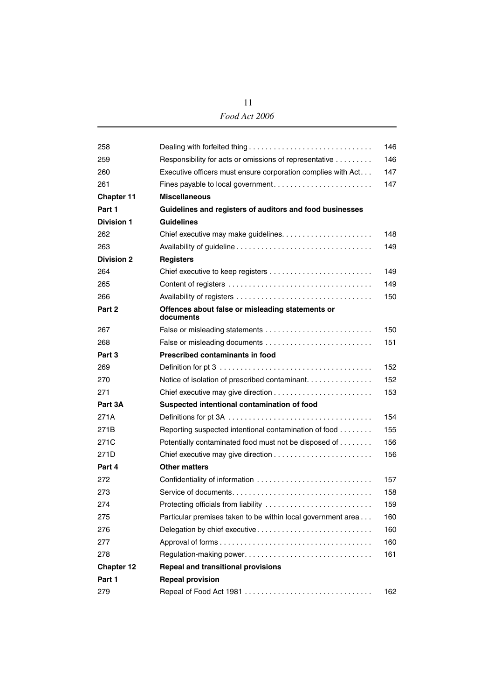| 258               | Dealing with forfeited thing                                  | 146 |
|-------------------|---------------------------------------------------------------|-----|
| 259               | Responsibility for acts or omissions of representative        | 146 |
| 260               | Executive officers must ensure corporation complies with Act  | 147 |
| 261               | Fines payable to local government                             | 147 |
| <b>Chapter 11</b> | <b>Miscellaneous</b>                                          |     |
| Part 1            | Guidelines and registers of auditors and food businesses      |     |
| <b>Division 1</b> | <b>Guidelines</b>                                             |     |
| 262               |                                                               | 148 |
| 263               |                                                               | 149 |
| <b>Division 2</b> | <b>Registers</b>                                              |     |
| 264               |                                                               | 149 |
| 265               |                                                               | 149 |
| 266               |                                                               | 150 |
| Part 2            | Offences about false or misleading statements or<br>documents |     |
| 267               |                                                               | 150 |
| 268               |                                                               | 151 |
| Part 3            | <b>Prescribed contaminants in food</b>                        |     |
| 269               |                                                               | 152 |
| 270               | Notice of isolation of prescribed contaminant.                | 152 |
| 271               |                                                               | 153 |
| Part 3A           | Suspected intentional contamination of food                   |     |
| 271A              |                                                               | 154 |
| 271B              | Reporting suspected intentional contamination of food         | 155 |
| 271C              | Potentially contaminated food must not be disposed of         | 156 |
| 271D              |                                                               | 156 |
| Part 4            | <b>Other matters</b>                                          |     |
| 272               | Confidentiality of information                                | 157 |
| 273               |                                                               | 158 |
| 274               | Protecting officials from liability                           | 159 |
| 275               | Particular premises taken to be within local government area  | 160 |
| 276               |                                                               | 160 |
| 277               |                                                               | 160 |
| 278               | Regulation-making power                                       | 161 |
| <b>Chapter 12</b> | <b>Repeal and transitional provisions</b>                     |     |
| Part 1            | <b>Repeal provision</b>                                       |     |
| 279               |                                                               | 162 |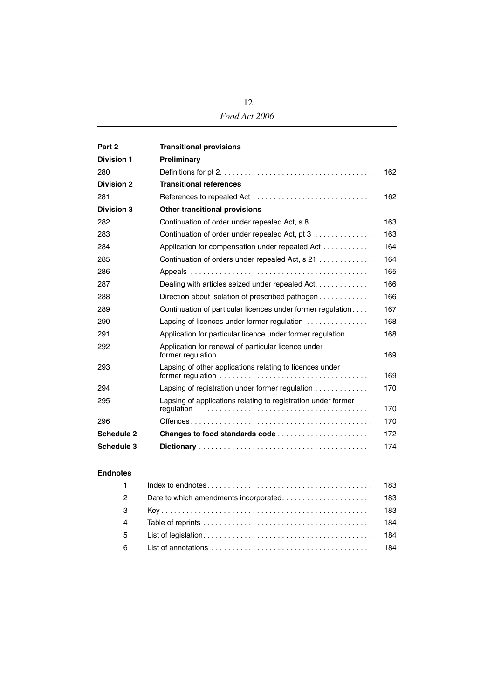| Part 2            | <b>Transitional provisions</b>                                                |     |
|-------------------|-------------------------------------------------------------------------------|-----|
| <b>Division 1</b> | Preliminary                                                                   |     |
| 280               |                                                                               | 162 |
| <b>Division 2</b> | <b>Transitional references</b>                                                |     |
| 281               |                                                                               | 162 |
| <b>Division 3</b> | Other transitional provisions                                                 |     |
| 282               | Continuation of order under repealed Act, s 8                                 | 163 |
| 283               | Continuation of order under repealed Act, pt 3                                | 163 |
| 284               | Application for compensation under repealed Act                               | 164 |
| 285               | Continuation of orders under repealed Act, s 21                               | 164 |
| 286               |                                                                               | 165 |
| 287               | Dealing with articles seized under repealed Act.                              | 166 |
| 288               | Direction about isolation of prescribed pathogen                              | 166 |
| 289               | Continuation of particular licences under former regulation                   | 167 |
| 290               | Lapsing of licences under former regulation                                   | 168 |
| 291               | Application for particular licence under former regulation                    | 168 |
| 292               | Application for renewal of particular licence under<br>former regulation      | 169 |
| 293               | Lapsing of other applications relating to licences under                      | 169 |
| 294               | Lapsing of registration under former regulation $\ldots \ldots \ldots \ldots$ | 170 |
| 295               | Lapsing of applications relating to registration under former<br>regulation   | 170 |
| 296               |                                                                               | 170 |
| <b>Schedule 2</b> | Changes to food standards code                                                | 172 |
| <b>Schedule 3</b> |                                                                               | 174 |

#### **Endnotes**

| $1 -$          |  |
|----------------|--|
| $\overline{2}$ |  |
| $\mathbf{3}$   |  |
| $\overline{4}$ |  |
| 5 <sup>5</sup> |  |
| 6              |  |
|                |  |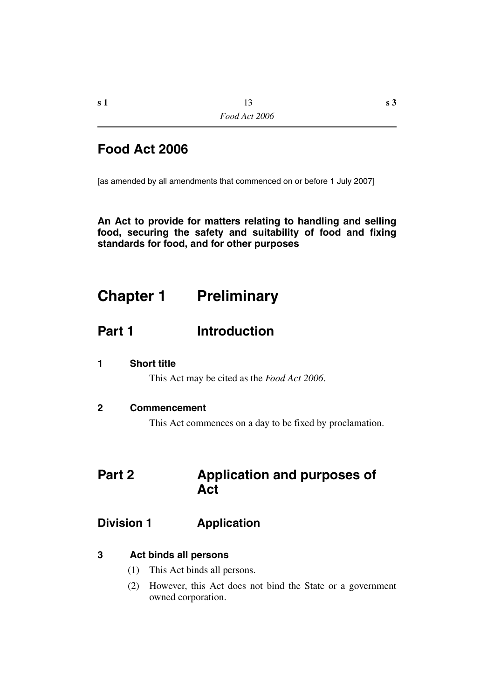[as amended by all amendments that commenced on or before 1 July 2007]

**An Act to provide for matters relating to handling and selling food, securing the safety and suitability of food and fixing standards for food, and for other purposes**

# <span id="page-14-0"></span>**Chapter 1 Preliminary**

# <span id="page-14-1"></span>**Part 1** Introduction

### <span id="page-14-2"></span>**1 Short title**

This Act may be cited as the *Food Act 2006*.

### <span id="page-14-3"></span>**2 Commencement**

This Act commences on a day to be fixed by proclamation.

# <span id="page-14-4"></span>**Part 2 Application and purposes of Act**

# **Division 1 Application**

### <span id="page-14-5"></span>**3 Act binds all persons**

- (1) This Act binds all persons.
- (2) However, this Act does not bind the State or a government owned corporation.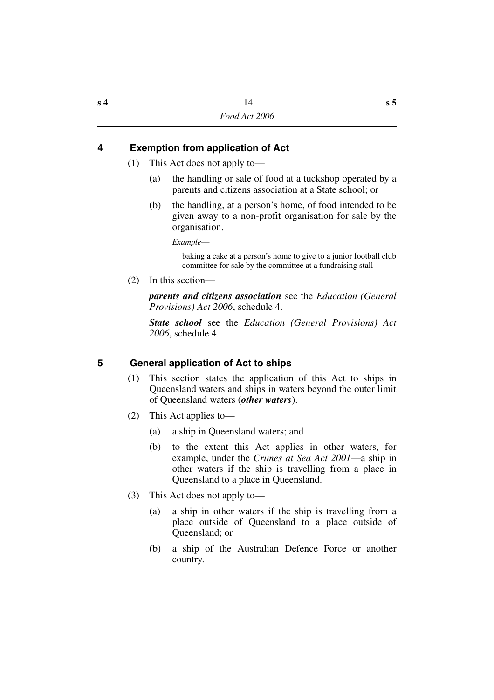### <span id="page-15-0"></span>**4 Exemption from application of Act**

- (1) This Act does not apply to—
	- (a) the handling or sale of food at a tuckshop operated by a parents and citizens association at a State school; or
	- (b) the handling, at a person's home, of food intended to be given away to a non-profit organisation for sale by the organisation.

*Example*—

baking a cake at a person's home to give to a junior football club committee for sale by the committee at a fundraising stall

(2) In this section—

*parents and citizens association* see the *Education (General Provisions) Act 2006*, schedule 4.

*State school* see the *Education (General Provisions) Act 2006*, schedule 4.

### <span id="page-15-1"></span>**5 General application of Act to ships**

- (1) This section states the application of this Act to ships in Queensland waters and ships in waters beyond the outer limit of Queensland waters (*other waters*).
- (2) This Act applies to—
	- (a) a ship in Queensland waters; and
	- (b) to the extent this Act applies in other waters, for example, under the *Crimes at Sea Act 2001*—a ship in other waters if the ship is travelling from a place in Queensland to a place in Queensland.
- (3) This Act does not apply to—
	- (a) a ship in other waters if the ship is travelling from a place outside of Queensland to a place outside of Queensland; or
	- (b) a ship of the Australian Defence Force or another country.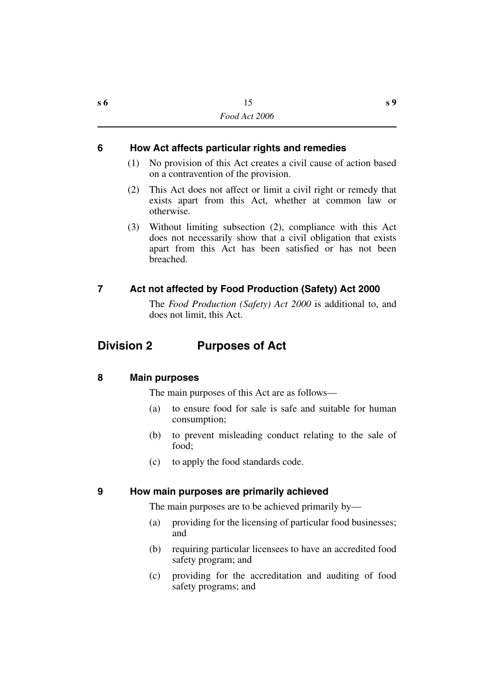### <span id="page-16-0"></span>**6 How Act affects particular rights and remedies**

- (1) No provision of this Act creates a civil cause of action based on a contravention of the provision.
- (2) This Act does not affect or limit a civil right or remedy that exists apart from this Act, whether at common law or otherwise.
- (3) Without limiting subsection (2), compliance with this Act does not necessarily show that a civil obligation that exists apart from this Act has been satisfied or has not been breached.

### <span id="page-16-1"></span>**7 Act not affected by Food Production (Safety) Act 2000**

The *Food Production (Safety) Act 2000* is additional to, and does not limit, this Act.

# **Division 2 Purposes of Act**

### <span id="page-16-2"></span>**8 Main purposes**

The main purposes of this Act are as follows—

- (a) to ensure food for sale is safe and suitable for human consumption;
- (b) to prevent misleading conduct relating to the sale of food;
- (c) to apply the food standards code.

### <span id="page-16-3"></span>**9 How main purposes are primarily achieved**

The main purposes are to be achieved primarily by—

- (a) providing for the licensing of particular food businesses; and
- (b) requiring particular licensees to have an accredited food safety program; and
- (c) providing for the accreditation and auditing of food safety programs; and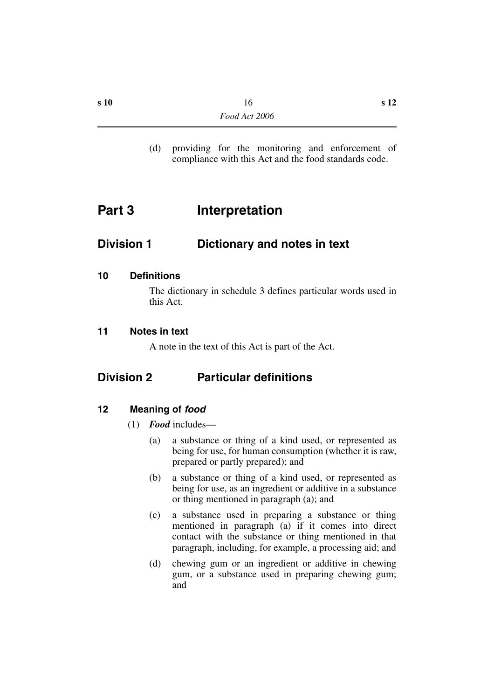(d) providing for the monitoring and enforcement of compliance with this Act and the food standards code.

# <span id="page-17-0"></span>**Part 3 Interpretation**

# **Division 1 Dictionary and notes in text**

### <span id="page-17-1"></span>**10 Definitions**

The dictionary in schedule 3 defines particular words used in this Act.

### <span id="page-17-2"></span>**11 Notes in text**

A note in the text of this Act is part of the Act.

# **Division 2 Particular definitions**

### <span id="page-17-3"></span>**12 Meaning of** *food*

- (1) *Food* includes—
	- (a) a substance or thing of a kind used, or represented as being for use, for human consumption (whether it is raw, prepared or partly prepared); and
	- (b) a substance or thing of a kind used, or represented as being for use, as an ingredient or additive in a substance or thing mentioned in paragraph (a); and
	- (c) a substance used in preparing a substance or thing mentioned in paragraph (a) if it comes into direct contact with the substance or thing mentioned in that paragraph, including, for example, a processing aid; and
	- (d) chewing gum or an ingredient or additive in chewing gum, or a substance used in preparing chewing gum; and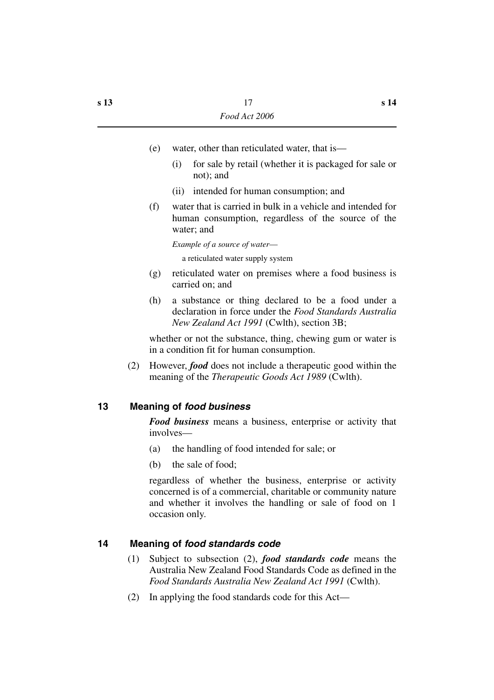- (e) water, other than reticulated water, that is—
	- (i) for sale by retail (whether it is packaged for sale or not); and
	- (ii) intended for human consumption; and
- (f) water that is carried in bulk in a vehicle and intended for human consumption, regardless of the source of the water; and

*Example of a source of water* a reticulated water supply system

- (g) reticulated water on premises where a food business is carried on; and
- (h) a substance or thing declared to be a food under a declaration in force under the *Food Standards Australia New Zealand Act 1991* (Cwlth), section 3B;

whether or not the substance, thing, chewing gum or water is in a condition fit for human consumption.

(2) However, *food* does not include a therapeutic good within the meaning of the *Therapeutic Goods Act 1989* (Cwlth).

### <span id="page-18-0"></span>**13 Meaning of** *food business*

*Food business* means a business, enterprise or activity that involves—

- (a) the handling of food intended for sale; or
- (b) the sale of food;

regardless of whether the business, enterprise or activity concerned is of a commercial, charitable or community nature and whether it involves the handling or sale of food on 1 occasion only.

# <span id="page-18-1"></span>**14 Meaning of** *food standards code*

- (1) Subject to subsection (2), *food standards code* means the Australia New Zealand Food Standards Code as defined in the *Food Standards Australia New Zealand Act 1991* (Cwlth).
- (2) In applying the food standards code for this Act—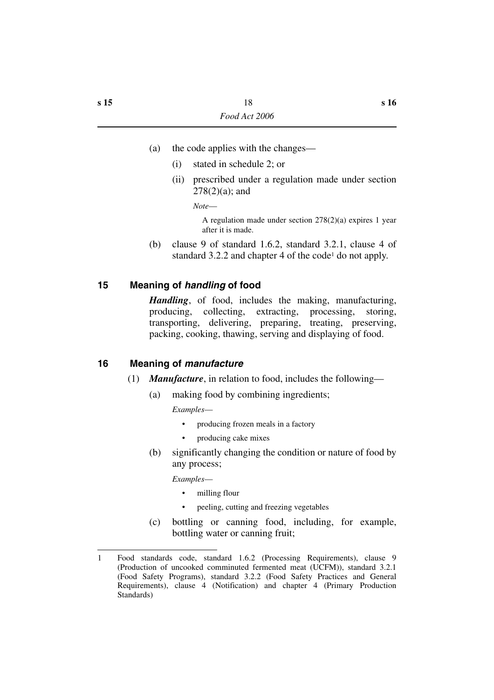- (a) the code applies with the changes—
	- (i) stated in schedule 2; or
	- (ii) prescribed under a regulation made under section  $278(2)(a)$ ; and

*Note*—

A regulation made under section 278(2)(a) expires 1 year after it is made.

(b) clause 9 of standard 1.6.2, standard 3.2.1, clause 4 of standard 3.2.2 and chapter 4 of the code<sup>1</sup> do not apply.

### <span id="page-19-0"></span>**15 Meaning of** *handling* **of food**

*Handling*, of food, includes the making, manufacturing, producing, collecting, extracting, processing, storing, transporting, delivering, preparing, treating, preserving, packing, cooking, thawing, serving and displaying of food.

### <span id="page-19-1"></span>**16 Meaning of** *manufacture*

- (1) *Manufacture*, in relation to food, includes the following—
	- (a) making food by combining ingredients;

*Examples*—

- producing frozen meals in a factory
- producing cake mixes
- (b) significantly changing the condition or nature of food by any process;

*Examples*—

- milling flour
- peeling, cutting and freezing vegetables
- (c) bottling or canning food, including, for example, bottling water or canning fruit;

<sup>1</sup> Food standards code, standard 1.6.2 (Processing Requirements), clause 9 (Production of uncooked comminuted fermented meat (UCFM)), standard 3.2.1 (Food Safety Programs), standard 3.2.2 (Food Safety Practices and General Requirements), clause 4 (Notification) and chapter 4 (Primary Production Standards)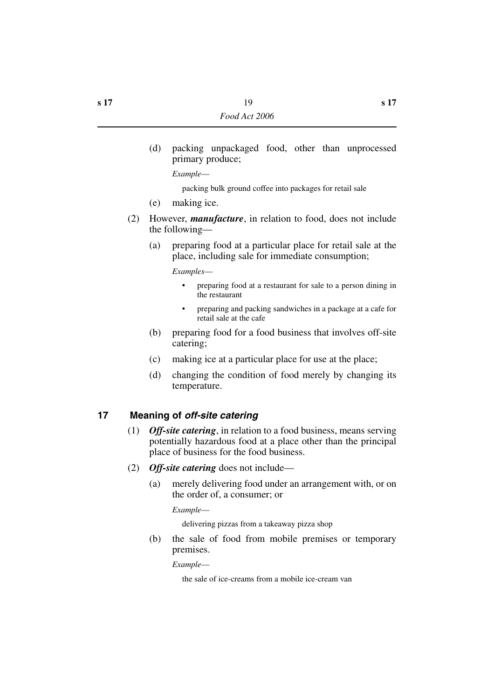(d) packing unpackaged food, other than unprocessed primary produce;

*Example*—

packing bulk ground coffee into packages for retail sale

- (e) making ice.
- (2) However, *manufacture*, in relation to food, does not include the following—
	- (a) preparing food at a particular place for retail sale at the place, including sale for immediate consumption;

*Examples*—

- preparing food at a restaurant for sale to a person dining in the restaurant
- preparing and packing sandwiches in a package at a cafe for retail sale at the cafe
- (b) preparing food for a food business that involves off-site catering;
- (c) making ice at a particular place for use at the place;
- (d) changing the condition of food merely by changing its temperature.

# <span id="page-20-0"></span>**17 Meaning of** *off-site catering*

- (1) *Off-site catering*, in relation to a food business, means serving potentially hazardous food at a place other than the principal place of business for the food business.
- (2) *Off-site catering* does not include—
	- (a) merely delivering food under an arrangement with, or on the order of, a consumer; or

*Example*—

delivering pizzas from a takeaway pizza shop

(b) the sale of food from mobile premises or temporary premises.

*Example*—

the sale of ice-creams from a mobile ice-cream van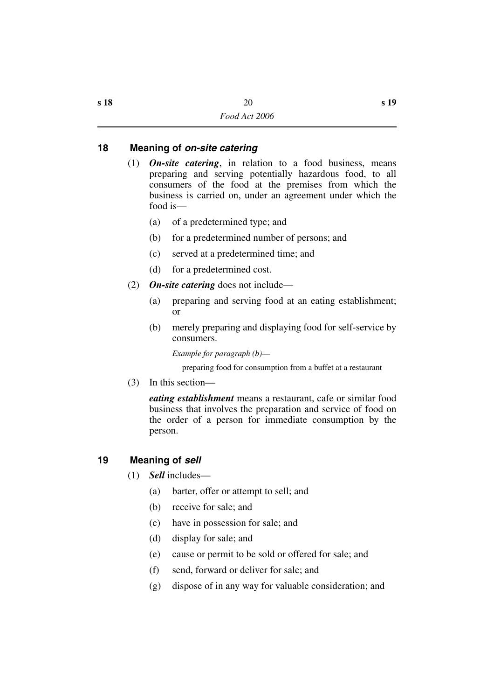### <span id="page-21-0"></span>**18 Meaning of** *on-site catering*

- (1) *On-site catering*, in relation to a food business, means preparing and serving potentially hazardous food, to all consumers of the food at the premises from which the business is carried on, under an agreement under which the food is—
	- (a) of a predetermined type; and
	- (b) for a predetermined number of persons; and
	- (c) served at a predetermined time; and
	- (d) for a predetermined cost.
- (2) *On-site catering* does not include—
	- (a) preparing and serving food at an eating establishment; or
	- (b) merely preparing and displaying food for self-service by consumers.

*Example for paragraph (b)*—

preparing food for consumption from a buffet at a restaurant

(3) In this section—

*eating establishment* means a restaurant, cafe or similar food business that involves the preparation and service of food on the order of a person for immediate consumption by the person.

### <span id="page-21-1"></span>**19 Meaning of** *sell*

- (1) *Sell* includes—
	- (a) barter, offer or attempt to sell; and
	- (b) receive for sale; and
	- (c) have in possession for sale; and
	- (d) display for sale; and
	- (e) cause or permit to be sold or offered for sale; and
	- (f) send, forward or deliver for sale; and
	- (g) dispose of in any way for valuable consideration; and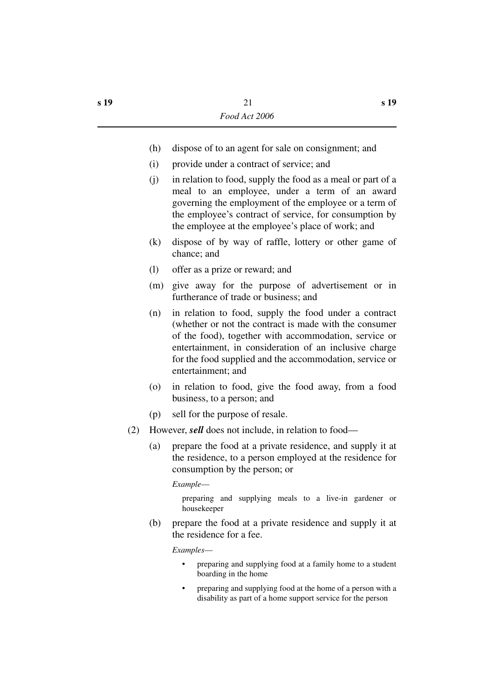- (h) dispose of to an agent for sale on consignment; and
- (i) provide under a contract of service; and
- (j) in relation to food, supply the food as a meal or part of a meal to an employee, under a term of an award governing the employment of the employee or a term of the employee's contract of service, for consumption by the employee at the employee's place of work; and
- (k) dispose of by way of raffle, lottery or other game of chance; and
- (l) offer as a prize or reward; and
- (m) give away for the purpose of advertisement or in furtherance of trade or business; and
- (n) in relation to food, supply the food under a contract (whether or not the contract is made with the consumer of the food), together with accommodation, service or entertainment, in consideration of an inclusive charge for the food supplied and the accommodation, service or entertainment; and
- (o) in relation to food, give the food away, from a food business, to a person; and
- (p) sell for the purpose of resale.
- (2) However, *sell* does not include, in relation to food—
	- (a) prepare the food at a private residence, and supply it at the residence, to a person employed at the residence for consumption by the person; or

*Example*—

preparing and supplying meals to a live-in gardener or housekeeper

(b) prepare the food at a private residence and supply it at the residence for a fee.

*Examples*—

- preparing and supplying food at a family home to a student boarding in the home
- preparing and supplying food at the home of a person with a disability as part of a home support service for the person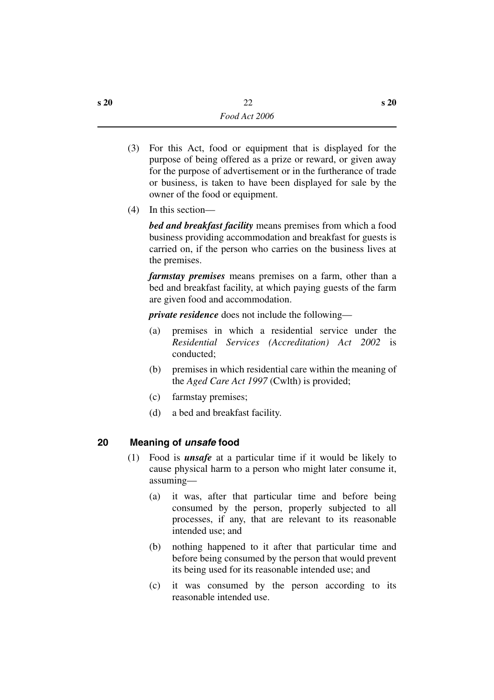- (3) For this Act, food or equipment that is displayed for the purpose of being offered as a prize or reward, or given away for the purpose of advertisement or in the furtherance of trade or business, is taken to have been displayed for sale by the owner of the food or equipment.
- (4) In this section—

*bed and breakfast facility* means premises from which a food business providing accommodation and breakfast for guests is carried on, if the person who carries on the business lives at the premises.

*farmstay premises* means premises on a farm, other than a bed and breakfast facility, at which paying guests of the farm are given food and accommodation.

*private residence* does not include the following—

- (a) premises in which a residential service under the *Residential Services (Accreditation) Act 2002* is conducted;
- (b) premises in which residential care within the meaning of the *Aged Care Act 1997* (Cwlth) is provided;
- (c) farmstay premises;
- (d) a bed and breakfast facility.

# <span id="page-23-0"></span>**20 Meaning of** *unsafe* **food**

- (1) Food is *unsafe* at a particular time if it would be likely to cause physical harm to a person who might later consume it, assuming—
	- (a) it was, after that particular time and before being consumed by the person, properly subjected to all processes, if any, that are relevant to its reasonable intended use; and
	- (b) nothing happened to it after that particular time and before being consumed by the person that would prevent its being used for its reasonable intended use; and
	- (c) it was consumed by the person according to its reasonable intended use.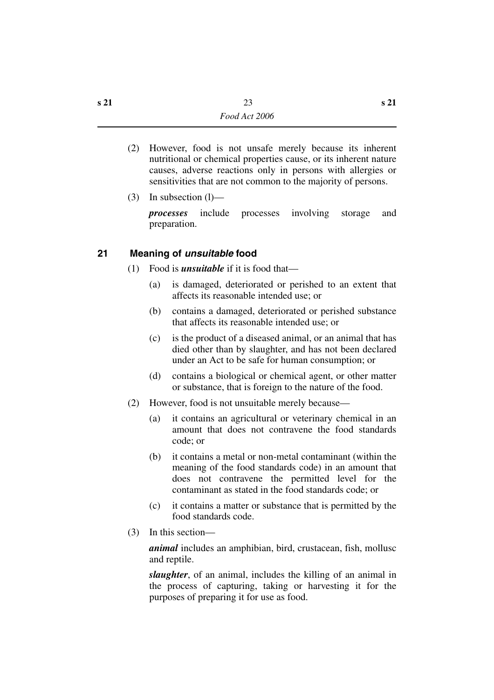- (2) However, food is not unsafe merely because its inherent nutritional or chemical properties cause, or its inherent nature causes, adverse reactions only in persons with allergies or sensitivities that are not common to the majority of persons.
- (3) In subsection (l)—

*processes* include processes involving storage and preparation.

# <span id="page-24-0"></span>**21 Meaning of** *unsuitable* **food**

- (1) Food is *unsuitable* if it is food that—
	- (a) is damaged, deteriorated or perished to an extent that affects its reasonable intended use; or
	- (b) contains a damaged, deteriorated or perished substance that affects its reasonable intended use; or
	- (c) is the product of a diseased animal, or an animal that has died other than by slaughter, and has not been declared under an Act to be safe for human consumption; or
	- (d) contains a biological or chemical agent, or other matter or substance, that is foreign to the nature of the food.
- (2) However, food is not unsuitable merely because—
	- (a) it contains an agricultural or veterinary chemical in an amount that does not contravene the food standards code; or
	- (b) it contains a metal or non-metal contaminant (within the meaning of the food standards code) in an amount that does not contravene the permitted level for the contaminant as stated in the food standards code; or
	- (c) it contains a matter or substance that is permitted by the food standards code.
- (3) In this section—

*animal* includes an amphibian, bird, crustacean, fish, mollusc and reptile.

*slaughter*, of an animal, includes the killing of an animal in the process of capturing, taking or harvesting it for the purposes of preparing it for use as food.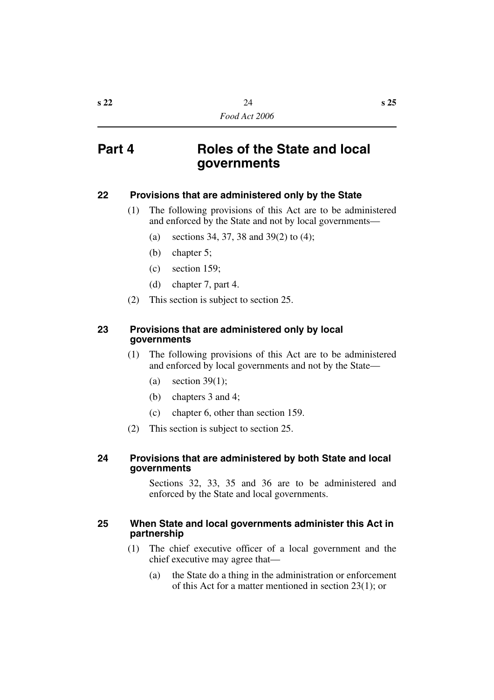# <span id="page-25-0"></span>**Part 4 Roles of the State and local governments**

### <span id="page-25-1"></span>**22 Provisions that are administered only by the State**

- (1) The following provisions of this Act are to be administered and enforced by the State and not by local governments—
	- (a) sections 34, 37, 38 and 39(2) to (4);
	- (b) chapter 5;
	- (c) section 159;
	- (d) chapter 7, part 4.
- (2) This section is subject to section 25.

#### <span id="page-25-2"></span>**23 Provisions that are administered only by local governments**

- (1) The following provisions of this Act are to be administered and enforced by local governments and not by the State—
	- (a) section  $39(1)$ ;
	- (b) chapters 3 and 4;
	- (c) chapter 6, other than section 159.
- (2) This section is subject to section 25.

#### <span id="page-25-3"></span>**24 Provisions that are administered by both State and local governments**

Sections 32, 33, 35 and 36 are to be administered and enforced by the State and local governments.

#### <span id="page-25-4"></span>**25 When State and local governments administer this Act in partnership**

- (1) The chief executive officer of a local government and the chief executive may agree that—
	- (a) the State do a thing in the administration or enforcement of this Act for a matter mentioned in section 23(1); or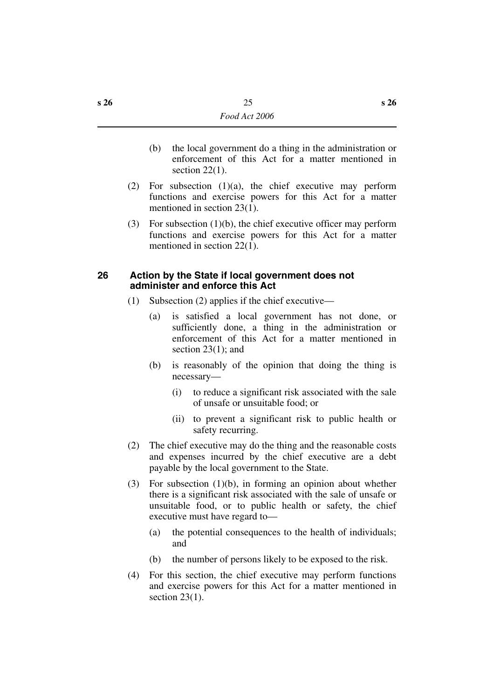- (b) the local government do a thing in the administration or enforcement of this Act for a matter mentioned in section  $22(1)$ .
- (2) For subsection  $(1)(a)$ , the chief executive may perform functions and exercise powers for this Act for a matter mentioned in section 23(1).
- (3) For subsection (1)(b), the chief executive officer may perform functions and exercise powers for this Act for a matter mentioned in section 22(1).

#### <span id="page-26-0"></span>**26 Action by the State if local government does not administer and enforce this Act**

- (1) Subsection (2) applies if the chief executive—
	- (a) is satisfied a local government has not done, or sufficiently done, a thing in the administration or enforcement of this Act for a matter mentioned in section 23(1); and
	- (b) is reasonably of the opinion that doing the thing is necessary—
		- (i) to reduce a significant risk associated with the sale of unsafe or unsuitable food; or
		- (ii) to prevent a significant risk to public health or safety recurring.
- (2) The chief executive may do the thing and the reasonable costs and expenses incurred by the chief executive are a debt payable by the local government to the State.
- (3) For subsection (1)(b), in forming an opinion about whether there is a significant risk associated with the sale of unsafe or unsuitable food, or to public health or safety, the chief executive must have regard to—
	- (a) the potential consequences to the health of individuals; and
	- (b) the number of persons likely to be exposed to the risk.
- (4) For this section, the chief executive may perform functions and exercise powers for this Act for a matter mentioned in section  $23(1)$ .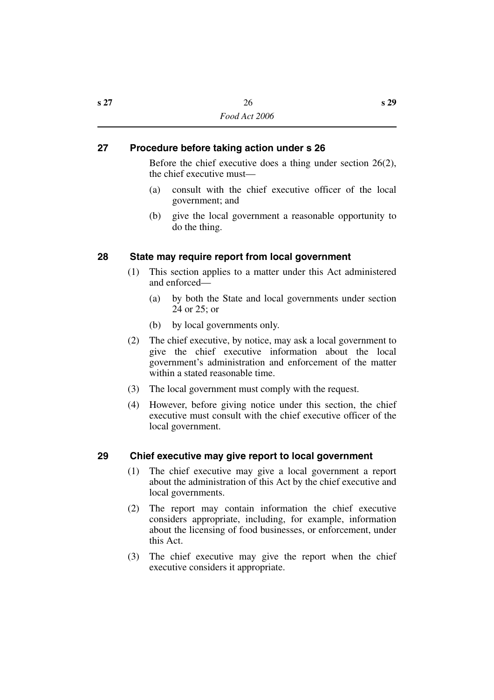## <span id="page-27-0"></span>**27 Procedure before taking action under s 26**

Before the chief executive does a thing under section 26(2), the chief executive must—

- (a) consult with the chief executive officer of the local government; and
- (b) give the local government a reasonable opportunity to do the thing.

### <span id="page-27-1"></span>**28 State may require report from local government**

- (1) This section applies to a matter under this Act administered and enforced—
	- (a) by both the State and local governments under section 24 or 25; or
	- (b) by local governments only.
- (2) The chief executive, by notice, may ask a local government to give the chief executive information about the local government's administration and enforcement of the matter within a stated reasonable time.
- (3) The local government must comply with the request.
- (4) However, before giving notice under this section, the chief executive must consult with the chief executive officer of the local government.

### <span id="page-27-2"></span>**29 Chief executive may give report to local government**

- (1) The chief executive may give a local government a report about the administration of this Act by the chief executive and local governments.
- (2) The report may contain information the chief executive considers appropriate, including, for example, information about the licensing of food businesses, or enforcement, under this Act.
- (3) The chief executive may give the report when the chief executive considers it appropriate.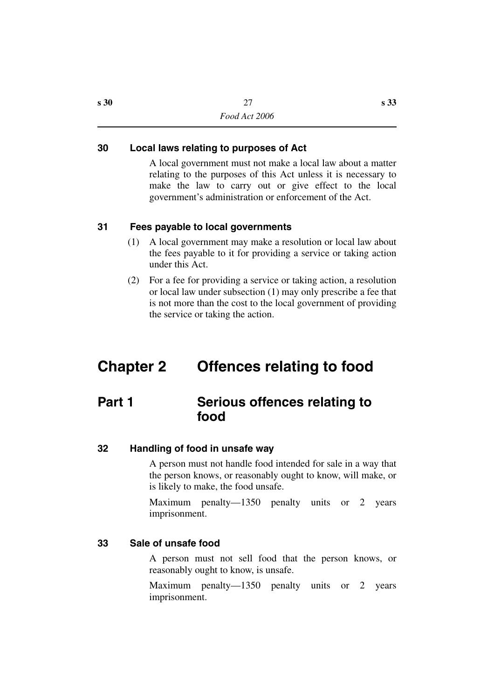### <span id="page-28-0"></span>**30 Local laws relating to purposes of Act**

A local government must not make a local law about a matter relating to the purposes of this Act unless it is necessary to make the law to carry out or give effect to the local government's administration or enforcement of the Act.

### <span id="page-28-1"></span>**31 Fees payable to local governments**

- (1) A local government may make a resolution or local law about the fees payable to it for providing a service or taking action under this Act.
- (2) For a fee for providing a service or taking action, a resolution or local law under subsection (1) may only prescribe a fee that is not more than the cost to the local government of providing the service or taking the action.

# <span id="page-28-2"></span>**Chapter 2 Offences relating to food**

# <span id="page-28-3"></span>**Part 1** Serious offences relating to **food**

#### <span id="page-28-4"></span>**32 Handling of food in unsafe way**

A person must not handle food intended for sale in a way that the person knows, or reasonably ought to know, will make, or is likely to make, the food unsafe.

Maximum penalty—1350 penalty units or 2 years imprisonment.

#### <span id="page-28-5"></span>**33 Sale of unsafe food**

A person must not sell food that the person knows, or reasonably ought to know, is unsafe.

Maximum penalty—1350 penalty units or 2 years imprisonment.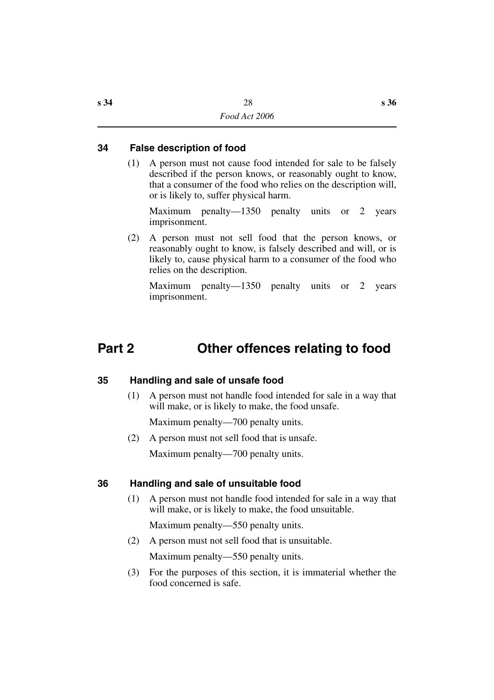### <span id="page-29-0"></span>**34 False description of food**

(1) A person must not cause food intended for sale to be falsely described if the person knows, or reasonably ought to know, that a consumer of the food who relies on the description will, or is likely to, suffer physical harm.

Maximum penalty—1350 penalty units or 2 years imprisonment.

(2) A person must not sell food that the person knows, or reasonably ought to know, is falsely described and will, or is likely to, cause physical harm to a consumer of the food who relies on the description.

Maximum penalty—1350 penalty units or 2 years imprisonment.

# <span id="page-29-1"></span>**Part 2 Other offences relating to food**

#### <span id="page-29-2"></span>**35 Handling and sale of unsafe food**

(1) A person must not handle food intended for sale in a way that will make, or is likely to make, the food unsafe.

Maximum penalty—700 penalty units.

(2) A person must not sell food that is unsafe.

Maximum penalty—700 penalty units.

### <span id="page-29-3"></span>**36 Handling and sale of unsuitable food**

(1) A person must not handle food intended for sale in a way that will make, or is likely to make, the food unsuitable.

Maximum penalty—550 penalty units.

(2) A person must not sell food that is unsuitable.

Maximum penalty—550 penalty units.

(3) For the purposes of this section, it is immaterial whether the food concerned is safe.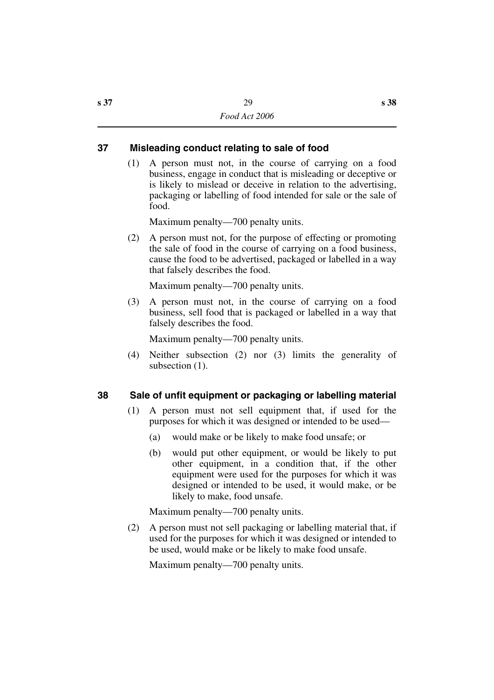### <span id="page-30-0"></span>**37 Misleading conduct relating to sale of food**

(1) A person must not, in the course of carrying on a food business, engage in conduct that is misleading or deceptive or is likely to mislead or deceive in relation to the advertising, packaging or labelling of food intended for sale or the sale of food.

Maximum penalty—700 penalty units.

(2) A person must not, for the purpose of effecting or promoting the sale of food in the course of carrying on a food business, cause the food to be advertised, packaged or labelled in a way that falsely describes the food.

Maximum penalty—700 penalty units.

(3) A person must not, in the course of carrying on a food business, sell food that is packaged or labelled in a way that falsely describes the food.

Maximum penalty—700 penalty units.

(4) Neither subsection (2) nor (3) limits the generality of subsection  $(1)$ .

### <span id="page-30-1"></span>**38 Sale of unfit equipment or packaging or labelling material**

- (1) A person must not sell equipment that, if used for the purposes for which it was designed or intended to be used—
	- (a) would make or be likely to make food unsafe; or
	- (b) would put other equipment, or would be likely to put other equipment, in a condition that, if the other equipment were used for the purposes for which it was designed or intended to be used, it would make, or be likely to make, food unsafe.

Maximum penalty—700 penalty units.

(2) A person must not sell packaging or labelling material that, if used for the purposes for which it was designed or intended to be used, would make or be likely to make food unsafe.

Maximum penalty—700 penalty units.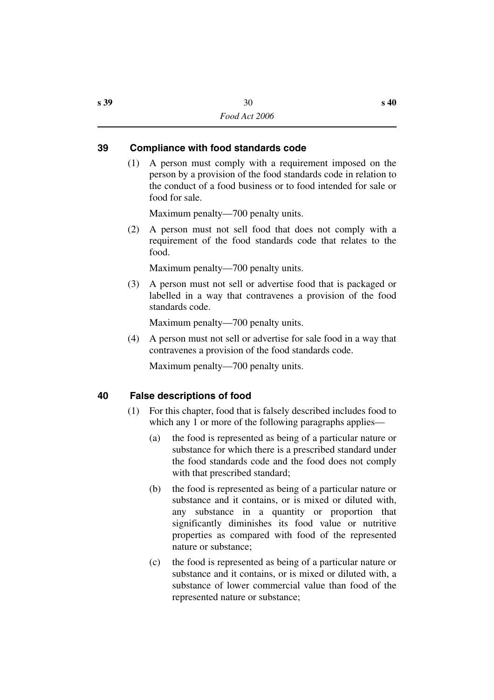# <span id="page-31-0"></span>**39 Compliance with food standards code**

(1) A person must comply with a requirement imposed on the person by a provision of the food standards code in relation to the conduct of a food business or to food intended for sale or food for sale.

Maximum penalty—700 penalty units.

(2) A person must not sell food that does not comply with a requirement of the food standards code that relates to the food.

Maximum penalty—700 penalty units.

(3) A person must not sell or advertise food that is packaged or labelled in a way that contravenes a provision of the food standards code.

Maximum penalty—700 penalty units.

(4) A person must not sell or advertise for sale food in a way that contravenes a provision of the food standards code.

Maximum penalty—700 penalty units.

# <span id="page-31-1"></span>**40 False descriptions of food**

- (1) For this chapter, food that is falsely described includes food to which any 1 or more of the following paragraphs applies—
	- (a) the food is represented as being of a particular nature or substance for which there is a prescribed standard under the food standards code and the food does not comply with that prescribed standard;
	- (b) the food is represented as being of a particular nature or substance and it contains, or is mixed or diluted with, any substance in a quantity or proportion that significantly diminishes its food value or nutritive properties as compared with food of the represented nature or substance;
	- (c) the food is represented as being of a particular nature or substance and it contains, or is mixed or diluted with, a substance of lower commercial value than food of the represented nature or substance;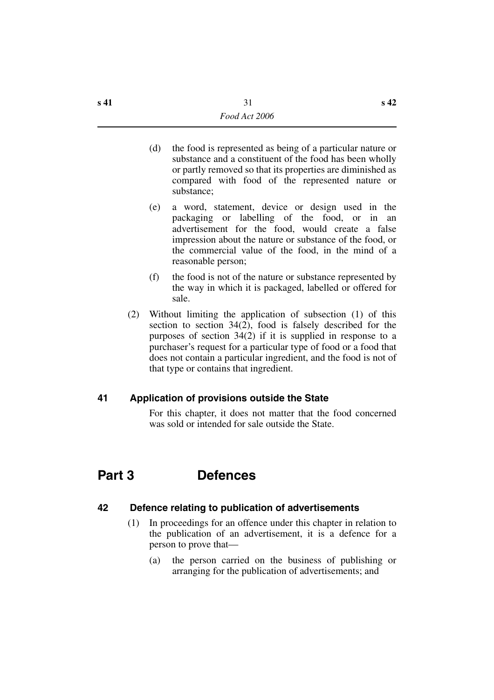- (d) the food is represented as being of a particular nature or substance and a constituent of the food has been wholly or partly removed so that its properties are diminished as compared with food of the represented nature or substance;
- (e) a word, statement, device or design used in the packaging or labelling of the food, or in an advertisement for the food, would create a false impression about the nature or substance of the food, or the commercial value of the food, in the mind of a reasonable person;
- (f) the food is not of the nature or substance represented by the way in which it is packaged, labelled or offered for sale.
- (2) Without limiting the application of subsection (1) of this section to section 34(2), food is falsely described for the purposes of section 34(2) if it is supplied in response to a purchaser's request for a particular type of food or a food that does not contain a particular ingredient, and the food is not of that type or contains that ingredient.

### <span id="page-32-0"></span>**41 Application of provisions outside the State**

For this chapter, it does not matter that the food concerned was sold or intended for sale outside the State.

# <span id="page-32-1"></span>**Part 3 Defences**

### <span id="page-32-2"></span>**42 Defence relating to publication of advertisements**

- (1) In proceedings for an offence under this chapter in relation to the publication of an advertisement, it is a defence for a person to prove that—
	- (a) the person carried on the business of publishing or arranging for the publication of advertisements; and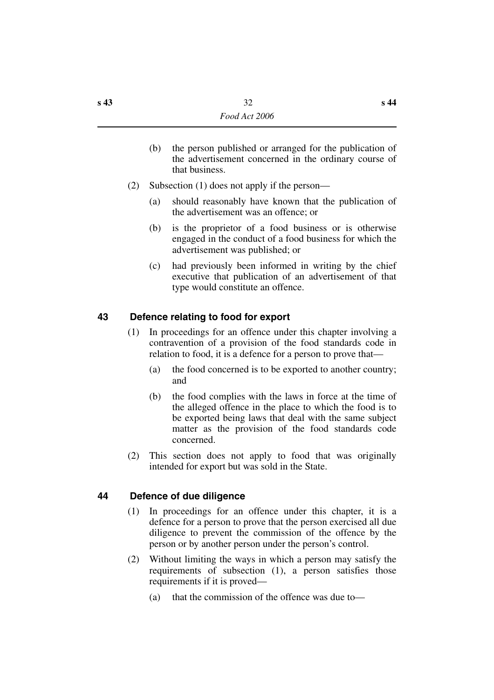- (b) the person published or arranged for the publication of the advertisement concerned in the ordinary course of that business.
- (2) Subsection (1) does not apply if the person—
	- (a) should reasonably have known that the publication of the advertisement was an offence; or
	- (b) is the proprietor of a food business or is otherwise engaged in the conduct of a food business for which the advertisement was published; or
	- (c) had previously been informed in writing by the chief executive that publication of an advertisement of that type would constitute an offence.

# <span id="page-33-0"></span>**43 Defence relating to food for export**

- (1) In proceedings for an offence under this chapter involving a contravention of a provision of the food standards code in relation to food, it is a defence for a person to prove that—
	- (a) the food concerned is to be exported to another country; and
	- (b) the food complies with the laws in force at the time of the alleged offence in the place to which the food is to be exported being laws that deal with the same subject matter as the provision of the food standards code concerned.
- (2) This section does not apply to food that was originally intended for export but was sold in the State.

# <span id="page-33-1"></span>**44 Defence of due diligence**

- (1) In proceedings for an offence under this chapter, it is a defence for a person to prove that the person exercised all due diligence to prevent the commission of the offence by the person or by another person under the person's control.
- (2) Without limiting the ways in which a person may satisfy the requirements of subsection (1), a person satisfies those requirements if it is proved—
	- (a) that the commission of the offence was due to—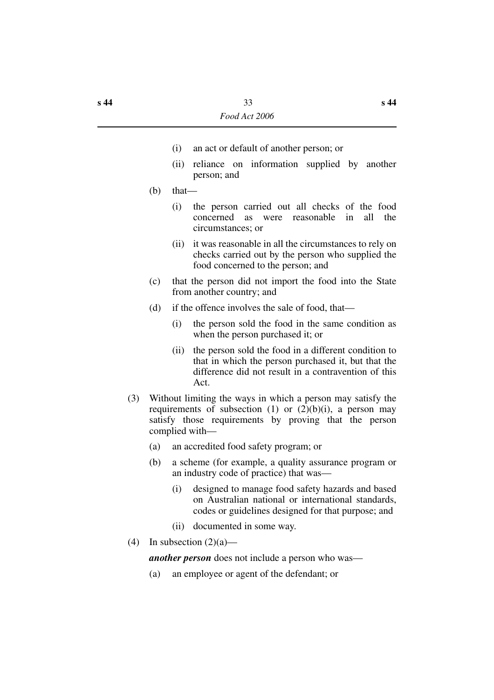- (i) an act or default of another person; or
- (ii) reliance on information supplied by another person; and
- $(b)$  that—
	- (i) the person carried out all checks of the food concerned as were reasonable in all the circumstances; or
	- (ii) it was reasonable in all the circumstances to rely on checks carried out by the person who supplied the food concerned to the person; and
- (c) that the person did not import the food into the State from another country; and
- (d) if the offence involves the sale of food, that—
	- (i) the person sold the food in the same condition as when the person purchased it; or
	- (ii) the person sold the food in a different condition to that in which the person purchased it, but that the difference did not result in a contravention of this Act.
- (3) Without limiting the ways in which a person may satisfy the requirements of subsection (1) or  $(2)(b)(i)$ , a person may satisfy those requirements by proving that the person complied with—
	- (a) an accredited food safety program; or
	- (b) a scheme (for example, a quality assurance program or an industry code of practice) that was—
		- (i) designed to manage food safety hazards and based on Australian national or international standards, codes or guidelines designed for that purpose; and
		- (ii) documented in some way.
- (4) In subsection  $(2)(a)$ —

*another person* does not include a person who was—

(a) an employee or agent of the defendant; or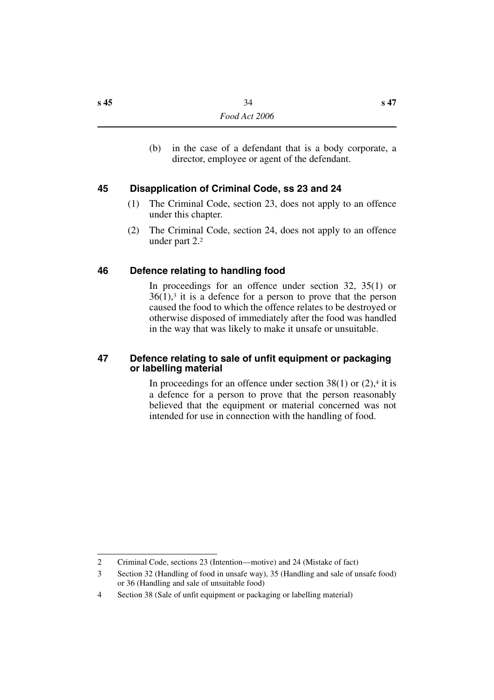(b) in the case of a defendant that is a body corporate, a director, employee or agent of the defendant.

## <span id="page-35-0"></span>**45 Disapplication of Criminal Code, ss 23 and 24**

- (1) The Criminal Code, section 23, does not apply to an offence under this chapter.
- (2) The Criminal Code, section 24, does not apply to an offence under part 2.2

### <span id="page-35-1"></span>**46 Defence relating to handling food**

In proceedings for an offence under section 32, 35(1) or  $36(1)$ ,<sup>3</sup> it is a defence for a person to prove that the person caused the food to which the offence relates to be destroyed or otherwise disposed of immediately after the food was handled in the way that was likely to make it unsafe or unsuitable.

### <span id="page-35-2"></span>**47 Defence relating to sale of unfit equipment or packaging or labelling material**

In proceedings for an offence under section  $38(1)$  or  $(2)$ ,<sup>4</sup> it is a defence for a person to prove that the person reasonably believed that the equipment or material concerned was not intended for use in connection with the handling of food.

<sup>2</sup> Criminal Code, sections 23 (Intention—motive) and 24 (Mistake of fact)

<sup>3</sup> Section 32 (Handling of food in unsafe way), 35 (Handling and sale of unsafe food) or 36 (Handling and sale of unsuitable food)

<sup>4</sup> Section 38 (Sale of unfit equipment or packaging or labelling material)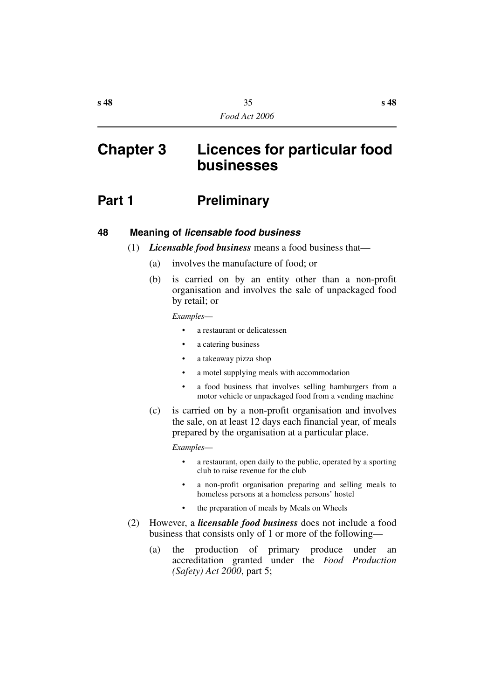# **Chapter 3 Licences for particular food businesses**

# **Part 1** Preliminary

#### **48 Meaning of** *licensable food business*

- (1) *Licensable food business* means a food business that—
	- (a) involves the manufacture of food; or
	- (b) is carried on by an entity other than a non-profit organisation and involves the sale of unpackaged food by retail; or

#### *Examples*—

- a restaurant or delicatessen
- a catering business
- a takeaway pizza shop
- a motel supplying meals with accommodation
- a food business that involves selling hamburgers from a motor vehicle or unpackaged food from a vending machine
- (c) is carried on by a non-profit organisation and involves the sale, on at least 12 days each financial year, of meals prepared by the organisation at a particular place.

*Examples*—

- a restaurant, open daily to the public, operated by a sporting club to raise revenue for the club
- a non-profit organisation preparing and selling meals to homeless persons at a homeless persons' hostel
- the preparation of meals by Meals on Wheels
- (2) However, a *licensable food business* does not include a food business that consists only of 1 or more of the following—
	- (a) the production of primary produce under an accreditation granted under the *Food Production (Safety) Act 2000*, part 5;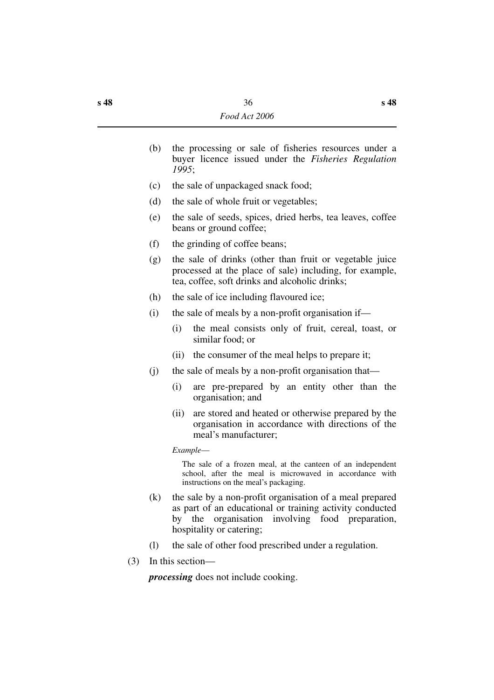- (b) the processing or sale of fisheries resources under a buyer licence issued under the *Fisheries Regulation 1995*;
- (c) the sale of unpackaged snack food;
- (d) the sale of whole fruit or vegetables;
- (e) the sale of seeds, spices, dried herbs, tea leaves, coffee beans or ground coffee;
- (f) the grinding of coffee beans;
- (g) the sale of drinks (other than fruit or vegetable juice processed at the place of sale) including, for example, tea, coffee, soft drinks and alcoholic drinks;
- (h) the sale of ice including flavoured ice;
- (i) the sale of meals by a non-profit organisation if—
	- (i) the meal consists only of fruit, cereal, toast, or similar food; or
	- (ii) the consumer of the meal helps to prepare it;
- (j) the sale of meals by a non-profit organisation that—
	- (i) are pre-prepared by an entity other than the organisation; and
	- (ii) are stored and heated or otherwise prepared by the organisation in accordance with directions of the meal's manufacturer;

*Example*—

The sale of a frozen meal, at the canteen of an independent school, after the meal is microwaved in accordance with instructions on the meal's packaging.

- (k) the sale by a non-profit organisation of a meal prepared as part of an educational or training activity conducted by the organisation involving food preparation, hospitality or catering;
- (l) the sale of other food prescribed under a regulation.
- (3) In this section—

*processing* does not include cooking.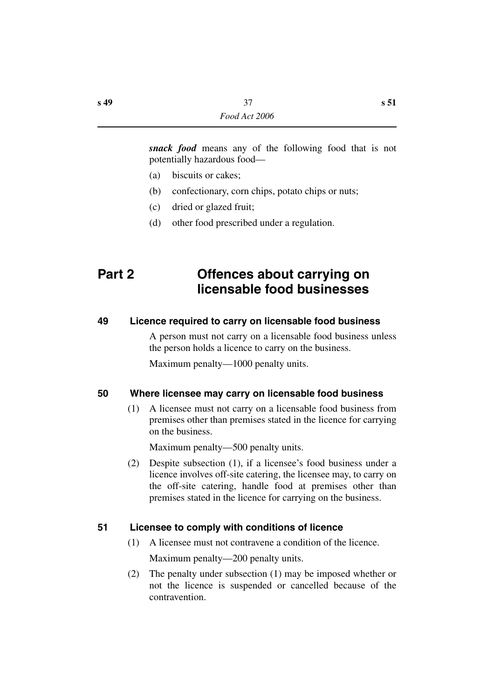*snack food* means any of the following food that is not potentially hazardous food—

- (a) biscuits or cakes;
- (b) confectionary, corn chips, potato chips or nuts;
- (c) dried or glazed fruit;
- (d) other food prescribed under a regulation.

# **Part 2 Offences about carrying on licensable food businesses**

### **49 Licence required to carry on licensable food business**

A person must not carry on a licensable food business unless the person holds a licence to carry on the business.

Maximum penalty—1000 penalty units.

#### **50 Where licensee may carry on licensable food business**

(1) A licensee must not carry on a licensable food business from premises other than premises stated in the licence for carrying on the business.

Maximum penalty—500 penalty units.

(2) Despite subsection (1), if a licensee's food business under a licence involves off-site catering, the licensee may, to carry on the off-site catering, handle food at premises other than premises stated in the licence for carrying on the business.

#### **51 Licensee to comply with conditions of licence**

(1) A licensee must not contravene a condition of the licence.

Maximum penalty—200 penalty units.

(2) The penalty under subsection (1) may be imposed whether or not the licence is suspended or cancelled because of the contravention.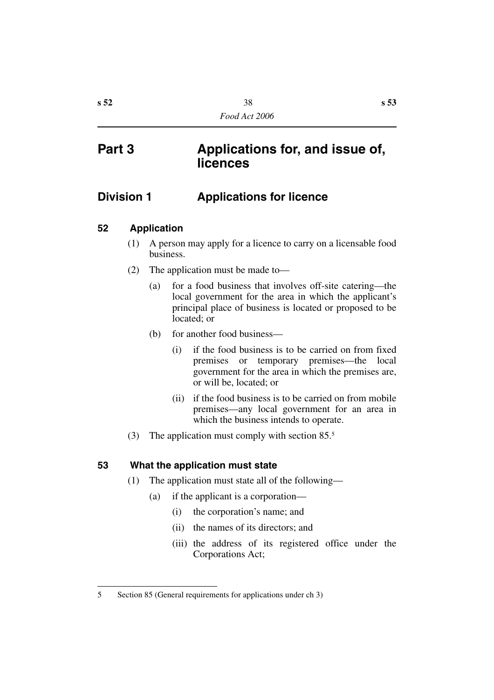# **Part 3 Applications for, and issue of, licences**

# **Division 1 Applications for licence**

### **52 Application**

- (1) A person may apply for a licence to carry on a licensable food business.
- (2) The application must be made to—
	- (a) for a food business that involves off-site catering—the local government for the area in which the applicant's principal place of business is located or proposed to be located; or
	- (b) for another food business—
		- (i) if the food business is to be carried on from fixed premises or temporary premises—the local government for the area in which the premises are, or will be, located; or
		- (ii) if the food business is to be carried on from mobile premises—any local government for an area in which the business intends to operate.
- (3) The application must comply with section 85.5

### **53 What the application must state**

- (1) The application must state all of the following—
	- (a) if the applicant is a corporation—
		- (i) the corporation's name; and
		- (ii) the names of its directors; and
		- (iii) the address of its registered office under the Corporations Act;

<sup>5</sup> Section 85 (General requirements for applications under ch 3)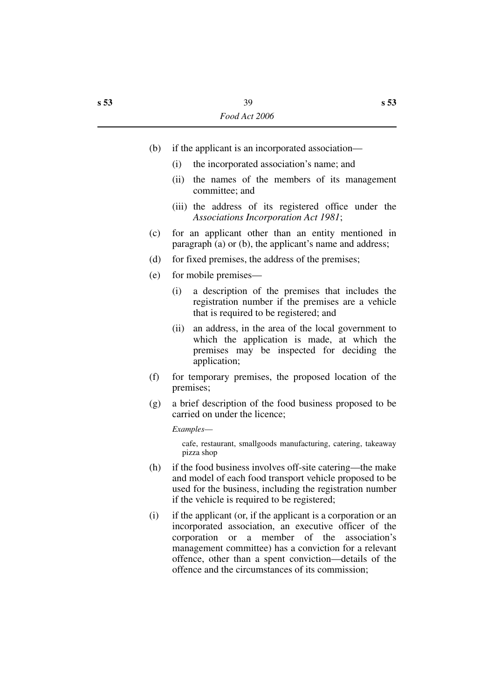- (b) if the applicant is an incorporated association—
	- (i) the incorporated association's name; and
	- (ii) the names of the members of its management committee; and
	- (iii) the address of its registered office under the *Associations Incorporation Act 1981*;
- (c) for an applicant other than an entity mentioned in paragraph (a) or (b), the applicant's name and address;
- (d) for fixed premises, the address of the premises;
- (e) for mobile premises—
	- (i) a description of the premises that includes the registration number if the premises are a vehicle that is required to be registered; and
	- (ii) an address, in the area of the local government to which the application is made, at which the premises may be inspected for deciding the application;
- (f) for temporary premises, the proposed location of the premises;
- (g) a brief description of the food business proposed to be carried on under the licence;

*Examples*—

cafe, restaurant, smallgoods manufacturing, catering, takeaway pizza shop

- (h) if the food business involves off-site catering—the make and model of each food transport vehicle proposed to be used for the business, including the registration number if the vehicle is required to be registered;
- (i) if the applicant (or, if the applicant is a corporation or an incorporated association, an executive officer of the corporation or a member of the association's management committee) has a conviction for a relevant offence, other than a spent conviction—details of the offence and the circumstances of its commission;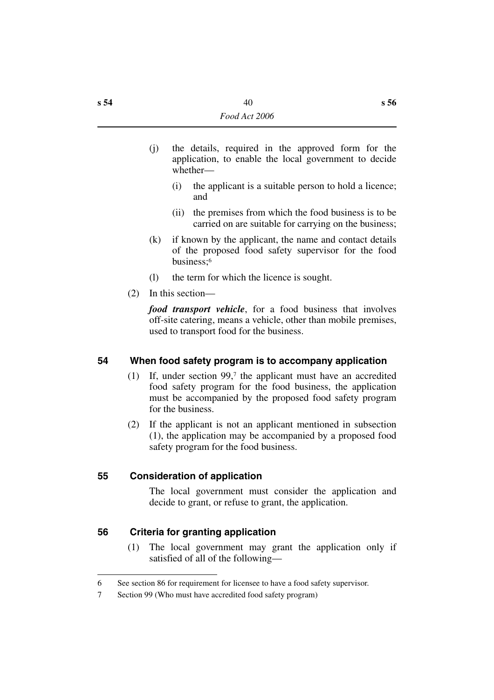- (j) the details, required in the approved form for the application, to enable the local government to decide whether—
	- (i) the applicant is a suitable person to hold a licence; and
	- (ii) the premises from which the food business is to be carried on are suitable for carrying on the business;
- (k) if known by the applicant, the name and contact details of the proposed food safety supervisor for the food business;6
- (l) the term for which the licence is sought.
- (2) In this section—

*food transport vehicle*, for a food business that involves off-site catering, means a vehicle, other than mobile premises, used to transport food for the business.

### **54 When food safety program is to accompany application**

- (1) If, under section 99,7 the applicant must have an accredited food safety program for the food business, the application must be accompanied by the proposed food safety program for the business.
- (2) If the applicant is not an applicant mentioned in subsection (1), the application may be accompanied by a proposed food safety program for the food business.

### **55 Consideration of application**

The local government must consider the application and decide to grant, or refuse to grant, the application.

### **56 Criteria for granting application**

(1) The local government may grant the application only if satisfied of all of the following—

<sup>6</sup> See section 86 for requirement for licensee to have a food safety supervisor.

<sup>7</sup> Section 99 (Who must have accredited food safety program)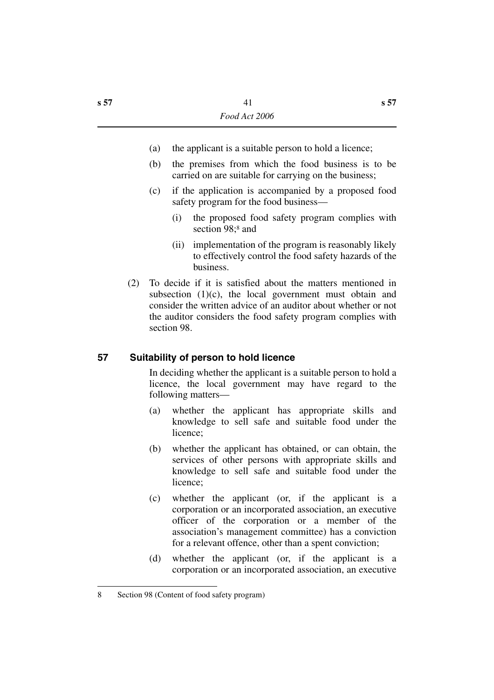- (a) the applicant is a suitable person to hold a licence;
- (b) the premises from which the food business is to be carried on are suitable for carrying on the business;
- (c) if the application is accompanied by a proposed food safety program for the food business—
	- (i) the proposed food safety program complies with section 98;<sup>8</sup> and
	- (ii) implementation of the program is reasonably likely to effectively control the food safety hazards of the business.
- (2) To decide if it is satisfied about the matters mentioned in subsection  $(1)(c)$ , the local government must obtain and consider the written advice of an auditor about whether or not the auditor considers the food safety program complies with section 98.

### **57 Suitability of person to hold licence**

In deciding whether the applicant is a suitable person to hold a licence, the local government may have regard to the following matters—

- (a) whether the applicant has appropriate skills and knowledge to sell safe and suitable food under the licence;
- (b) whether the applicant has obtained, or can obtain, the services of other persons with appropriate skills and knowledge to sell safe and suitable food under the licence;
- (c) whether the applicant (or, if the applicant is a corporation or an incorporated association, an executive officer of the corporation or a member of the association's management committee) has a conviction for a relevant offence, other than a spent conviction;
- (d) whether the applicant (or, if the applicant is a corporation or an incorporated association, an executive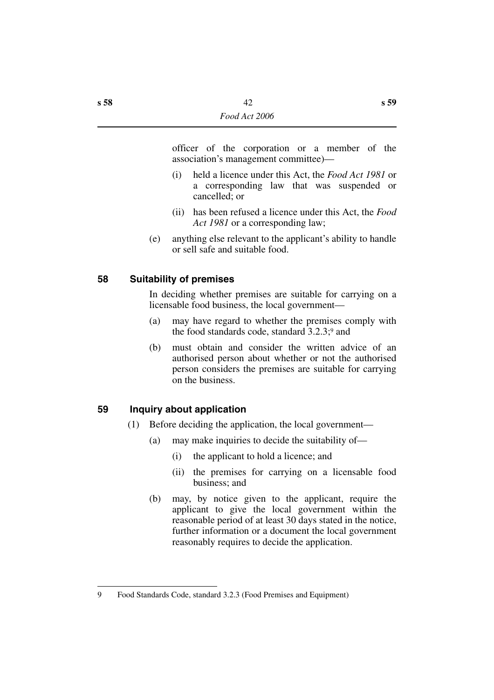officer of the corporation or a member of the association's management committee)—

- (i) held a licence under this Act, the *Food Act 1981* or a corresponding law that was suspended or cancelled; or
- (ii) has been refused a licence under this Act, the *Food Act 1981* or a corresponding law;
- (e) anything else relevant to the applicant's ability to handle or sell safe and suitable food.

### **58 Suitability of premises**

In deciding whether premises are suitable for carrying on a licensable food business, the local government—

- (a) may have regard to whether the premises comply with the food standards code, standard 3.2.3;9 and
- (b) must obtain and consider the written advice of an authorised person about whether or not the authorised person considers the premises are suitable for carrying on the business.

#### **59 Inquiry about application**

- (1) Before deciding the application, the local government—
	- (a) may make inquiries to decide the suitability of—
		- (i) the applicant to hold a licence; and
		- (ii) the premises for carrying on a licensable food business; and
	- (b) may, by notice given to the applicant, require the applicant to give the local government within the reasonable period of at least 30 days stated in the notice, further information or a document the local government reasonably requires to decide the application.

<sup>9</sup> Food Standards Code, standard 3.2.3 (Food Premises and Equipment)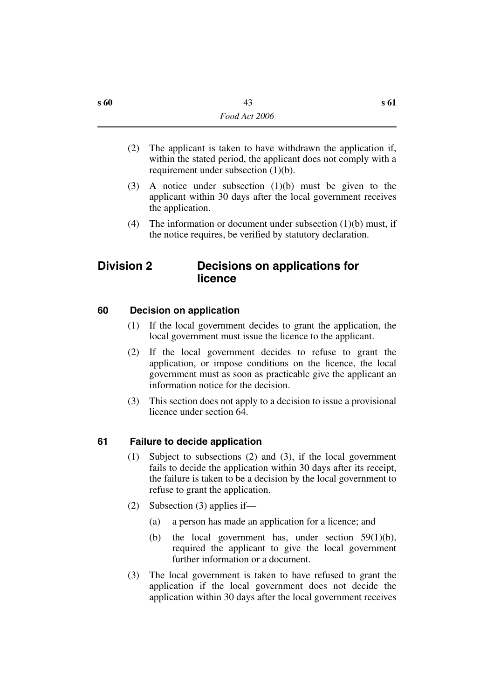- (2) The applicant is taken to have withdrawn the application if, within the stated period, the applicant does not comply with a requirement under subsection (1)(b).
- (3) A notice under subsection (1)(b) must be given to the applicant within 30 days after the local government receives the application.
- (4) The information or document under subsection (1)(b) must, if the notice requires, be verified by statutory declaration.

### **Division 2 Decisions on applications for licence**

#### **60 Decision on application**

- (1) If the local government decides to grant the application, the local government must issue the licence to the applicant.
- (2) If the local government decides to refuse to grant the application, or impose conditions on the licence, the local government must as soon as practicable give the applicant an information notice for the decision.
- (3) This section does not apply to a decision to issue a provisional licence under section 64.

#### **61 Failure to decide application**

- (1) Subject to subsections (2) and (3), if the local government fails to decide the application within 30 days after its receipt, the failure is taken to be a decision by the local government to refuse to grant the application.
- (2) Subsection (3) applies if—
	- (a) a person has made an application for a licence; and
	- (b) the local government has, under section 59(1)(b), required the applicant to give the local government further information or a document.
- (3) The local government is taken to have refused to grant the application if the local government does not decide the application within 30 days after the local government receives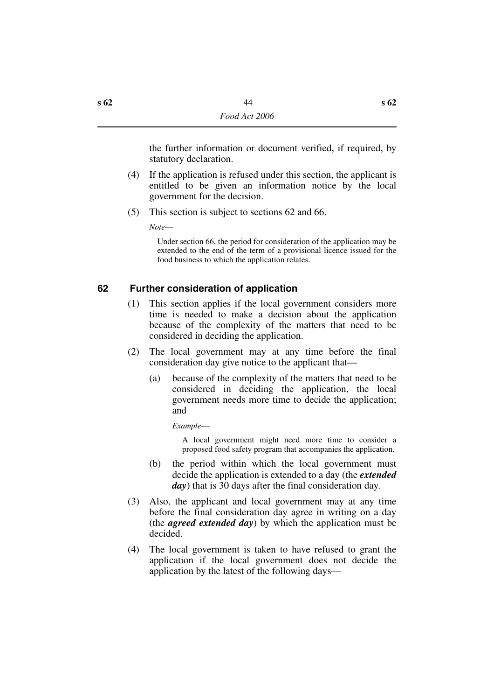the further information or document verified, if required, by statutory declaration.

- (4) If the application is refused under this section, the applicant is entitled to be given an information notice by the local government for the decision.
- (5) This section is subject to sections 62 and 66.

*Note*—

Under section 66, the period for consideration of the application may be extended to the end of the term of a provisional licence issued for the food business to which the application relates.

#### **62 Further consideration of application**

- (1) This section applies if the local government considers more time is needed to make a decision about the application because of the complexity of the matters that need to be considered in deciding the application.
- (2) The local government may at any time before the final consideration day give notice to the applicant that—
	- (a) because of the complexity of the matters that need to be considered in deciding the application, the local government needs more time to decide the application; and

*Example*—

A local government might need more time to consider a proposed food safety program that accompanies the application.

- (b) the period within which the local government must decide the application is extended to a day (the *extended day*) that is 30 days after the final consideration day.
- (3) Also, the applicant and local government may at any time before the final consideration day agree in writing on a day (the *agreed extended day*) by which the application must be decided.
- (4) The local government is taken to have refused to grant the application if the local government does not decide the application by the latest of the following days—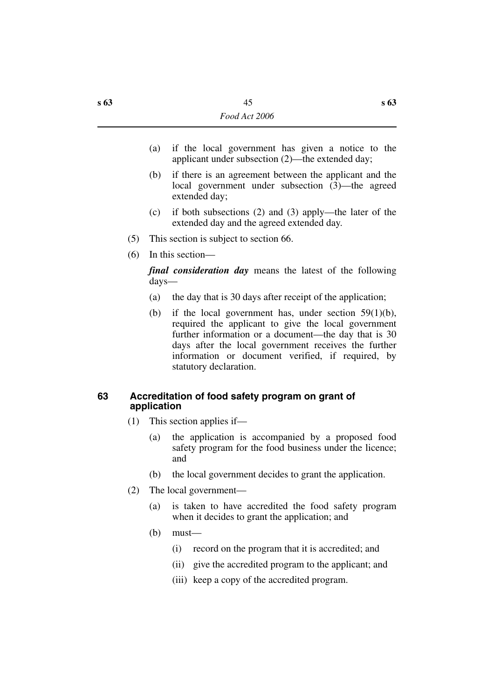- (a) if the local government has given a notice to the applicant under subsection (2)—the extended day;
- (b) if there is an agreement between the applicant and the local government under subsection (3)—the agreed extended day;
- (c) if both subsections (2) and (3) apply—the later of the extended day and the agreed extended day.
- (5) This section is subject to section 66.
- (6) In this section—

*final consideration day* means the latest of the following days—

- (a) the day that is 30 days after receipt of the application;
- (b) if the local government has, under section  $59(1)(b)$ , required the applicant to give the local government further information or a document—the day that is 30 days after the local government receives the further information or document verified, if required, by statutory declaration.

#### **63 Accreditation of food safety program on grant of application**

- (1) This section applies if—
	- (a) the application is accompanied by a proposed food safety program for the food business under the licence; and
	- (b) the local government decides to grant the application.
- (2) The local government—
	- (a) is taken to have accredited the food safety program when it decides to grant the application; and
	- (b) must—
		- (i) record on the program that it is accredited; and
		- (ii) give the accredited program to the applicant; and
		- (iii) keep a copy of the accredited program.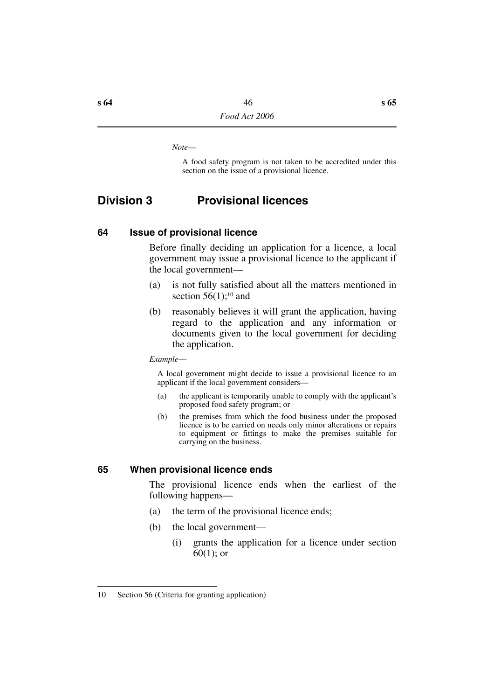*Note*—

A food safety program is not taken to be accredited under this section on the issue of a provisional licence.

# **Division 3 Provisional licences**

#### **64 Issue of provisional licence**

Before finally deciding an application for a licence, a local government may issue a provisional licence to the applicant if the local government—

- (a) is not fully satisfied about all the matters mentioned in section  $56(1)$ ;<sup>10</sup> and
- (b) reasonably believes it will grant the application, having regard to the application and any information or documents given to the local government for deciding the application.

*Example*—

A local government might decide to issue a provisional licence to an applicant if the local government considers—

- (a) the applicant is temporarily unable to comply with the applicant's proposed food safety program; or
- (b) the premises from which the food business under the proposed licence is to be carried on needs only minor alterations or repairs to equipment or fittings to make the premises suitable for carrying on the business.

#### **65 When provisional licence ends**

The provisional licence ends when the earliest of the following happens—

- (a) the term of the provisional licence ends;
- (b) the local government—
	- (i) grants the application for a licence under section 60(1); or

<sup>10</sup> Section 56 (Criteria for granting application)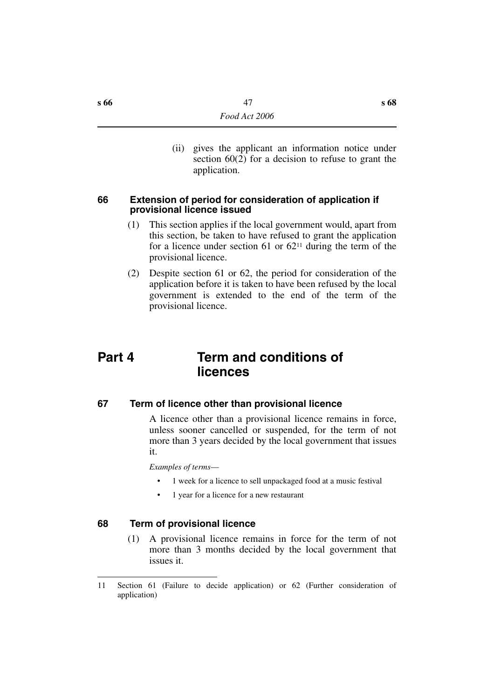(ii) gives the applicant an information notice under section 60(2) for a decision to refuse to grant the application.

#### **66 Extension of period for consideration of application if provisional licence issued**

- (1) This section applies if the local government would, apart from this section, be taken to have refused to grant the application for a licence under section 61 or  $62<sup>11</sup>$  during the term of the provisional licence.
- (2) Despite section 61 or 62, the period for consideration of the application before it is taken to have been refused by the local government is extended to the end of the term of the provisional licence.

# **Part 4 Term and conditions of licences**

#### **67 Term of licence other than provisional licence**

A licence other than a provisional licence remains in force, unless sooner cancelled or suspended, for the term of not more than 3 years decided by the local government that issues it.

*Examples of terms*—

- 1 week for a licence to sell unpackaged food at a music festival
- 1 year for a licence for a new restaurant

#### **68 Term of provisional licence**

(1) A provisional licence remains in force for the term of not more than 3 months decided by the local government that issues it.

<sup>11</sup> Section 61 (Failure to decide application) or 62 (Further consideration of application)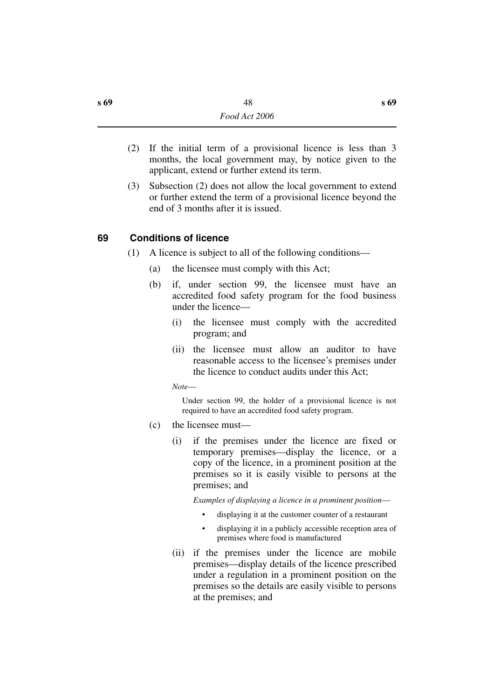- (2) If the initial term of a provisional licence is less than 3 months, the local government may, by notice given to the applicant, extend or further extend its term.
- (3) Subsection (2) does not allow the local government to extend or further extend the term of a provisional licence beyond the end of 3 months after it is issued.

### **69 Conditions of licence**

- (1) A licence is subject to all of the following conditions—
	- (a) the licensee must comply with this Act;
	- (b) if, under section 99, the licensee must have an accredited food safety program for the food business under the licence—
		- (i) the licensee must comply with the accredited program; and
		- (ii) the licensee must allow an auditor to have reasonable access to the licensee's premises under the licence to conduct audits under this Act;

*Note*—

Under section 99, the holder of a provisional licence is not required to have an accredited food safety program.

- (c) the licensee must—
	- (i) if the premises under the licence are fixed or temporary premises—display the licence, or a copy of the licence, in a prominent position at the premises so it is easily visible to persons at the premises; and

*Examples of displaying a licence in a prominent position*—

- displaying it at the customer counter of a restaurant
- displaying it in a publicly accessible reception area of premises where food is manufactured
- (ii) if the premises under the licence are mobile premises—display details of the licence prescribed under a regulation in a prominent position on the premises so the details are easily visible to persons at the premises; and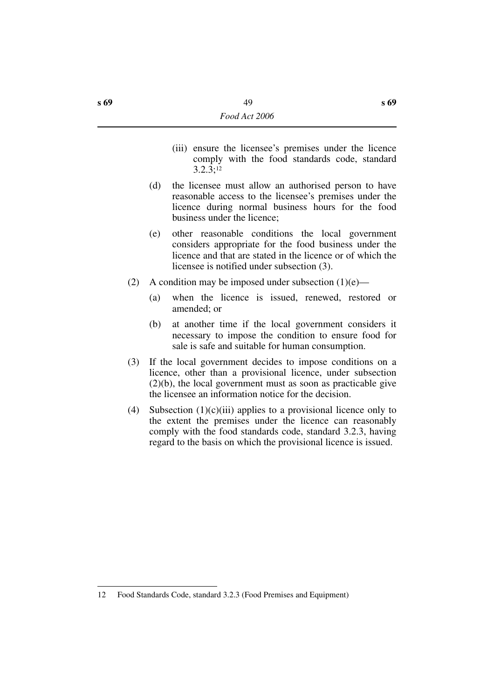- (iii) ensure the licensee's premises under the licence comply with the food standards code, standard 3.2.3;12
- (d) the licensee must allow an authorised person to have reasonable access to the licensee's premises under the licence during normal business hours for the food business under the licence;
- (e) other reasonable conditions the local government considers appropriate for the food business under the licence and that are stated in the licence or of which the licensee is notified under subsection (3).
- (2) A condition may be imposed under subsection  $(1)(e)$ 
	- (a) when the licence is issued, renewed, restored or amended; or
	- (b) at another time if the local government considers it necessary to impose the condition to ensure food for sale is safe and suitable for human consumption.
- (3) If the local government decides to impose conditions on a licence, other than a provisional licence, under subsection (2)(b), the local government must as soon as practicable give the licensee an information notice for the decision.
- (4) Subsection  $(1)(c)(iii)$  applies to a provisional licence only to the extent the premises under the licence can reasonably comply with the food standards code, standard 3.2.3, having regard to the basis on which the provisional licence is issued.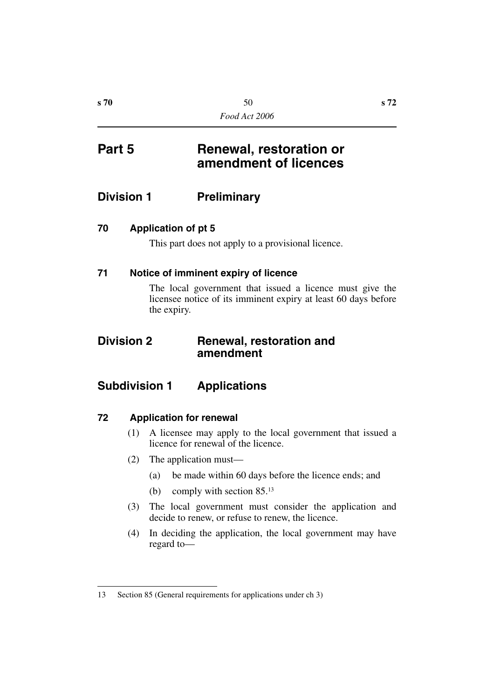# **Part 5** Renewal, restoration or **amendment of licences**

# **Division 1 Preliminary**

### **70 Application of pt 5**

This part does not apply to a provisional licence.

### **71 Notice of imminent expiry of licence**

The local government that issued a licence must give the licensee notice of its imminent expiry at least 60 days before the expiry.

### **Division 2 Renewal, restoration and amendment**

# **Subdivision 1 Applications**

### **72 Application for renewal**

- (1) A licensee may apply to the local government that issued a licence for renewal of the licence.
- (2) The application must—
	- (a) be made within 60 days before the licence ends; and
	- (b) comply with section 85.13
- (3) The local government must consider the application and decide to renew, or refuse to renew, the licence.
- (4) In deciding the application, the local government may have regard to—

<sup>13</sup> Section 85 (General requirements for applications under ch 3)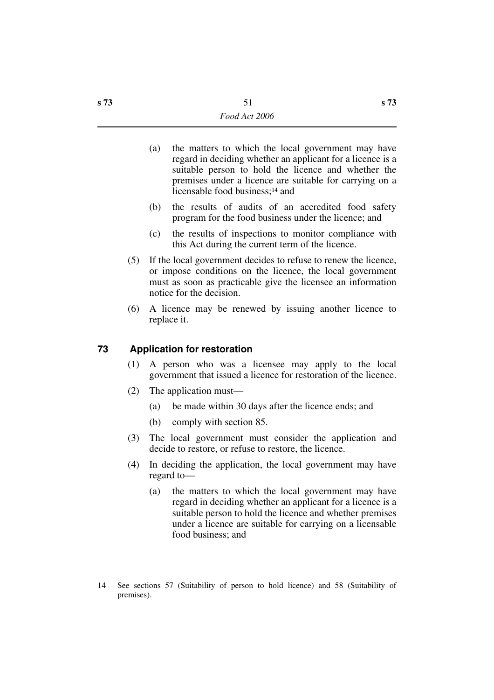- (a) the matters to which the local government may have regard in deciding whether an applicant for a licence is a suitable person to hold the licence and whether the premises under a licence are suitable for carrying on a licensable food business;<sup>14</sup> and
- (b) the results of audits of an accredited food safety program for the food business under the licence; and
- (c) the results of inspections to monitor compliance with this Act during the current term of the licence.
- (5) If the local government decides to refuse to renew the licence, or impose conditions on the licence, the local government must as soon as practicable give the licensee an information notice for the decision.
- (6) A licence may be renewed by issuing another licence to replace it.

#### **73 Application for restoration**

- (1) A person who was a licensee may apply to the local government that issued a licence for restoration of the licence.
- (2) The application must—
	- (a) be made within 30 days after the licence ends; and
	- (b) comply with section 85.
- (3) The local government must consider the application and decide to restore, or refuse to restore, the licence.
- (4) In deciding the application, the local government may have regard to—
	- (a) the matters to which the local government may have regard in deciding whether an applicant for a licence is a suitable person to hold the licence and whether premises under a licence are suitable for carrying on a licensable food business; and

<sup>14</sup> See sections 57 (Suitability of person to hold licence) and 58 (Suitability of premises).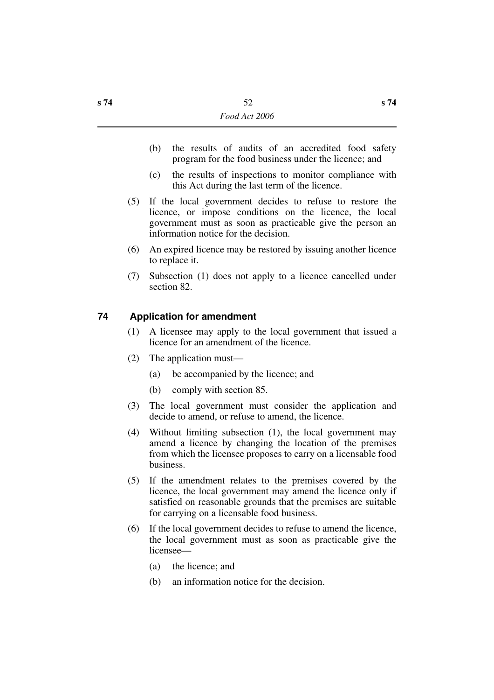- (b) the results of audits of an accredited food safety program for the food business under the licence; and
- (c) the results of inspections to monitor compliance with this Act during the last term of the licence.
- (5) If the local government decides to refuse to restore the licence, or impose conditions on the licence, the local government must as soon as practicable give the person an information notice for the decision.
- (6) An expired licence may be restored by issuing another licence to replace it.
- (7) Subsection (1) does not apply to a licence cancelled under section 82.

#### **74 Application for amendment**

- (1) A licensee may apply to the local government that issued a licence for an amendment of the licence.
- (2) The application must—
	- (a) be accompanied by the licence; and
	- (b) comply with section 85.
- (3) The local government must consider the application and decide to amend, or refuse to amend, the licence.
- (4) Without limiting subsection (1), the local government may amend a licence by changing the location of the premises from which the licensee proposes to carry on a licensable food business.
- (5) If the amendment relates to the premises covered by the licence, the local government may amend the licence only if satisfied on reasonable grounds that the premises are suitable for carrying on a licensable food business.
- (6) If the local government decides to refuse to amend the licence, the local government must as soon as practicable give the licensee—
	- (a) the licence; and
	- (b) an information notice for the decision.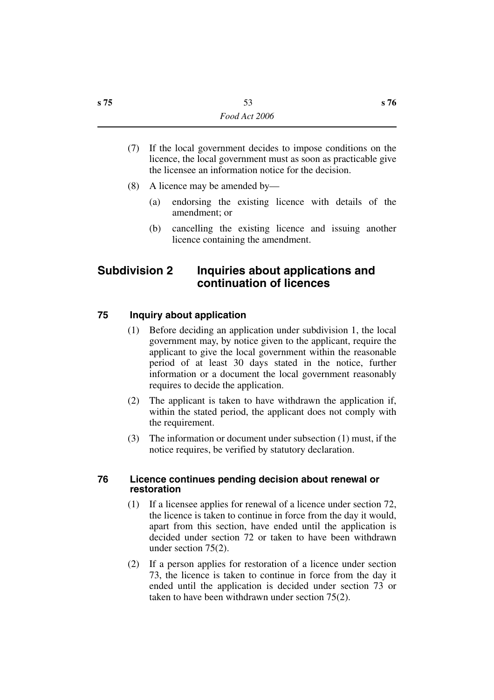- (7) If the local government decides to impose conditions on the licence, the local government must as soon as practicable give the licensee an information notice for the decision.
- (8) A licence may be amended by—
	- (a) endorsing the existing licence with details of the amendment; or
	- (b) cancelling the existing licence and issuing another licence containing the amendment.

# **Subdivision 2 Inquiries about applications and continuation of licences**

### **75 Inquiry about application**

- (1) Before deciding an application under subdivision 1, the local government may, by notice given to the applicant, require the applicant to give the local government within the reasonable period of at least 30 days stated in the notice, further information or a document the local government reasonably requires to decide the application.
- (2) The applicant is taken to have withdrawn the application if, within the stated period, the applicant does not comply with the requirement.
- (3) The information or document under subsection (1) must, if the notice requires, be verified by statutory declaration.

#### **76 Licence continues pending decision about renewal or restoration**

- (1) If a licensee applies for renewal of a licence under section 72, the licence is taken to continue in force from the day it would, apart from this section, have ended until the application is decided under section 72 or taken to have been withdrawn under section 75(2).
- (2) If a person applies for restoration of a licence under section 73, the licence is taken to continue in force from the day it ended until the application is decided under section 73 or taken to have been withdrawn under section 75(2).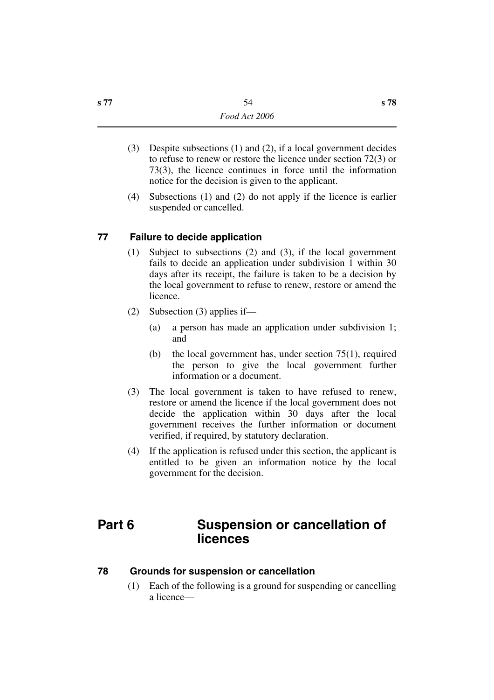- (3) Despite subsections (1) and (2), if a local government decides to refuse to renew or restore the licence under section 72(3) or 73(3), the licence continues in force until the information notice for the decision is given to the applicant.
- (4) Subsections (1) and (2) do not apply if the licence is earlier suspended or cancelled.

### **77 Failure to decide application**

- (1) Subject to subsections (2) and (3), if the local government fails to decide an application under subdivision 1 within 30 days after its receipt, the failure is taken to be a decision by the local government to refuse to renew, restore or amend the licence.
- (2) Subsection (3) applies if—
	- (a) a person has made an application under subdivision 1; and
	- (b) the local government has, under section 75(1), required the person to give the local government further information or a document.
- (3) The local government is taken to have refused to renew, restore or amend the licence if the local government does not decide the application within 30 days after the local government receives the further information or document verified, if required, by statutory declaration.
- (4) If the application is refused under this section, the applicant is entitled to be given an information notice by the local government for the decision.

# **Part 6 Suspension or cancellation of licences**

#### **78 Grounds for suspension or cancellation**

(1) Each of the following is a ground for suspending or cancelling a licence—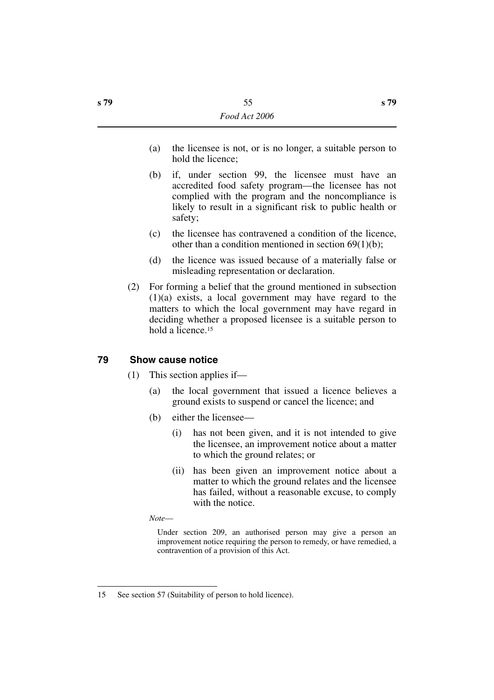- (a) the licensee is not, or is no longer, a suitable person to hold the licence;
- (b) if, under section 99, the licensee must have an accredited food safety program—the licensee has not complied with the program and the noncompliance is likely to result in a significant risk to public health or safety;
- (c) the licensee has contravened a condition of the licence, other than a condition mentioned in section 69(1)(b);
- (d) the licence was issued because of a materially false or misleading representation or declaration.
- (2) For forming a belief that the ground mentioned in subsection (1)(a) exists, a local government may have regard to the matters to which the local government may have regard in deciding whether a proposed licensee is a suitable person to hold a licence.15

#### **79 Show cause notice**

- (1) This section applies if—
	- (a) the local government that issued a licence believes a ground exists to suspend or cancel the licence; and
	- (b) either the licensee—
		- (i) has not been given, and it is not intended to give the licensee, an improvement notice about a matter to which the ground relates; or
		- (ii) has been given an improvement notice about a matter to which the ground relates and the licensee has failed, without a reasonable excuse, to comply with the notice.
	- *Note*—

Under section 209, an authorised person may give a person an improvement notice requiring the person to remedy, or have remedied, a contravention of a provision of this Act.

<sup>15</sup> See section 57 (Suitability of person to hold licence).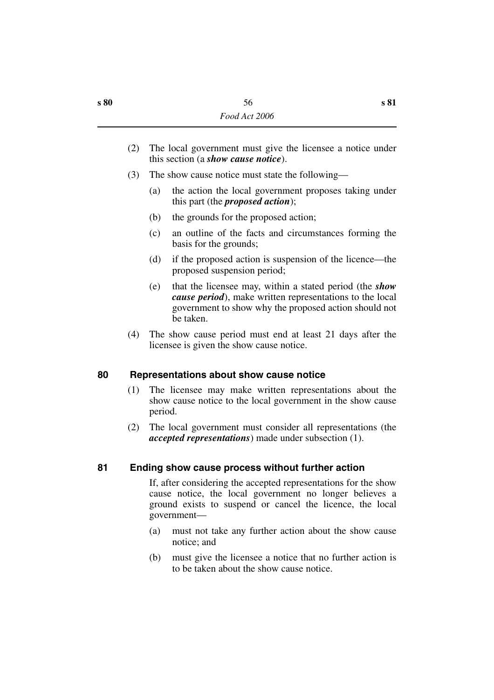- (2) The local government must give the licensee a notice under this section (a *show cause notice*).
- (3) The show cause notice must state the following—
	- (a) the action the local government proposes taking under this part (the *proposed action*);
	- (b) the grounds for the proposed action;
	- (c) an outline of the facts and circumstances forming the basis for the grounds;
	- (d) if the proposed action is suspension of the licence—the proposed suspension period;
	- (e) that the licensee may, within a stated period (the *show cause period*), make written representations to the local government to show why the proposed action should not be taken.
- (4) The show cause period must end at least 21 days after the licensee is given the show cause notice.

#### **80 Representations about show cause notice**

- (1) The licensee may make written representations about the show cause notice to the local government in the show cause period.
- (2) The local government must consider all representations (the *accepted representations*) made under subsection (1).

#### **81 Ending show cause process without further action**

If, after considering the accepted representations for the show cause notice, the local government no longer believes a ground exists to suspend or cancel the licence, the local government—

- (a) must not take any further action about the show cause notice; and
- (b) must give the licensee a notice that no further action is to be taken about the show cause notice.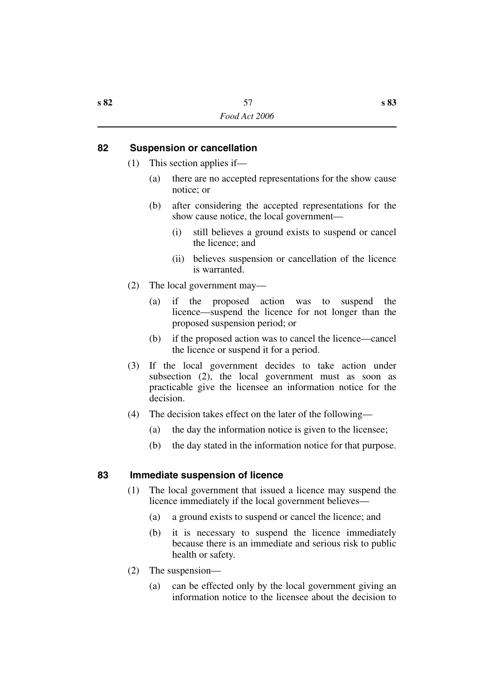#### **82 Suspension or cancellation**

- (1) This section applies if—
	- (a) there are no accepted representations for the show cause notice; or
	- (b) after considering the accepted representations for the show cause notice, the local government—
		- (i) still believes a ground exists to suspend or cancel the licence; and
		- (ii) believes suspension or cancellation of the licence is warranted.
- (2) The local government may—
	- (a) if the proposed action was to suspend the licence—suspend the licence for not longer than the proposed suspension period; or
	- (b) if the proposed action was to cancel the licence—cancel the licence or suspend it for a period.
- (3) If the local government decides to take action under subsection (2), the local government must as soon as practicable give the licensee an information notice for the decision.
- (4) The decision takes effect on the later of the following—
	- (a) the day the information notice is given to the licensee;
	- (b) the day stated in the information notice for that purpose.

#### **83 Immediate suspension of licence**

- (1) The local government that issued a licence may suspend the licence immediately if the local government believes—
	- (a) a ground exists to suspend or cancel the licence; and
	- (b) it is necessary to suspend the licence immediately because there is an immediate and serious risk to public health or safety.
- (2) The suspension—
	- (a) can be effected only by the local government giving an information notice to the licensee about the decision to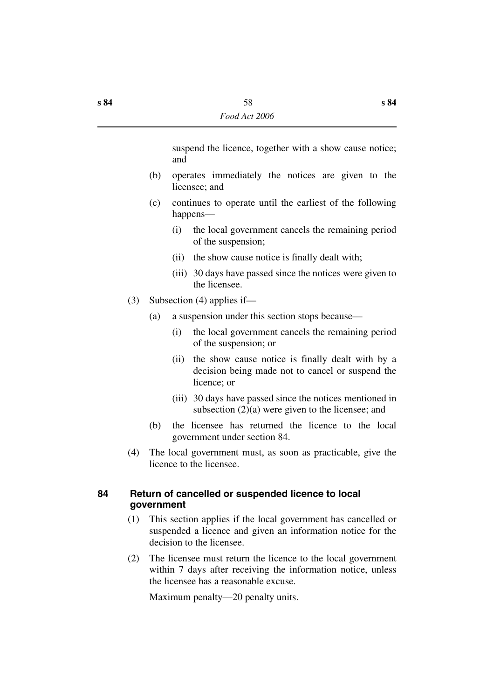suspend the licence, together with a show cause notice; and

- (b) operates immediately the notices are given to the licensee; and
- (c) continues to operate until the earliest of the following happens—
	- (i) the local government cancels the remaining period of the suspension;
	- (ii) the show cause notice is finally dealt with;
	- (iii) 30 days have passed since the notices were given to the licensee.
- (3) Subsection (4) applies if—
	- (a) a suspension under this section stops because—
		- (i) the local government cancels the remaining period of the suspension; or
		- (ii) the show cause notice is finally dealt with by a decision being made not to cancel or suspend the licence; or
		- (iii) 30 days have passed since the notices mentioned in subsection (2)(a) were given to the licensee; and
	- (b) the licensee has returned the licence to the local government under section 84.
- (4) The local government must, as soon as practicable, give the licence to the licensee.

#### **84 Return of cancelled or suspended licence to local government**

- (1) This section applies if the local government has cancelled or suspended a licence and given an information notice for the decision to the licensee.
- (2) The licensee must return the licence to the local government within 7 days after receiving the information notice, unless the licensee has a reasonable excuse.

Maximum penalty—20 penalty units.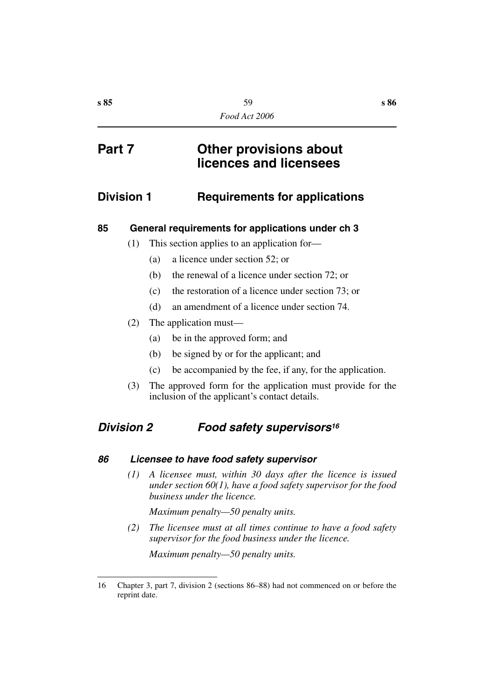# **Part 7 Other provisions about licences and licensees**

# **Division 1 Requirements for applications**

### **85 General requirements for applications under ch 3**

- (1) This section applies to an application for—
	- (a) a licence under section 52; or
	- (b) the renewal of a licence under section 72; or
	- (c) the restoration of a licence under section 73; or
	- (d) an amendment of a licence under section 74.
- (2) The application must—
	- (a) be in the approved form; and
	- (b) be signed by or for the applicant; and
	- (c) be accompanied by the fee, if any, for the application.
- (3) The approved form for the application must provide for the inclusion of the applicant's contact details.

# *Division 2 Food safety supervisors16*

### *86 Licensee to have food safety supervisor*

*(1) A licensee must, within 30 days after the licence is issued under section 60(1), have a food safety supervisor for the food business under the licence.*

*Maximum penalty—50 penalty units.*

*(2) The licensee must at all times continue to have a food safety supervisor for the food business under the licence.*

*Maximum penalty—50 penalty units.*

<sup>16</sup> Chapter 3, part 7, division 2 (sections 86–88) had not commenced on or before the reprint date.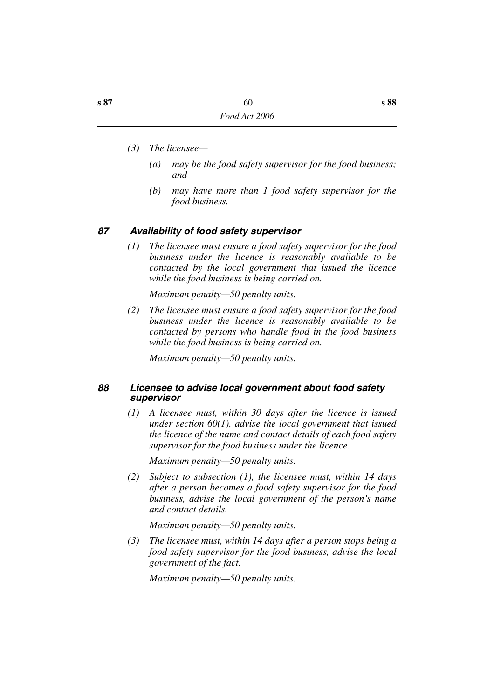- *(3) The licensee—*
	- *(a) may be the food safety supervisor for the food business; and*
	- *(b) may have more than 1 food safety supervisor for the food business.*

#### *87 Availability of food safety supervisor*

*(1) The licensee must ensure a food safety supervisor for the food business under the licence is reasonably available to be contacted by the local government that issued the licence while the food business is being carried on.*

*Maximum penalty—50 penalty units.*

*(2) The licensee must ensure a food safety supervisor for the food business under the licence is reasonably available to be contacted by persons who handle food in the food business while the food business is being carried on.*

*Maximum penalty—50 penalty units.*

#### *88 Licensee to advise local government about food safety supervisor*

*(1) A licensee must, within 30 days after the licence is issued under section 60(1), advise the local government that issued the licence of the name and contact details of each food safety supervisor for the food business under the licence.*

*Maximum penalty—50 penalty units.*

*(2) Subject to subsection (1), the licensee must, within 14 days after a person becomes a food safety supervisor for the food business, advise the local government of the person's name and contact details.*

*Maximum penalty—50 penalty units.*

*(3) The licensee must, within 14 days after a person stops being a food safety supervisor for the food business, advise the local government of the fact.*

*Maximum penalty—50 penalty units.*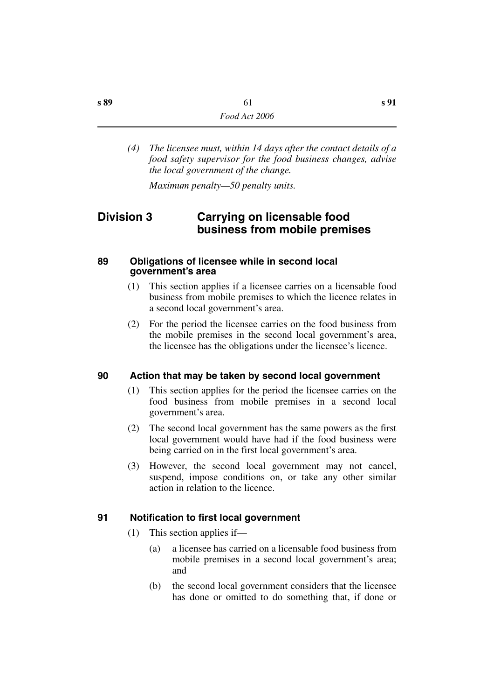*(4) The licensee must, within 14 days after the contact details of a food safety supervisor for the food business changes, advise the local government of the change.*

*Maximum penalty—50 penalty units.*

# **Division 3 Carrying on licensable food business from mobile premises**

#### **89 Obligations of licensee while in second local government's area**

- (1) This section applies if a licensee carries on a licensable food business from mobile premises to which the licence relates in a second local government's area.
- (2) For the period the licensee carries on the food business from the mobile premises in the second local government's area, the licensee has the obligations under the licensee's licence.

#### **90 Action that may be taken by second local government**

- (1) This section applies for the period the licensee carries on the food business from mobile premises in a second local government's area.
- (2) The second local government has the same powers as the first local government would have had if the food business were being carried on in the first local government's area.
- (3) However, the second local government may not cancel, suspend, impose conditions on, or take any other similar action in relation to the licence.

#### **91 Notification to first local government**

- (1) This section applies if—
	- (a) a licensee has carried on a licensable food business from mobile premises in a second local government's area; and
	- (b) the second local government considers that the licensee has done or omitted to do something that, if done or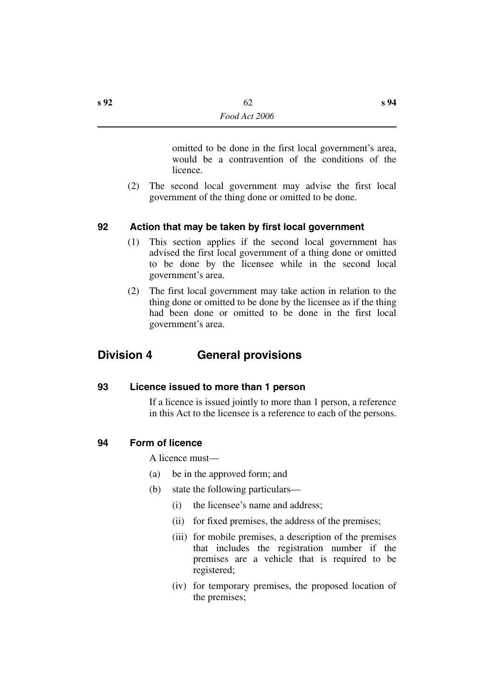omitted to be done in the first local government's area, would be a contravention of the conditions of the licence.

(2) The second local government may advise the first local government of the thing done or omitted to be done.

#### **92 Action that may be taken by first local government**

- (1) This section applies if the second local government has advised the first local government of a thing done or omitted to be done by the licensee while in the second local government's area.
- (2) The first local government may take action in relation to the thing done or omitted to be done by the licensee as if the thing had been done or omitted to be done in the first local government's area.

### **Division 4 General provisions**

#### **93 Licence issued to more than 1 person**

If a licence is issued jointly to more than 1 person, a reference in this Act to the licensee is a reference to each of the persons.

#### **94 Form of licence**

A licence must—

- (a) be in the approved form; and
- (b) state the following particulars—
	- (i) the licensee's name and address;
	- (ii) for fixed premises, the address of the premises;
	- (iii) for mobile premises, a description of the premises that includes the registration number if the premises are a vehicle that is required to be registered;
	- (iv) for temporary premises, the proposed location of the premises;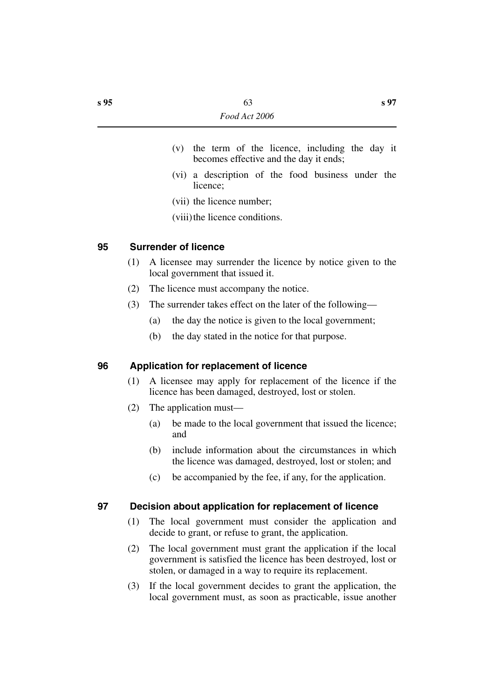- (v) the term of the licence, including the day it becomes effective and the day it ends;
- (vi) a description of the food business under the licence;
- (vii) the licence number;

(viii) the licence conditions.

#### **95 Surrender of licence**

- (1) A licensee may surrender the licence by notice given to the local government that issued it.
- (2) The licence must accompany the notice.
- (3) The surrender takes effect on the later of the following—
	- (a) the day the notice is given to the local government;
	- (b) the day stated in the notice for that purpose.

#### **96 Application for replacement of licence**

- (1) A licensee may apply for replacement of the licence if the licence has been damaged, destroyed, lost or stolen.
- (2) The application must—
	- (a) be made to the local government that issued the licence; and
	- (b) include information about the circumstances in which the licence was damaged, destroyed, lost or stolen; and
	- (c) be accompanied by the fee, if any, for the application.

#### **97 Decision about application for replacement of licence**

- (1) The local government must consider the application and decide to grant, or refuse to grant, the application.
- (2) The local government must grant the application if the local government is satisfied the licence has been destroyed, lost or stolen, or damaged in a way to require its replacement.
- (3) If the local government decides to grant the application, the local government must, as soon as practicable, issue another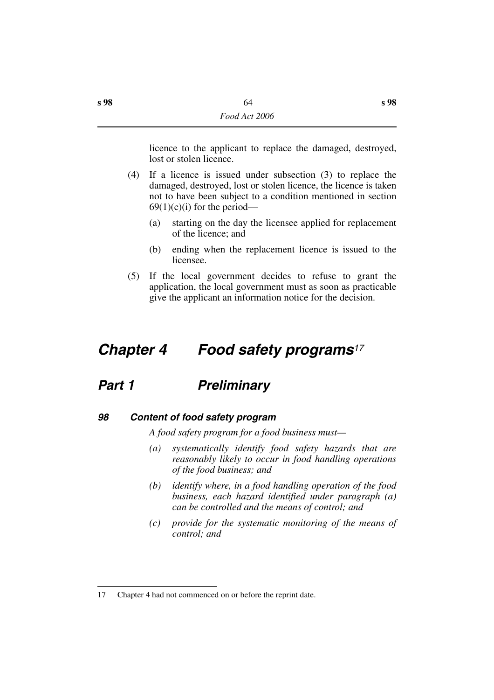licence to the applicant to replace the damaged, destroyed, lost or stolen licence.

- (4) If a licence is issued under subsection (3) to replace the damaged, destroyed, lost or stolen licence, the licence is taken not to have been subject to a condition mentioned in section  $69(1)(c)(i)$  for the period—
	- (a) starting on the day the licensee applied for replacement of the licence; and
	- (b) ending when the replacement licence is issued to the licensee.
- (5) If the local government decides to refuse to grant the application, the local government must as soon as practicable give the applicant an information notice for the decision.

# *Chapter 4 Food safety programs<sup>17</sup>*

# *Part 1 Preliminary*

#### *98 Content of food safety program*

*A food safety program for a food business must—*

- *(a) systematically identify food safety hazards that are reasonably likely to occur in food handling operations of the food business; and*
- *(b) identify where, in a food handling operation of the food business, each hazard identified under paragraph (a) can be controlled and the means of control; and*
- *(c) provide for the systematic monitoring of the means of control; and*

<sup>17</sup> Chapter 4 had not commenced on or before the reprint date.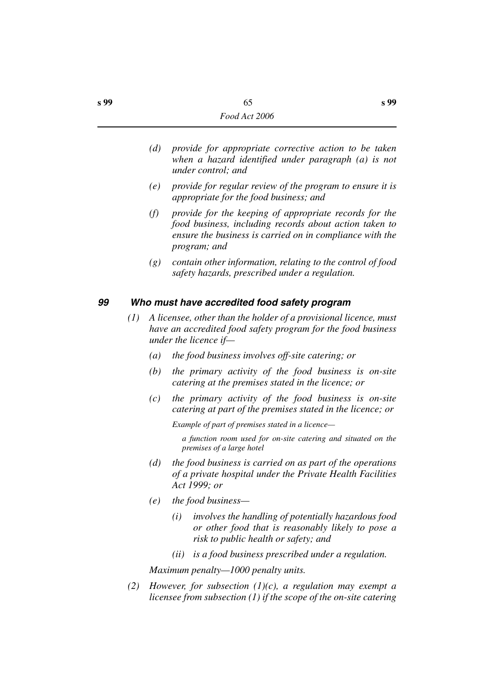- *(d) provide for appropriate corrective action to be taken when a hazard identified under paragraph (a) is not under control; and*
- *(e) provide for regular review of the program to ensure it is appropriate for the food business; and*
- *(f) provide for the keeping of appropriate records for the food business, including records about action taken to ensure the business is carried on in compliance with the program; and*
- *(g) contain other information, relating to the control of food safety hazards, prescribed under a regulation.*

#### *99 Who must have accredited food safety program*

- *(1) A licensee, other than the holder of a provisional licence, must have an accredited food safety program for the food business under the licence if—*
	- *(a) the food business involves off-site catering; or*
	- *(b) the primary activity of the food business is on-site catering at the premises stated in the licence; or*
	- *(c) the primary activity of the food business is on-site catering at part of the premises stated in the licence; or*

*Example of part of premises stated in a licence—*

*a function room used for on-site catering and situated on the premises of a large hotel*

- *(d) the food business is carried on as part of the operations of a private hospital under the Private Health Facilities Act 1999; or*
- *(e) the food business—*
	- *(i) involves the handling of potentially hazardous food or other food that is reasonably likely to pose a risk to public health or safety; and*
	- *(ii) is a food business prescribed under a regulation.*

*Maximum penalty—1000 penalty units.*

*(2) However, for subsection (1)(c), a regulation may exempt a licensee from subsection (1) if the scope of the on-site catering*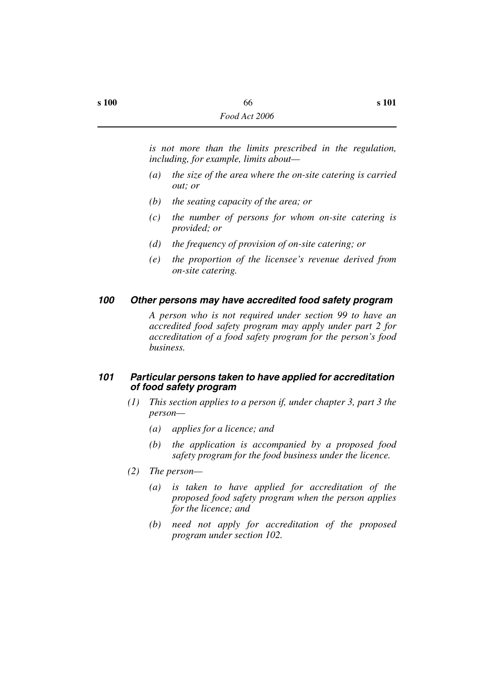*is not more than the limits prescribed in the regulation, including, for example, limits about—*

- *(a) the size of the area where the on-site catering is carried out; or*
- *(b) the seating capacity of the area; or*
- *(c) the number of persons for whom on-site catering is provided; or*
- *(d) the frequency of provision of on-site catering; or*
- *(e) the proportion of the licensee's revenue derived from on-site catering.*

#### *100 Other persons may have accredited food safety program*

*A person who is not required under section 99 to have an accredited food safety program may apply under part 2 for accreditation of a food safety program for the person's food business.*

#### *101 Particular persons taken to have applied for accreditation of food safety program*

- *(1) This section applies to a person if, under chapter 3, part 3 the person—*
	- *(a) applies for a licence; and*
	- *(b) the application is accompanied by a proposed food safety program for the food business under the licence.*
- *(2) The person—*
	- *(a) is taken to have applied for accreditation of the proposed food safety program when the person applies for the licence; and*
	- *(b) need not apply for accreditation of the proposed program under section 102.*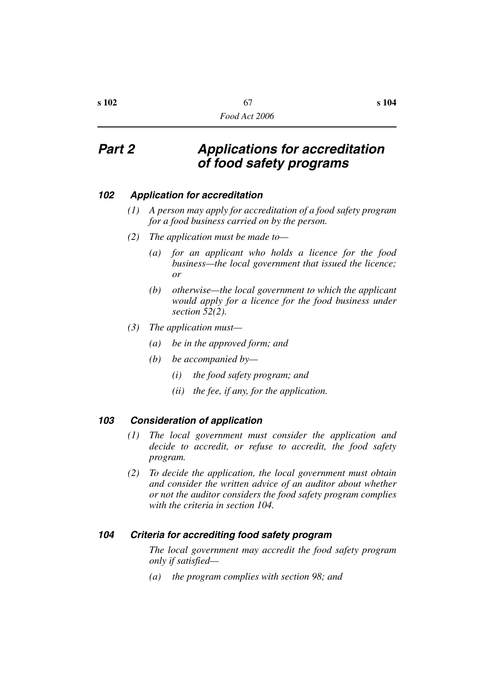# *Part 2 Applications for accreditation of food safety programs*

#### *102 Application for accreditation*

- *(1) A person may apply for accreditation of a food safety program for a food business carried on by the person.*
- *(2) The application must be made to—*
	- *(a) for an applicant who holds a licence for the food business—the local government that issued the licence; or*
	- *(b) otherwise—the local government to which the applicant would apply for a licence for the food business under section 52(2).*
- *(3) The application must—*
	- *(a) be in the approved form; and*
	- *(b) be accompanied by—*
		- *(i) the food safety program; and*
		- *(ii) the fee, if any, for the application.*

#### *103 Consideration of application*

- *(1) The local government must consider the application and decide to accredit, or refuse to accredit, the food safety program.*
- *(2) To decide the application, the local government must obtain and consider the written advice of an auditor about whether or not the auditor considers the food safety program complies with the criteria in section 104.*

#### *104 Criteria for accrediting food safety program*

*The local government may accredit the food safety program only if satisfied—*

*(a) the program complies with section 98; and*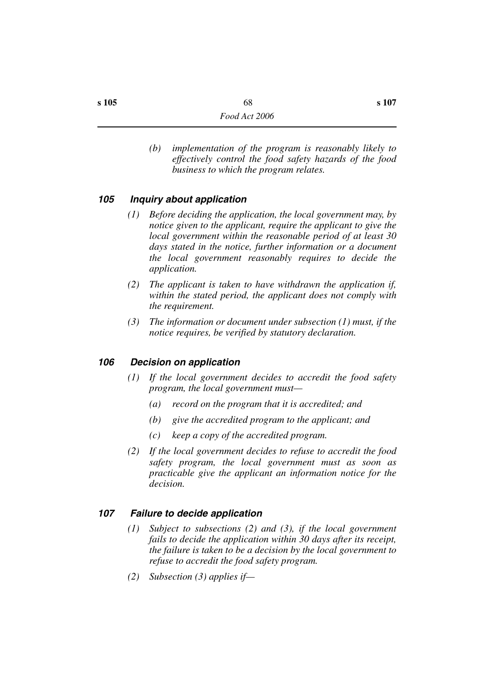*(b) implementation of the program is reasonably likely to effectively control the food safety hazards of the food business to which the program relates.*

#### *105 Inquiry about application*

- *(1) Before deciding the application, the local government may, by notice given to the applicant, require the applicant to give the local government within the reasonable period of at least 30 days stated in the notice, further information or a document the local government reasonably requires to decide the application.*
- *(2) The applicant is taken to have withdrawn the application if, within the stated period, the applicant does not comply with the requirement.*
- *(3) The information or document under subsection (1) must, if the notice requires, be verified by statutory declaration.*

#### *106 Decision on application*

- *(1) If the local government decides to accredit the food safety program, the local government must—*
	- *(a) record on the program that it is accredited; and*
	- *(b) give the accredited program to the applicant; and*
	- *(c) keep a copy of the accredited program.*
- *(2) If the local government decides to refuse to accredit the food safety program, the local government must as soon as practicable give the applicant an information notice for the decision.*

### *107 Failure to decide application*

- *(1) Subject to subsections (2) and (3), if the local government fails to decide the application within 30 days after its receipt, the failure is taken to be a decision by the local government to refuse to accredit the food safety program.*
- *(2) Subsection (3) applies if—*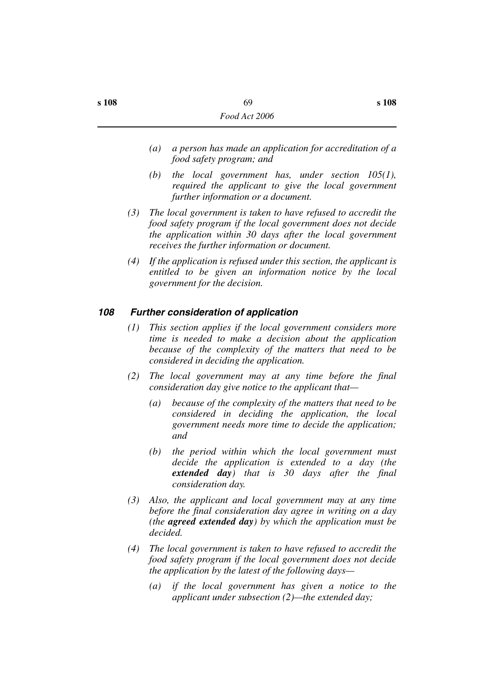- *(a) a person has made an application for accreditation of a food safety program; and*
- *(b) the local government has, under section 105(1), required the applicant to give the local government further information or a document.*
- *(3) The local government is taken to have refused to accredit the food safety program if the local government does not decide the application within 30 days after the local government receives the further information or document.*
- *(4) If the application is refused under this section, the applicant is entitled to be given an information notice by the local government for the decision.*

#### *108 Further consideration of application*

- *(1) This section applies if the local government considers more time is needed to make a decision about the application because of the complexity of the matters that need to be considered in deciding the application.*
- *(2) The local government may at any time before the final consideration day give notice to the applicant that—*
	- *(a) because of the complexity of the matters that need to be considered in deciding the application, the local government needs more time to decide the application; and*
	- *(b) the period within which the local government must decide the application is extended to a day (the extended day) that is 30 days after the final consideration day.*
- *(3) Also, the applicant and local government may at any time before the final consideration day agree in writing on a day (the agreed extended day) by which the application must be decided.*
- *(4) The local government is taken to have refused to accredit the food safety program if the local government does not decide the application by the latest of the following days—*
	- *(a) if the local government has given a notice to the applicant under subsection (2)—the extended day;*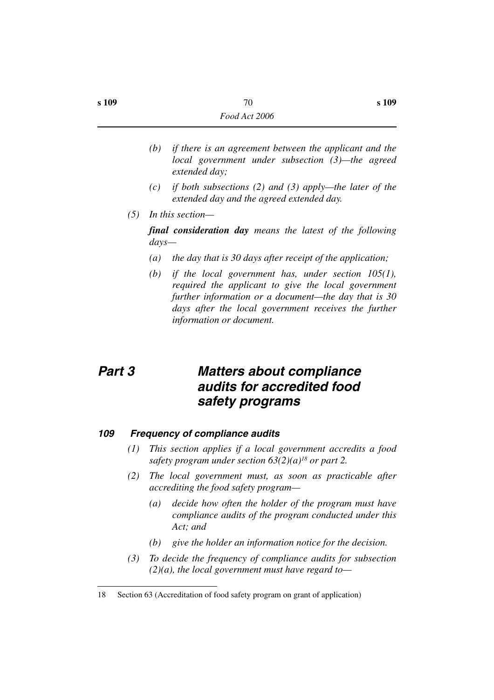- *(b) if there is an agreement between the applicant and the local government under subsection (3)—the agreed extended day;*
- *(c) if both subsections (2) and (3) apply—the later of the extended day and the agreed extended day.*
- *(5) In this section—*

*final consideration day means the latest of the following days—*

- *(a) the day that is 30 days after receipt of the application;*
- *(b) if the local government has, under section 105(1), required the applicant to give the local government further information or a document—the day that is 30 days after the local government receives the further information or document.*

# *Part 3 Matters about compliance audits for accredited food safety programs*

### *109 Frequency of compliance audits*

- *(1) This section applies if a local government accredits a food safety program under section 63(2)(a)18 or part 2.*
- *(2) The local government must, as soon as practicable after accrediting the food safety program—*
	- *(a) decide how often the holder of the program must have compliance audits of the program conducted under this Act; and*
	- *(b) give the holder an information notice for the decision.*
- *(3) To decide the frequency of compliance audits for subsection (2)(a), the local government must have regard to—*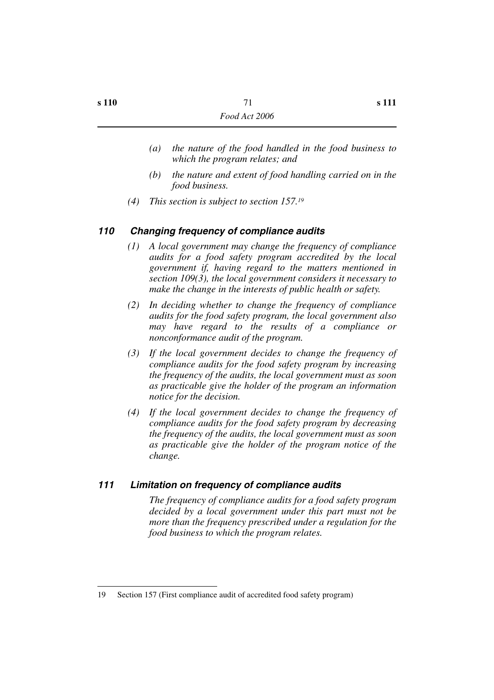- *(a) the nature of the food handled in the food business to which the program relates; and*
- *(b) the nature and extent of food handling carried on in the food business.*
- *(4) This section is subject to section 157.19*

## *110 Changing frequency of compliance audits*

- *(1) A local government may change the frequency of compliance audits for a food safety program accredited by the local government if, having regard to the matters mentioned in section 109(3), the local government considers it necessary to make the change in the interests of public health or safety.*
- *(2) In deciding whether to change the frequency of compliance audits for the food safety program, the local government also may have regard to the results of a compliance or nonconformance audit of the program.*
- *(3) If the local government decides to change the frequency of compliance audits for the food safety program by increasing the frequency of the audits, the local government must as soon as practicable give the holder of the program an information notice for the decision.*
- *(4) If the local government decides to change the frequency of compliance audits for the food safety program by decreasing the frequency of the audits, the local government must as soon as practicable give the holder of the program notice of the change.*

## *111 Limitation on frequency of compliance audits*

*The frequency of compliance audits for a food safety program decided by a local government under this part must not be more than the frequency prescribed under a regulation for the food business to which the program relates.*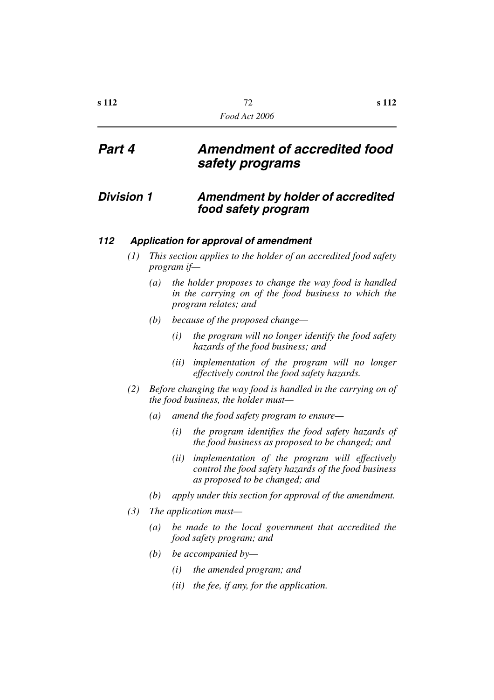# *Part 4 Amendment of accredited food safety programs*

## *Division 1 Amendment by holder of accredited food safety program*

### *112 Application for approval of amendment*

- *(1) This section applies to the holder of an accredited food safety program if—*
	- *(a) the holder proposes to change the way food is handled in the carrying on of the food business to which the program relates; and*
	- *(b) because of the proposed change—*
		- *(i) the program will no longer identify the food safety hazards of the food business; and*
		- *(ii) implementation of the program will no longer effectively control the food safety hazards.*
- *(2) Before changing the way food is handled in the carrying on of the food business, the holder must—*
	- *(a) amend the food safety program to ensure—*
		- *(i) the program identifies the food safety hazards of the food business as proposed to be changed; and*
		- *(ii) implementation of the program will effectively control the food safety hazards of the food business as proposed to be changed; and*
	- *(b) apply under this section for approval of the amendment.*
- *(3) The application must—*
	- *(a) be made to the local government that accredited the food safety program; and*
	- *(b) be accompanied by—*
		- *(i) the amended program; and*
		- *(ii) the fee, if any, for the application.*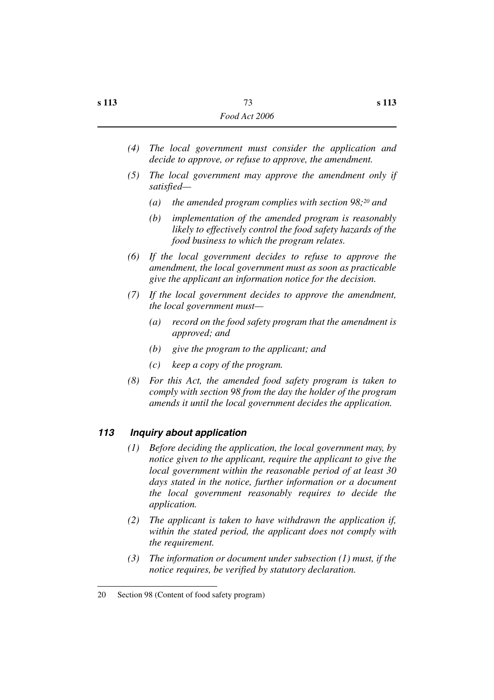- *(4) The local government must consider the application and decide to approve, or refuse to approve, the amendment.*
- *(5) The local government may approve the amendment only if satisfied—*
	- *(a) the amended program complies with section 98;20 and*
	- *(b) implementation of the amended program is reasonably likely to effectively control the food safety hazards of the food business to which the program relates.*
- *(6) If the local government decides to refuse to approve the amendment, the local government must as soon as practicable give the applicant an information notice for the decision.*
- *(7) If the local government decides to approve the amendment, the local government must—*
	- *(a) record on the food safety program that the amendment is approved; and*
	- *(b) give the program to the applicant; and*
	- *(c) keep a copy of the program.*
- *(8) For this Act, the amended food safety program is taken to comply with section 98 from the day the holder of the program amends it until the local government decides the application.*

## *113 Inquiry about application*

- *(1) Before deciding the application, the local government may, by notice given to the applicant, require the applicant to give the local government within the reasonable period of at least 30 days stated in the notice, further information or a document the local government reasonably requires to decide the application.*
- *(2) The applicant is taken to have withdrawn the application if, within the stated period, the applicant does not comply with the requirement.*
- *(3) The information or document under subsection (1) must, if the notice requires, be verified by statutory declaration.*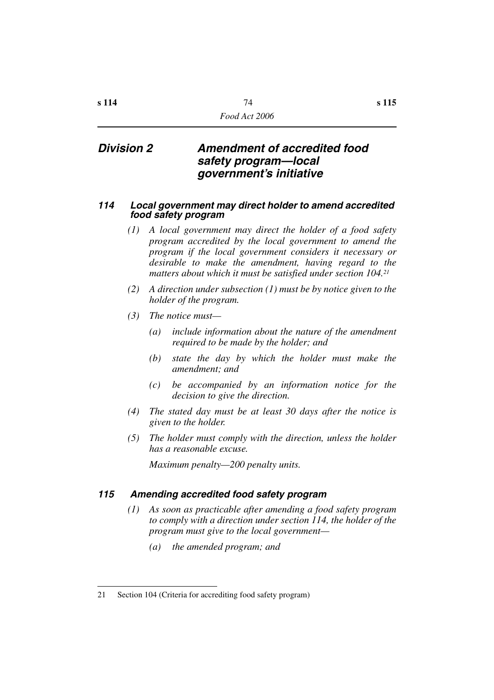## *Division 2 Amendment of accredited food safety program—local government's initiative*

#### *114 Local government may direct holder to amend accredited food safety program*

- *(1) A local government may direct the holder of a food safety program accredited by the local government to amend the program if the local government considers it necessary or desirable to make the amendment, having regard to the matters about which it must be satisfied under section 104.21*
- *(2) A direction under subsection (1) must be by notice given to the holder of the program.*
- *(3) The notice must—*
	- *(a) include information about the nature of the amendment required to be made by the holder; and*
	- *(b) state the day by which the holder must make the amendment; and*
	- *(c) be accompanied by an information notice for the decision to give the direction.*
- *(4) The stated day must be at least 30 days after the notice is given to the holder.*
- *(5) The holder must comply with the direction, unless the holder has a reasonable excuse.*

*Maximum penalty—200 penalty units.*

## *115 Amending accredited food safety program*

- *(1) As soon as practicable after amending a food safety program to comply with a direction under section 114, the holder of the program must give to the local government—*
	- *(a) the amended program; and*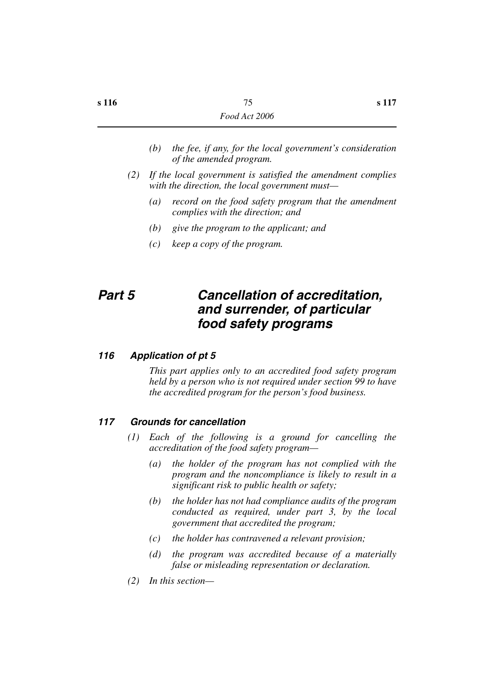- *(b) the fee, if any, for the local government's consideration of the amended program.*
- *(2) If the local government is satisfied the amendment complies with the direction, the local government must—*
	- *(a) record on the food safety program that the amendment complies with the direction; and*
	- *(b) give the program to the applicant; and*
	- *(c) keep a copy of the program.*

# *Part 5 Cancellation of accreditation, and surrender, of particular food safety programs*

## *116 Application of pt 5*

*This part applies only to an accredited food safety program held by a person who is not required under section 99 to have the accredited program for the person's food business.*

### *117 Grounds for cancellation*

- *(1) Each of the following is a ground for cancelling the accreditation of the food safety program—*
	- *(a) the holder of the program has not complied with the program and the noncompliance is likely to result in a significant risk to public health or safety;*
	- *(b) the holder has not had compliance audits of the program conducted as required, under part 3, by the local government that accredited the program;*
	- *(c) the holder has contravened a relevant provision;*
	- *(d) the program was accredited because of a materially false or misleading representation or declaration.*
- *(2) In this section—*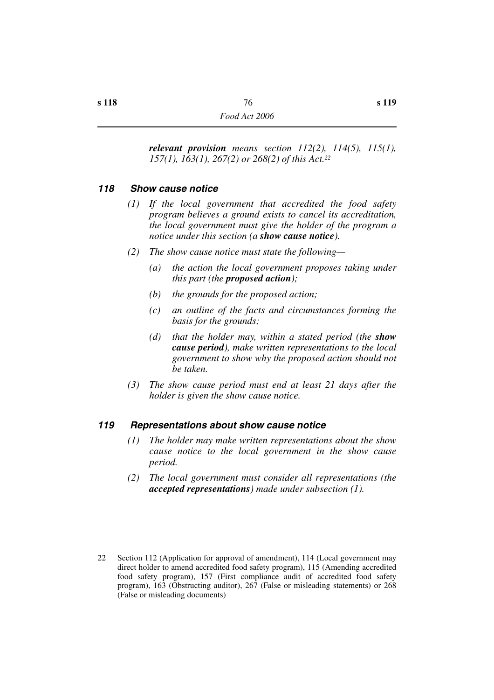*relevant provision means section 112(2), 114(5), 115(1), 157(1), 163(1), 267(2) or 268(2) of this Act.22*

## *118 Show cause notice*

- *(1) If the local government that accredited the food safety program believes a ground exists to cancel its accreditation, the local government must give the holder of the program a notice under this section (a show cause notice).*
- *(2) The show cause notice must state the following—*
	- *(a) the action the local government proposes taking under this part (the proposed action);*
	- *(b) the grounds for the proposed action;*
	- *(c) an outline of the facts and circumstances forming the basis for the grounds;*
	- *(d) that the holder may, within a stated period (the show cause period), make written representations to the local government to show why the proposed action should not be taken.*
- *(3) The show cause period must end at least 21 days after the holder is given the show cause notice.*

## *119 Representations about show cause notice*

- *(1) The holder may make written representations about the show cause notice to the local government in the show cause period.*
- *(2) The local government must consider all representations (the accepted representations) made under subsection (1).*

<sup>22</sup> Section 112 (Application for approval of amendment), 114 (Local government may direct holder to amend accredited food safety program), 115 (Amending accredited food safety program), 157 (First compliance audit of accredited food safety program), 163 (Obstructing auditor), 267 (False or misleading statements) or 268 (False or misleading documents)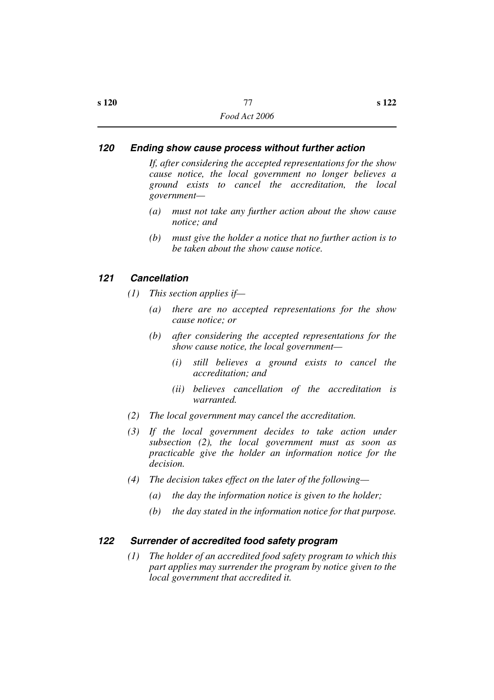### *120 Ending show cause process without further action*

*If, after considering the accepted representations for the show cause notice, the local government no longer believes a ground exists to cancel the accreditation, the local government—*

- *(a) must not take any further action about the show cause notice; and*
- *(b) must give the holder a notice that no further action is to be taken about the show cause notice.*

### *121 Cancellation*

- *(1) This section applies if—*
	- *(a) there are no accepted representations for the show cause notice; or*
	- *(b) after considering the accepted representations for the show cause notice, the local government—*
		- *(i) still believes a ground exists to cancel the accreditation; and*
		- *(ii) believes cancellation of the accreditation is warranted.*
- *(2) The local government may cancel the accreditation.*
- *(3) If the local government decides to take action under subsection (2), the local government must as soon as practicable give the holder an information notice for the decision.*
- *(4) The decision takes effect on the later of the following—*
	- *(a) the day the information notice is given to the holder;*
	- *(b) the day stated in the information notice for that purpose.*

## *122 Surrender of accredited food safety program*

*(1) The holder of an accredited food safety program to which this part applies may surrender the program by notice given to the local government that accredited it.*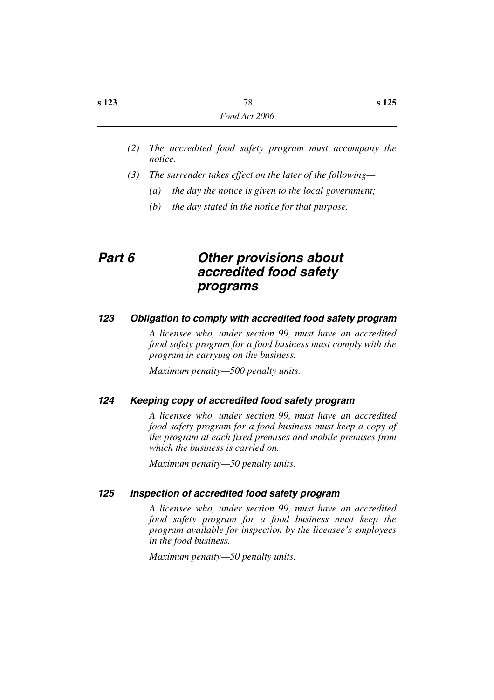- *(2) The accredited food safety program must accompany the notice.*
- *(3) The surrender takes effect on the later of the following—*
	- *(a) the day the notice is given to the local government;*
	- *(b) the day stated in the notice for that purpose.*

## *Part 6 Other provisions about accredited food safety programs*

### *123 Obligation to comply with accredited food safety program*

*A licensee who, under section 99, must have an accredited food safety program for a food business must comply with the program in carrying on the business.*

*Maximum penalty—500 penalty units.*

### *124 Keeping copy of accredited food safety program*

*A licensee who, under section 99, must have an accredited food safety program for a food business must keep a copy of the program at each fixed premises and mobile premises from which the business is carried on.*

*Maximum penalty—50 penalty units.*

#### *125 Inspection of accredited food safety program*

*A licensee who, under section 99, must have an accredited food safety program for a food business must keep the program available for inspection by the licensee's employees in the food business.*

*Maximum penalty—50 penalty units.*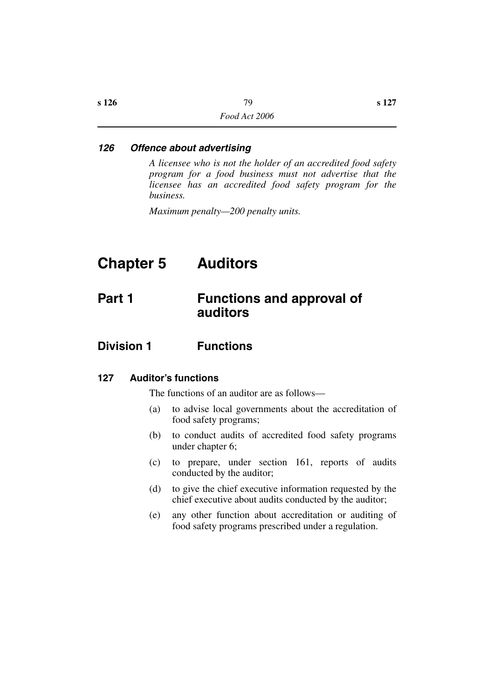#### *126 Offence about advertising*

*A licensee who is not the holder of an accredited food safety program for a food business must not advertise that the licensee has an accredited food safety program for the business.*

*Maximum penalty—200 penalty units.*

# **Chapter 5 Auditors**

## **Part 1 Functions and approval of auditors**

## **Division 1 Functions**

#### **127 Auditor's functions**

The functions of an auditor are as follows—

- (a) to advise local governments about the accreditation of food safety programs;
- (b) to conduct audits of accredited food safety programs under chapter 6;
- (c) to prepare, under section 161, reports of audits conducted by the auditor;
- (d) to give the chief executive information requested by the chief executive about audits conducted by the auditor;
- (e) any other function about accreditation or auditing of food safety programs prescribed under a regulation.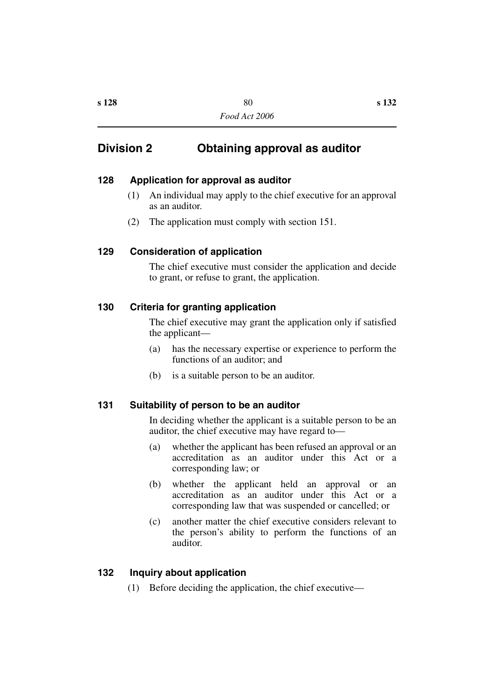## **Division 2 Obtaining approval as auditor**

## **128 Application for approval as auditor**

- (1) An individual may apply to the chief executive for an approval as an auditor.
- (2) The application must comply with section 151.

## **129 Consideration of application**

The chief executive must consider the application and decide to grant, or refuse to grant, the application.

### **130 Criteria for granting application**

The chief executive may grant the application only if satisfied the applicant—

- (a) has the necessary expertise or experience to perform the functions of an auditor; and
- (b) is a suitable person to be an auditor.

## **131 Suitability of person to be an auditor**

In deciding whether the applicant is a suitable person to be an auditor, the chief executive may have regard to—

- (a) whether the applicant has been refused an approval or an accreditation as an auditor under this Act or a corresponding law; or
- (b) whether the applicant held an approval or an accreditation as an auditor under this Act or a corresponding law that was suspended or cancelled; or
- (c) another matter the chief executive considers relevant to the person's ability to perform the functions of an auditor.

## **132 Inquiry about application**

(1) Before deciding the application, the chief executive—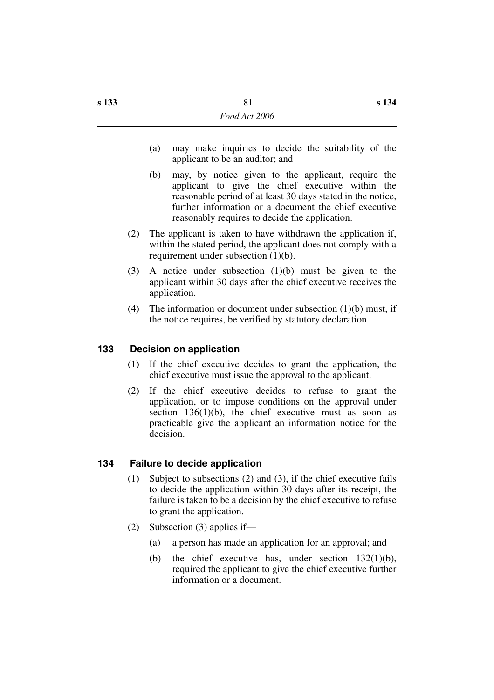- (a) may make inquiries to decide the suitability of the applicant to be an auditor; and
- (b) may, by notice given to the applicant, require the applicant to give the chief executive within the reasonable period of at least 30 days stated in the notice, further information or a document the chief executive reasonably requires to decide the application.
- (2) The applicant is taken to have withdrawn the application if, within the stated period, the applicant does not comply with a requirement under subsection (1)(b).
- (3) A notice under subsection (1)(b) must be given to the applicant within 30 days after the chief executive receives the application.
- (4) The information or document under subsection  $(1)(b)$  must, if the notice requires, be verified by statutory declaration.

### **133 Decision on application**

- (1) If the chief executive decides to grant the application, the chief executive must issue the approval to the applicant.
- (2) If the chief executive decides to refuse to grant the application, or to impose conditions on the approval under section  $136(1)(b)$ , the chief executive must as soon as practicable give the applicant an information notice for the decision.

## **134 Failure to decide application**

- (1) Subject to subsections (2) and (3), if the chief executive fails to decide the application within 30 days after its receipt, the failure is taken to be a decision by the chief executive to refuse to grant the application.
- (2) Subsection (3) applies if—
	- (a) a person has made an application for an approval; and
	- (b) the chief executive has, under section  $132(1)(b)$ , required the applicant to give the chief executive further information or a document.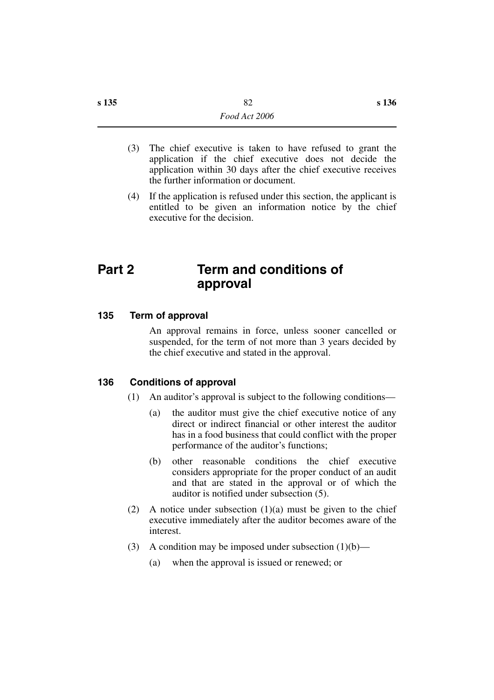- (3) The chief executive is taken to have refused to grant the application if the chief executive does not decide the application within 30 days after the chief executive receives the further information or document.
- (4) If the application is refused under this section, the applicant is entitled to be given an information notice by the chief executive for the decision.

## **Part 2 Term and conditions of approval**

### **135 Term of approval**

An approval remains in force, unless sooner cancelled or suspended, for the term of not more than 3 years decided by the chief executive and stated in the approval.

### **136 Conditions of approval**

- (1) An auditor's approval is subject to the following conditions—
	- (a) the auditor must give the chief executive notice of any direct or indirect financial or other interest the auditor has in a food business that could conflict with the proper performance of the auditor's functions;
	- (b) other reasonable conditions the chief executive considers appropriate for the proper conduct of an audit and that are stated in the approval or of which the auditor is notified under subsection (5).
- (2) A notice under subsection  $(1)(a)$  must be given to the chief executive immediately after the auditor becomes aware of the interest.
- (3) A condition may be imposed under subsection  $(1)(b)$ 
	- (a) when the approval is issued or renewed; or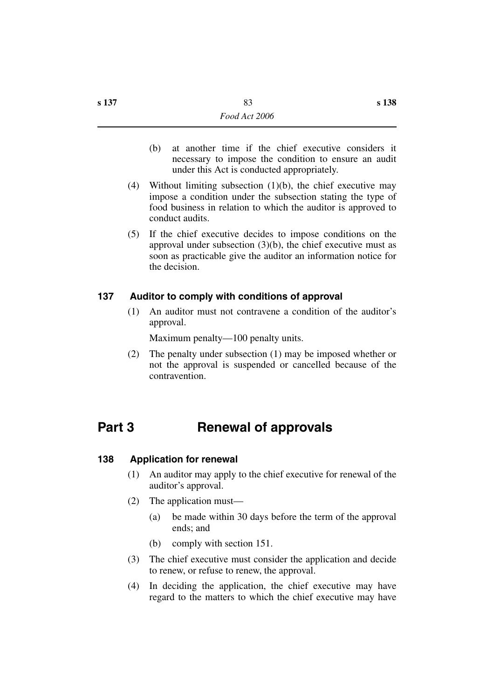- (b) at another time if the chief executive considers it necessary to impose the condition to ensure an audit under this Act is conducted appropriately.
- (4) Without limiting subsection  $(1)(b)$ , the chief executive may impose a condition under the subsection stating the type of food business in relation to which the auditor is approved to conduct audits.
- (5) If the chief executive decides to impose conditions on the approval under subsection (3)(b), the chief executive must as soon as practicable give the auditor an information notice for the decision.

### **137 Auditor to comply with conditions of approval**

(1) An auditor must not contravene a condition of the auditor's approval.

Maximum penalty—100 penalty units.

(2) The penalty under subsection (1) may be imposed whether or not the approval is suspended or cancelled because of the contravention.

# **Part 3 Renewal of approvals**

### **138 Application for renewal**

- (1) An auditor may apply to the chief executive for renewal of the auditor's approval.
- (2) The application must—
	- (a) be made within 30 days before the term of the approval ends; and
	- (b) comply with section 151.
- (3) The chief executive must consider the application and decide to renew, or refuse to renew, the approval.
- (4) In deciding the application, the chief executive may have regard to the matters to which the chief executive may have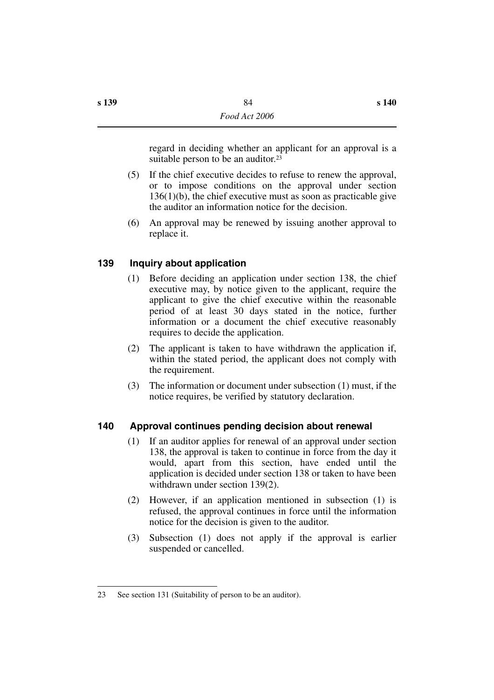regard in deciding whether an applicant for an approval is a suitable person to be an auditor.<sup>23</sup>

- (5) If the chief executive decides to refuse to renew the approval, or to impose conditions on the approval under section 136(1)(b), the chief executive must as soon as practicable give the auditor an information notice for the decision.
- (6) An approval may be renewed by issuing another approval to replace it.

## **139 Inquiry about application**

- (1) Before deciding an application under section 138, the chief executive may, by notice given to the applicant, require the applicant to give the chief executive within the reasonable period of at least 30 days stated in the notice, further information or a document the chief executive reasonably requires to decide the application.
- (2) The applicant is taken to have withdrawn the application if, within the stated period, the applicant does not comply with the requirement.
- (3) The information or document under subsection (1) must, if the notice requires, be verified by statutory declaration.

## **140 Approval continues pending decision about renewal**

- (1) If an auditor applies for renewal of an approval under section 138, the approval is taken to continue in force from the day it would, apart from this section, have ended until the application is decided under section 138 or taken to have been withdrawn under section 139(2).
- (2) However, if an application mentioned in subsection (1) is refused, the approval continues in force until the information notice for the decision is given to the auditor.
- (3) Subsection (1) does not apply if the approval is earlier suspended or cancelled.

<sup>23</sup> See section 131 (Suitability of person to be an auditor).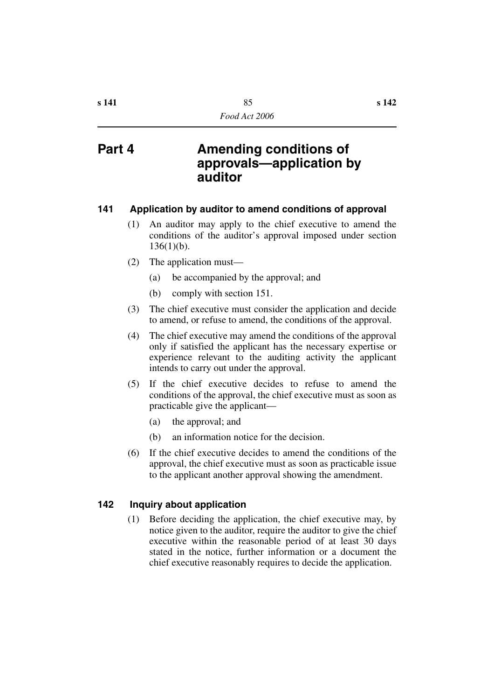# **Part 4 Amending conditions of approvals—application by auditor**

### **141 Application by auditor to amend conditions of approval**

- (1) An auditor may apply to the chief executive to amend the conditions of the auditor's approval imposed under section  $136(1)(b)$ .
- (2) The application must—
	- (a) be accompanied by the approval; and
	- (b) comply with section 151.
- (3) The chief executive must consider the application and decide to amend, or refuse to amend, the conditions of the approval.
- (4) The chief executive may amend the conditions of the approval only if satisfied the applicant has the necessary expertise or experience relevant to the auditing activity the applicant intends to carry out under the approval.
- (5) If the chief executive decides to refuse to amend the conditions of the approval, the chief executive must as soon as practicable give the applicant—
	- (a) the approval; and
	- (b) an information notice for the decision.
- (6) If the chief executive decides to amend the conditions of the approval, the chief executive must as soon as practicable issue to the applicant another approval showing the amendment.

### **142 Inquiry about application**

(1) Before deciding the application, the chief executive may, by notice given to the auditor, require the auditor to give the chief executive within the reasonable period of at least 30 days stated in the notice, further information or a document the chief executive reasonably requires to decide the application.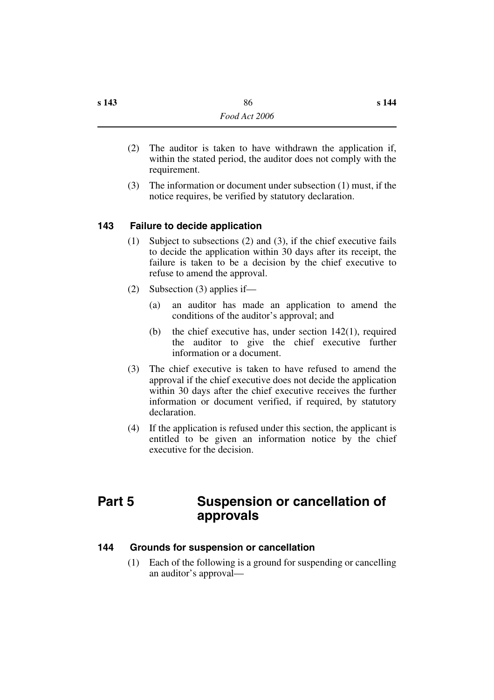- (2) The auditor is taken to have withdrawn the application if, within the stated period, the auditor does not comply with the requirement.
- (3) The information or document under subsection (1) must, if the notice requires, be verified by statutory declaration.

## **143 Failure to decide application**

- (1) Subject to subsections (2) and (3), if the chief executive fails to decide the application within 30 days after its receipt, the failure is taken to be a decision by the chief executive to refuse to amend the approval.
- (2) Subsection (3) applies if—
	- (a) an auditor has made an application to amend the conditions of the auditor's approval; and
	- (b) the chief executive has, under section 142(1), required the auditor to give the chief executive further information or a document.
- (3) The chief executive is taken to have refused to amend the approval if the chief executive does not decide the application within 30 days after the chief executive receives the further information or document verified, if required, by statutory declaration.
- (4) If the application is refused under this section, the applicant is entitled to be given an information notice by the chief executive for the decision.

# **Part 5** Suspension or cancellation of **approvals**

## **144 Grounds for suspension or cancellation**

(1) Each of the following is a ground for suspending or cancelling an auditor's approval—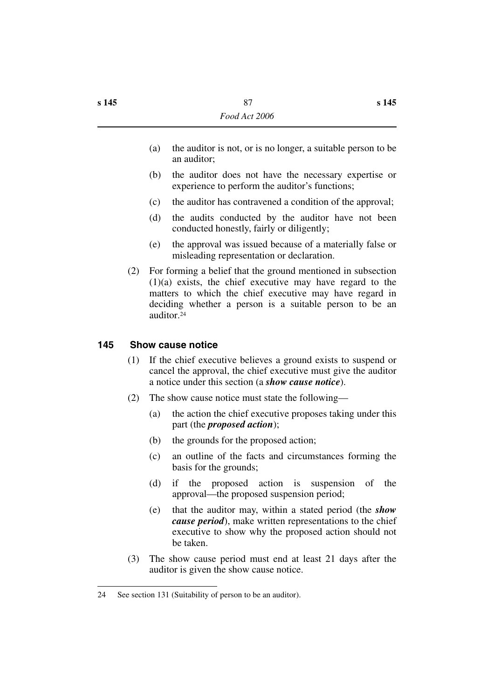- (a) the auditor is not, or is no longer, a suitable person to be an auditor;
- (b) the auditor does not have the necessary expertise or experience to perform the auditor's functions;
- (c) the auditor has contravened a condition of the approval;
- (d) the audits conducted by the auditor have not been conducted honestly, fairly or diligently;
- (e) the approval was issued because of a materially false or misleading representation or declaration.
- (2) For forming a belief that the ground mentioned in subsection (1)(a) exists, the chief executive may have regard to the matters to which the chief executive may have regard in deciding whether a person is a suitable person to be an auditor.24

## **145 Show cause notice**

- (1) If the chief executive believes a ground exists to suspend or cancel the approval, the chief executive must give the auditor a notice under this section (a *show cause notice*).
- (2) The show cause notice must state the following—
	- (a) the action the chief executive proposes taking under this part (the *proposed action*);
	- (b) the grounds for the proposed action;
	- (c) an outline of the facts and circumstances forming the basis for the grounds;
	- (d) if the proposed action is suspension of the approval—the proposed suspension period;
	- (e) that the auditor may, within a stated period (the *show cause period*), make written representations to the chief executive to show why the proposed action should not be taken.
- (3) The show cause period must end at least 21 days after the auditor is given the show cause notice.

<sup>24</sup> See section 131 (Suitability of person to be an auditor).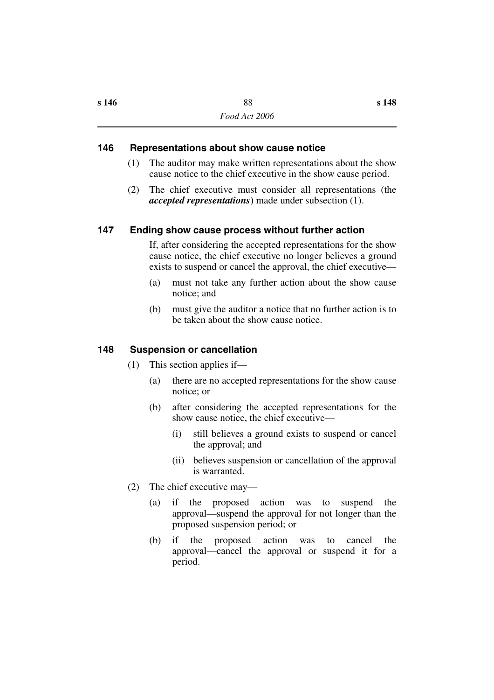### **146 Representations about show cause notice**

- (1) The auditor may make written representations about the show cause notice to the chief executive in the show cause period.
- (2) The chief executive must consider all representations (the *accepted representations*) made under subsection (1).

## **147 Ending show cause process without further action**

If, after considering the accepted representations for the show cause notice, the chief executive no longer believes a ground exists to suspend or cancel the approval, the chief executive—

- (a) must not take any further action about the show cause notice; and
- (b) must give the auditor a notice that no further action is to be taken about the show cause notice.

## **148 Suspension or cancellation**

- (1) This section applies if—
	- (a) there are no accepted representations for the show cause notice; or
	- (b) after considering the accepted representations for the show cause notice, the chief executive—
		- (i) still believes a ground exists to suspend or cancel the approval; and
		- (ii) believes suspension or cancellation of the approval is warranted.
- (2) The chief executive may—
	- (a) if the proposed action was to suspend the approval—suspend the approval for not longer than the proposed suspension period; or
	- (b) if the proposed action was to cancel the approval—cancel the approval or suspend it for a period.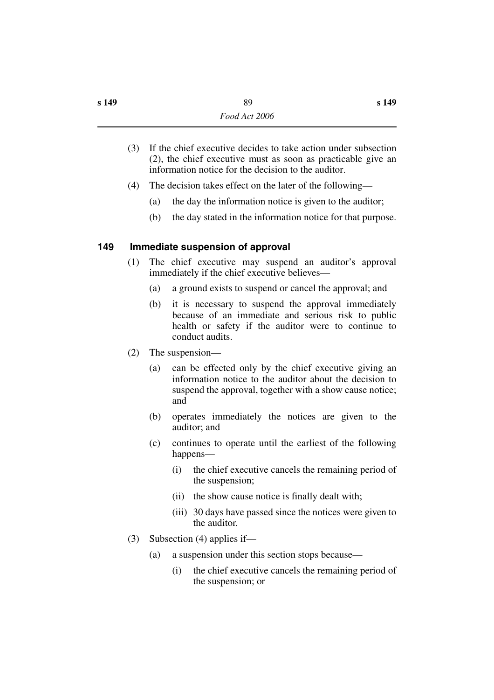- (3) If the chief executive decides to take action under subsection (2), the chief executive must as soon as practicable give an information notice for the decision to the auditor.
- (4) The decision takes effect on the later of the following—
	- (a) the day the information notice is given to the auditor;
	- (b) the day stated in the information notice for that purpose.

## **149 Immediate suspension of approval**

- (1) The chief executive may suspend an auditor's approval immediately if the chief executive believes—
	- (a) a ground exists to suspend or cancel the approval; and
	- (b) it is necessary to suspend the approval immediately because of an immediate and serious risk to public health or safety if the auditor were to continue to conduct audits.
- (2) The suspension—
	- (a) can be effected only by the chief executive giving an information notice to the auditor about the decision to suspend the approval, together with a show cause notice; and
	- (b) operates immediately the notices are given to the auditor; and
	- (c) continues to operate until the earliest of the following happens—
		- (i) the chief executive cancels the remaining period of the suspension;
		- (ii) the show cause notice is finally dealt with;
		- (iii) 30 days have passed since the notices were given to the auditor.
- (3) Subsection (4) applies if—
	- (a) a suspension under this section stops because—
		- (i) the chief executive cancels the remaining period of the suspension; or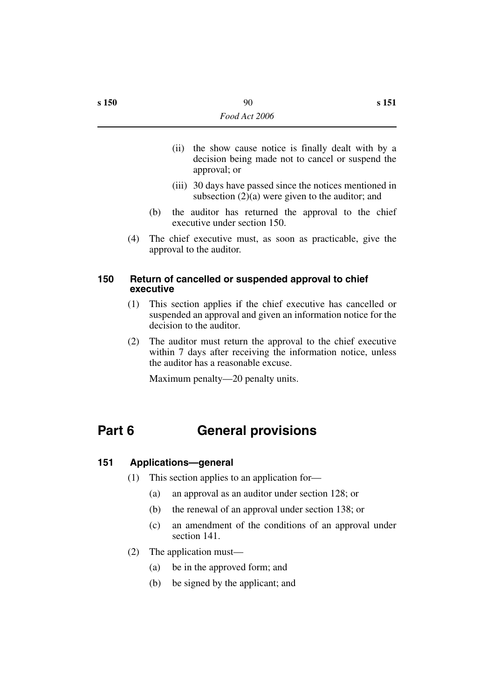- (ii) the show cause notice is finally dealt with by a decision being made not to cancel or suspend the approval; or
- (iii) 30 days have passed since the notices mentioned in subsection (2)(a) were given to the auditor; and
- (b) the auditor has returned the approval to the chief executive under section 150.
- (4) The chief executive must, as soon as practicable, give the approval to the auditor.

#### **150 Return of cancelled or suspended approval to chief executive**

- (1) This section applies if the chief executive has cancelled or suspended an approval and given an information notice for the decision to the auditor.
- (2) The auditor must return the approval to the chief executive within 7 days after receiving the information notice, unless the auditor has a reasonable excuse.

Maximum penalty—20 penalty units.

# **Part 6 General provisions**

### **151 Applications—general**

- (1) This section applies to an application for—
	- (a) an approval as an auditor under section 128; or
	- (b) the renewal of an approval under section 138; or
	- (c) an amendment of the conditions of an approval under section 141.
- (2) The application must—
	- (a) be in the approved form; and
	- (b) be signed by the applicant; and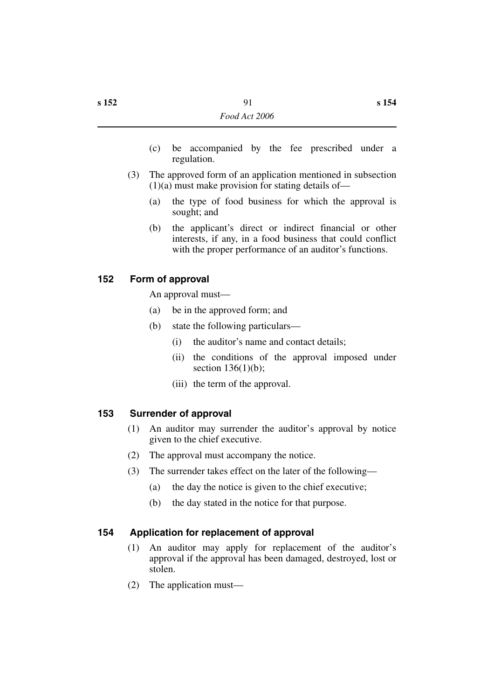- (c) be accompanied by the fee prescribed under a regulation.
- (3) The approved form of an application mentioned in subsection  $(1)(a)$  must make provision for stating details of—
	- (a) the type of food business for which the approval is sought; and
	- (b) the applicant's direct or indirect financial or other interests, if any, in a food business that could conflict with the proper performance of an auditor's functions.

## **152 Form of approval**

An approval must—

- (a) be in the approved form; and
- (b) state the following particulars—
	- (i) the auditor's name and contact details;
	- (ii) the conditions of the approval imposed under section  $136(1)(b)$ ;
	- (iii) the term of the approval.

## **153 Surrender of approval**

- (1) An auditor may surrender the auditor's approval by notice given to the chief executive.
- (2) The approval must accompany the notice.
- (3) The surrender takes effect on the later of the following—
	- (a) the day the notice is given to the chief executive;
	- (b) the day stated in the notice for that purpose.

## **154 Application for replacement of approval**

- (1) An auditor may apply for replacement of the auditor's approval if the approval has been damaged, destroyed, lost or stolen.
- (2) The application must—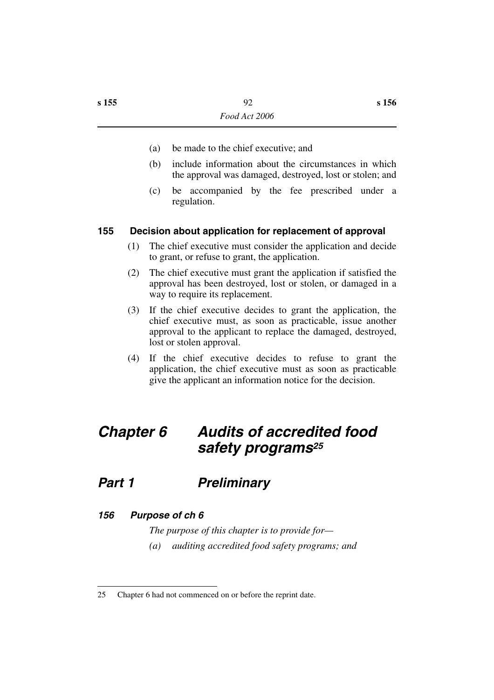- (a) be made to the chief executive; and
- (b) include information about the circumstances in which the approval was damaged, destroyed, lost or stolen; and
- (c) be accompanied by the fee prescribed under a regulation.

### **155 Decision about application for replacement of approval**

- (1) The chief executive must consider the application and decide to grant, or refuse to grant, the application.
- (2) The chief executive must grant the application if satisfied the approval has been destroyed, lost or stolen, or damaged in a way to require its replacement.
- (3) If the chief executive decides to grant the application, the chief executive must, as soon as practicable, issue another approval to the applicant to replace the damaged, destroyed, lost or stolen approval.
- (4) If the chief executive decides to refuse to grant the application, the chief executive must as soon as practicable give the applicant an information notice for the decision.

# *Chapter 6 Audits of accredited food safety programs25*

## *Part 1 Preliminary*

### *156 Purpose of ch 6*

*The purpose of this chapter is to provide for— (a) auditing accredited food safety programs; and*

<sup>25</sup> Chapter 6 had not commenced on or before the reprint date.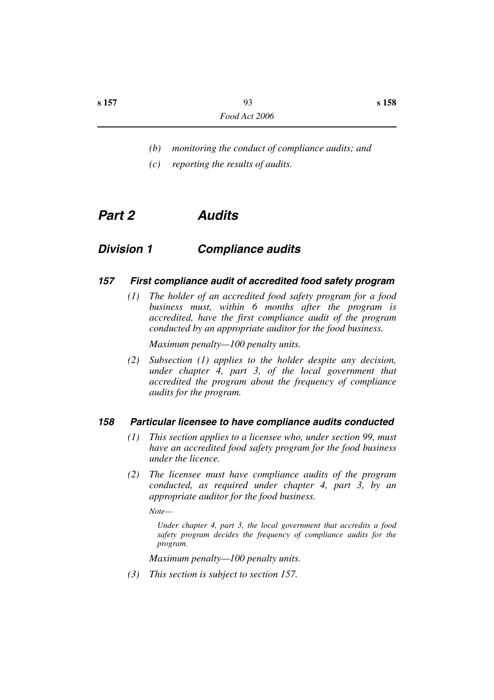- *(b) monitoring the conduct of compliance audits; and*
- *(c) reporting the results of audits.*

## *Part 2 Audits*

## *Division 1 Compliance audits*

#### *157 First compliance audit of accredited food safety program*

*(1) The holder of an accredited food safety program for a food business must, within 6 months after the program is accredited, have the first compliance audit of the program conducted by an appropriate auditor for the food business.*

*Maximum penalty—100 penalty units.*

*(2) Subsection (1) applies to the holder despite any decision, under chapter 4, part 3, of the local government that accredited the program about the frequency of compliance audits for the program.*

#### *158 Particular licensee to have compliance audits conducted*

- *(1) This section applies to a licensee who, under section 99, must have an accredited food safety program for the food business under the licence.*
- *(2) The licensee must have compliance audits of the program conducted, as required under chapter 4, part 3, by an appropriate auditor for the food business.*

*Note—*

*Under chapter 4, part 3, the local government that accredits a food safety program decides the frequency of compliance audits for the program.*

*Maximum penalty—100 penalty units.*

*(3) This section is subject to section 157.*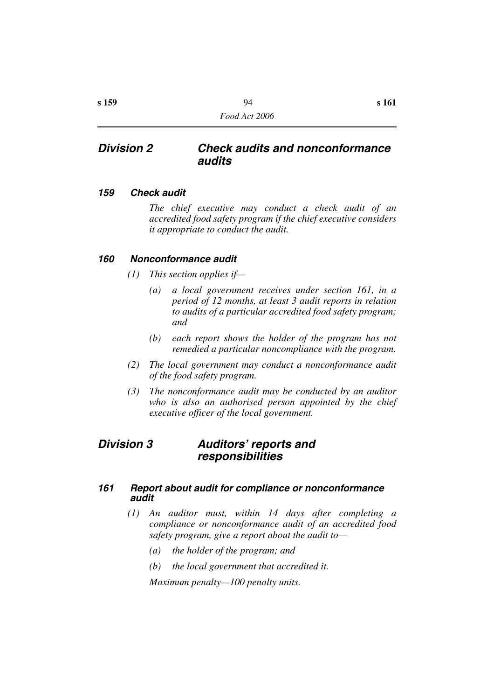## *159 Check audit*

*The chief executive may conduct a check audit of an accredited food safety program if the chief executive considers it appropriate to conduct the audit.*

## *160 Nonconformance audit*

- *(1) This section applies if—*
	- *(a) a local government receives under section 161, in a period of 12 months, at least 3 audit reports in relation to audits of a particular accredited food safety program; and*
	- *(b) each report shows the holder of the program has not remedied a particular noncompliance with the program.*
- *(2) The local government may conduct a nonconformance audit of the food safety program.*
- *(3) The nonconformance audit may be conducted by an auditor who is also an authorised person appointed by the chief executive officer of the local government.*

## *Division 3 Auditors' reports and responsibilities*

### *161 Report about audit for compliance or nonconformance audit*

- *(1) An auditor must, within 14 days after completing a compliance or nonconformance audit of an accredited food safety program, give a report about the audit to—*
	- *(a) the holder of the program; and*
	- *(b) the local government that accredited it.*

*Maximum penalty—100 penalty units.*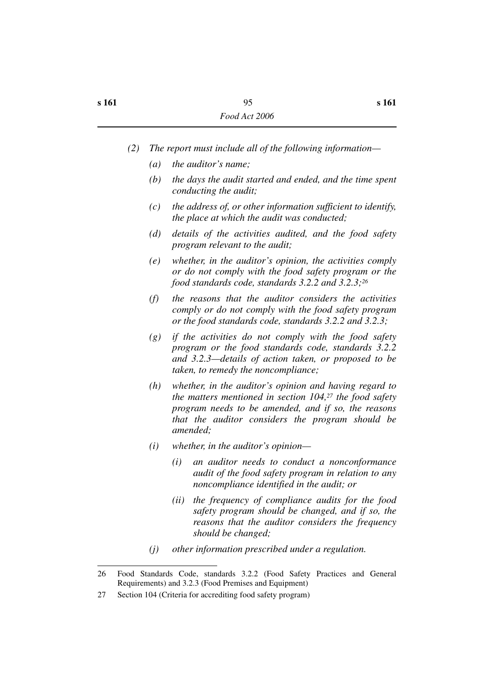- *(a) the auditor's name;*
- *(b) the days the audit started and ended, and the time spent conducting the audit;*
- *(c) the address of, or other information sufficient to identify, the place at which the audit was conducted;*
- *(d) details of the activities audited, and the food safety program relevant to the audit;*
- *(e) whether, in the auditor's opinion, the activities comply or do not comply with the food safety program or the food standards code, standards 3.2.2 and 3.2.3;26*
- *(f) the reasons that the auditor considers the activities comply or do not comply with the food safety program or the food standards code, standards 3.2.2 and 3.2.3;*
- *(g) if the activities do not comply with the food safety program or the food standards code, standards 3.2.2 and 3.2.3—details of action taken, or proposed to be taken, to remedy the noncompliance;*
- *(h) whether, in the auditor's opinion and having regard to the matters mentioned in section 104,27 the food safety program needs to be amended, and if so, the reasons that the auditor considers the program should be amended;*
- *(i) whether, in the auditor's opinion—*
	- *(i) an auditor needs to conduct a nonconformance audit of the food safety program in relation to any noncompliance identified in the audit; or*
	- *(ii) the frequency of compliance audits for the food safety program should be changed, and if so, the reasons that the auditor considers the frequency should be changed;*
- *(j) other information prescribed under a regulation.*

<sup>26</sup> Food Standards Code, standards 3.2.2 (Food Safety Practices and General Requirements) and 3.2.3 (Food Premises and Equipment)

<sup>27</sup> Section 104 (Criteria for accrediting food safety program)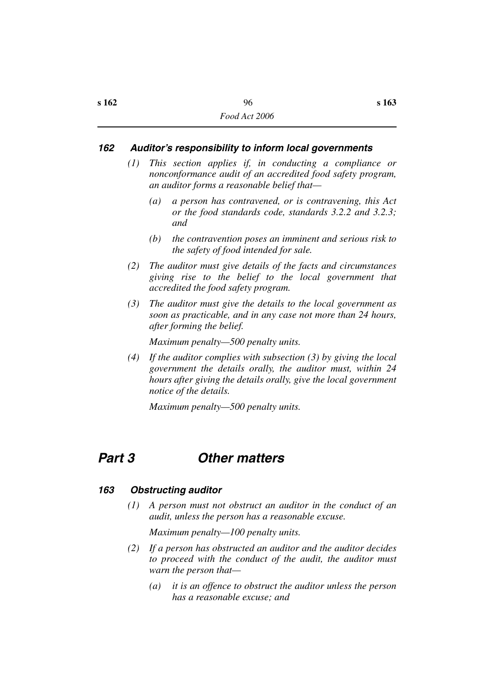#### *162 Auditor's responsibility to inform local governments*

- *(1) This section applies if, in conducting a compliance or nonconformance audit of an accredited food safety program, an auditor forms a reasonable belief that—*
	- *(a) a person has contravened, or is contravening, this Act or the food standards code, standards 3.2.2 and 3.2.3; and*
	- *(b) the contravention poses an imminent and serious risk to the safety of food intended for sale.*
- *(2) The auditor must give details of the facts and circumstances giving rise to the belief to the local government that accredited the food safety program.*
- *(3) The auditor must give the details to the local government as soon as practicable, and in any case not more than 24 hours, after forming the belief.*

*Maximum penalty—500 penalty units.*

*(4) If the auditor complies with subsection (3) by giving the local government the details orally, the auditor must, within 24 hours after giving the details orally, give the local government notice of the details.*

*Maximum penalty—500 penalty units.*

# *Part 3 Other matters*

#### *163 Obstructing auditor*

*(1) A person must not obstruct an auditor in the conduct of an audit, unless the person has a reasonable excuse.*

*Maximum penalty—100 penalty units.*

- *(2) If a person has obstructed an auditor and the auditor decides to proceed with the conduct of the audit, the auditor must warn the person that—*
	- *(a) it is an offence to obstruct the auditor unless the person has a reasonable excuse; and*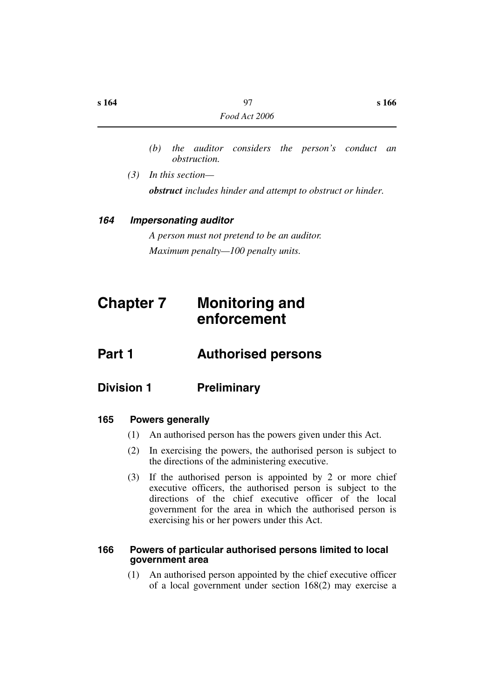- *(b) the auditor considers the person's conduct an obstruction.*
- *(3) In this section—*

*obstruct includes hinder and attempt to obstruct or hinder.*

## *164 Impersonating auditor*

*A person must not pretend to be an auditor. Maximum penalty—100 penalty units.*

# **Chapter 7 Monitoring and enforcement**

# **Part 1 Authorised persons**

## **Division 1 Preliminary**

## **165 Powers generally**

- (1) An authorised person has the powers given under this Act.
- (2) In exercising the powers, the authorised person is subject to the directions of the administering executive.
- (3) If the authorised person is appointed by 2 or more chief executive officers, the authorised person is subject to the directions of the chief executive officer of the local government for the area in which the authorised person is exercising his or her powers under this Act.

#### **166 Powers of particular authorised persons limited to local government area**

(1) An authorised person appointed by the chief executive officer of a local government under section 168(2) may exercise a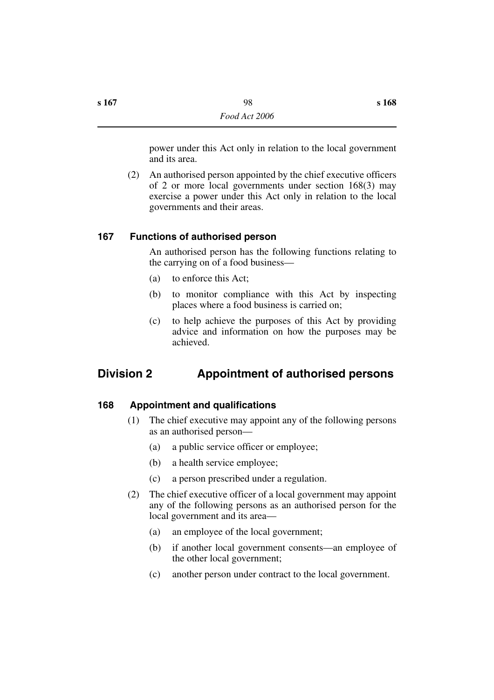power under this Act only in relation to the local government and its area.

(2) An authorised person appointed by the chief executive officers of 2 or more local governments under section 168(3) may exercise a power under this Act only in relation to the local governments and their areas.

## **167 Functions of authorised person**

An authorised person has the following functions relating to the carrying on of a food business—

- (a) to enforce this Act;
- (b) to monitor compliance with this Act by inspecting places where a food business is carried on;
- (c) to help achieve the purposes of this Act by providing advice and information on how the purposes may be achieved.

## **Division 2 Appointment of authorised persons**

## **168 Appointment and qualifications**

- (1) The chief executive may appoint any of the following persons as an authorised person—
	- (a) a public service officer or employee;
	- (b) a health service employee;
	- (c) a person prescribed under a regulation.
- (2) The chief executive officer of a local government may appoint any of the following persons as an authorised person for the local government and its area—
	- (a) an employee of the local government;
	- (b) if another local government consents—an employee of the other local government;
	- (c) another person under contract to the local government.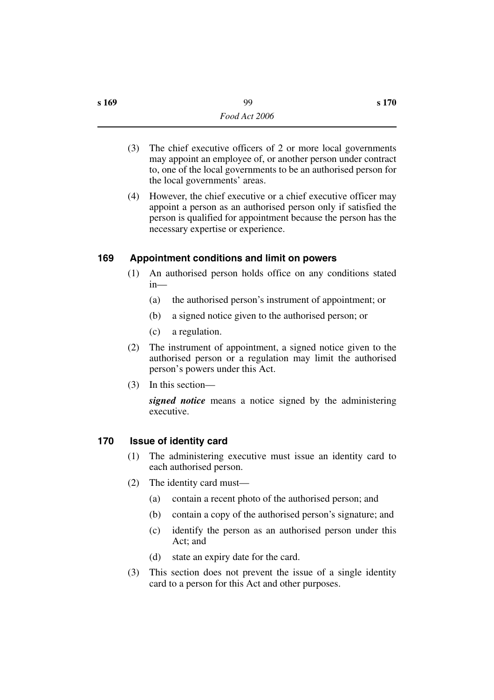- (3) The chief executive officers of 2 or more local governments may appoint an employee of, or another person under contract to, one of the local governments to be an authorised person for the local governments' areas.
- (4) However, the chief executive or a chief executive officer may appoint a person as an authorised person only if satisfied the person is qualified for appointment because the person has the necessary expertise or experience.

## **169 Appointment conditions and limit on powers**

- (1) An authorised person holds office on any conditions stated in—
	- (a) the authorised person's instrument of appointment; or
	- (b) a signed notice given to the authorised person; or
	- (c) a regulation.
- (2) The instrument of appointment, a signed notice given to the authorised person or a regulation may limit the authorised person's powers under this Act.
- (3) In this section—

*signed notice* means a notice signed by the administering executive.

## **170 Issue of identity card**

- (1) The administering executive must issue an identity card to each authorised person.
- (2) The identity card must—
	- (a) contain a recent photo of the authorised person; and
	- (b) contain a copy of the authorised person's signature; and
	- (c) identify the person as an authorised person under this Act; and
	- (d) state an expiry date for the card.
- (3) This section does not prevent the issue of a single identity card to a person for this Act and other purposes.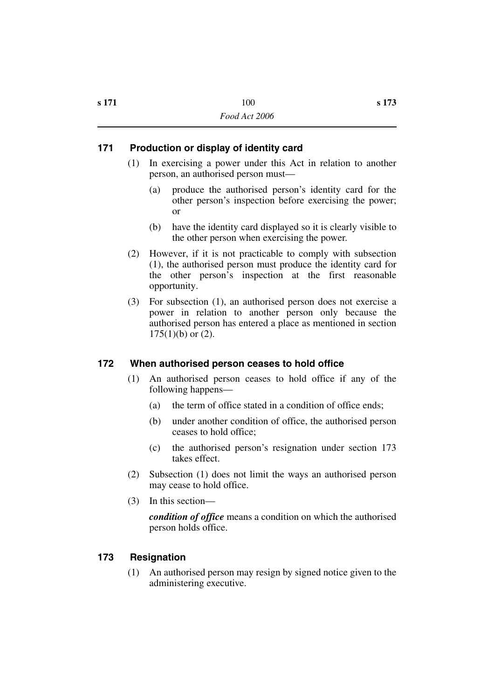## **171 Production or display of identity card**

- (1) In exercising a power under this Act in relation to another person, an authorised person must—
	- (a) produce the authorised person's identity card for the other person's inspection before exercising the power; or
	- (b) have the identity card displayed so it is clearly visible to the other person when exercising the power.
- (2) However, if it is not practicable to comply with subsection (1), the authorised person must produce the identity card for the other person's inspection at the first reasonable opportunity.
- (3) For subsection (1), an authorised person does not exercise a power in relation to another person only because the authorised person has entered a place as mentioned in section  $175(1)(b)$  or  $(2)$ .

## **172 When authorised person ceases to hold office**

- (1) An authorised person ceases to hold office if any of the following happens—
	- (a) the term of office stated in a condition of office ends;
	- (b) under another condition of office, the authorised person ceases to hold office;
	- (c) the authorised person's resignation under section 173 takes effect.
- (2) Subsection (1) does not limit the ways an authorised person may cease to hold office.
- (3) In this section—

*condition of office* means a condition on which the authorised person holds office.

## **173 Resignation**

(1) An authorised person may resign by signed notice given to the administering executive.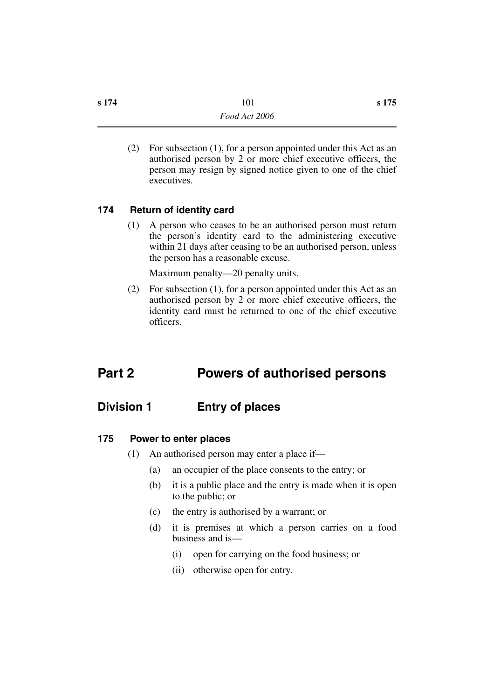| s 174 | 101           | s 175 |
|-------|---------------|-------|
|       | Food Act 2006 |       |

(2) For subsection (1), for a person appointed under this Act as an authorised person by 2 or more chief executive officers, the person may resign by signed notice given to one of the chief executives.

#### **174 Return of identity card**

(1) A person who ceases to be an authorised person must return the person's identity card to the administering executive within 21 days after ceasing to be an authorised person, unless the person has a reasonable excuse.

Maximum penalty—20 penalty units.

(2) For subsection (1), for a person appointed under this Act as an authorised person by 2 or more chief executive officers, the identity card must be returned to one of the chief executive officers.

## **Part 2 Powers of authorised persons**

## **Division 1 Entry of places**

#### **175 Power to enter places**

- (1) An authorised person may enter a place if—
	- (a) an occupier of the place consents to the entry; or
	- (b) it is a public place and the entry is made when it is open to the public; or
	- (c) the entry is authorised by a warrant; or
	- (d) it is premises at which a person carries on a food business and is—
		- (i) open for carrying on the food business; or
		- (ii) otherwise open for entry.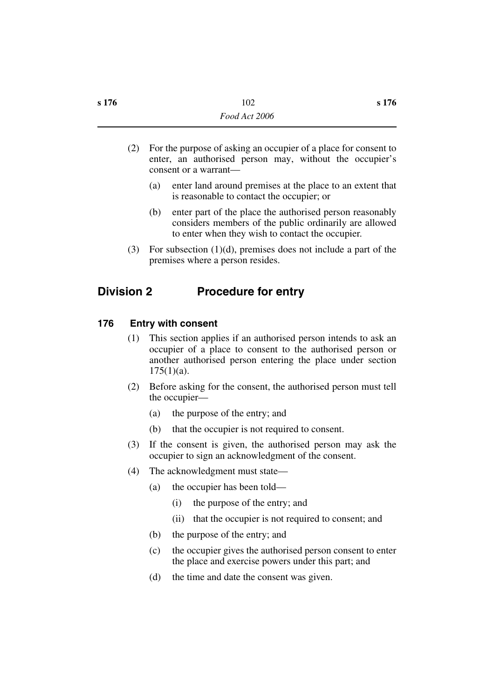- (2) For the purpose of asking an occupier of a place for consent to enter, an authorised person may, without the occupier's consent or a warrant—
	- (a) enter land around premises at the place to an extent that is reasonable to contact the occupier; or
	- (b) enter part of the place the authorised person reasonably considers members of the public ordinarily are allowed to enter when they wish to contact the occupier.
- (3) For subsection  $(1)(d)$ , premises does not include a part of the premises where a person resides.

## **Division 2 Procedure for entry**

### **176 Entry with consent**

- (1) This section applies if an authorised person intends to ask an occupier of a place to consent to the authorised person or another authorised person entering the place under section  $175(1)(a)$ .
- (2) Before asking for the consent, the authorised person must tell the occupier—
	- (a) the purpose of the entry; and
	- (b) that the occupier is not required to consent.
- (3) If the consent is given, the authorised person may ask the occupier to sign an acknowledgment of the consent.
- (4) The acknowledgment must state—
	- (a) the occupier has been told—
		- (i) the purpose of the entry; and
		- (ii) that the occupier is not required to consent; and
	- (b) the purpose of the entry; and
	- (c) the occupier gives the authorised person consent to enter the place and exercise powers under this part; and
	- (d) the time and date the consent was given.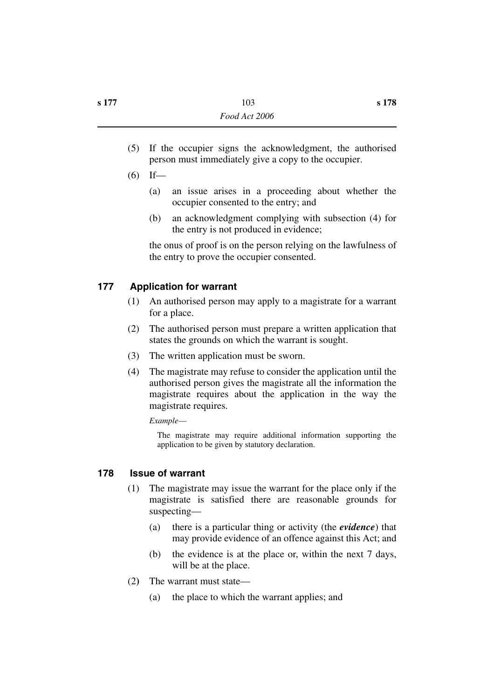- (5) If the occupier signs the acknowledgment, the authorised person must immediately give a copy to the occupier.
- $(6)$  If—
	- (a) an issue arises in a proceeding about whether the occupier consented to the entry; and
	- (b) an acknowledgment complying with subsection (4) for the entry is not produced in evidence;

the onus of proof is on the person relying on the lawfulness of the entry to prove the occupier consented.

## **177 Application for warrant**

- (1) An authorised person may apply to a magistrate for a warrant for a place.
- (2) The authorised person must prepare a written application that states the grounds on which the warrant is sought.
- (3) The written application must be sworn.
- (4) The magistrate may refuse to consider the application until the authorised person gives the magistrate all the information the magistrate requires about the application in the way the magistrate requires.

*Example*—

The magistrate may require additional information supporting the application to be given by statutory declaration.

## **178 Issue of warrant**

- (1) The magistrate may issue the warrant for the place only if the magistrate is satisfied there are reasonable grounds for suspecting—
	- (a) there is a particular thing or activity (the *evidence*) that may provide evidence of an offence against this Act; and
	- (b) the evidence is at the place or, within the next 7 days, will be at the place.
- (2**)** The warrant must state—
	- (a) the place to which the warrant applies; and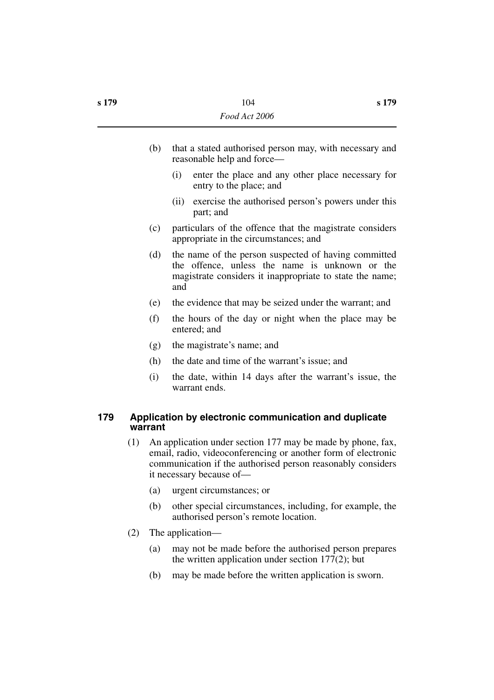- (b) that a stated authorised person may, with necessary and reasonable help and force—
	- (i) enter the place and any other place necessary for entry to the place; and
	- (ii) exercise the authorised person's powers under this part; and
- (c) particulars of the offence that the magistrate considers appropriate in the circumstances; and
- (d) the name of the person suspected of having committed the offence, unless the name is unknown or the magistrate considers it inappropriate to state the name; and
- (e) the evidence that may be seized under the warrant; and
- (f) the hours of the day or night when the place may be entered; and
- (g) the magistrate's name; and
- (h) the date and time of the warrant's issue; and
- (i) the date, within 14 days after the warrant's issue, the warrant ends.

### **179 Application by electronic communication and duplicate warrant**

- (1) An application under section 177 may be made by phone, fax, email, radio, videoconferencing or another form of electronic communication if the authorised person reasonably considers it necessary because of—
	- (a) urgent circumstances; or
	- (b) other special circumstances, including, for example, the authorised person's remote location.
- (2) The application—
	- (a) may not be made before the authorised person prepares the written application under section 177(2); but
	- (b) may be made before the written application is sworn.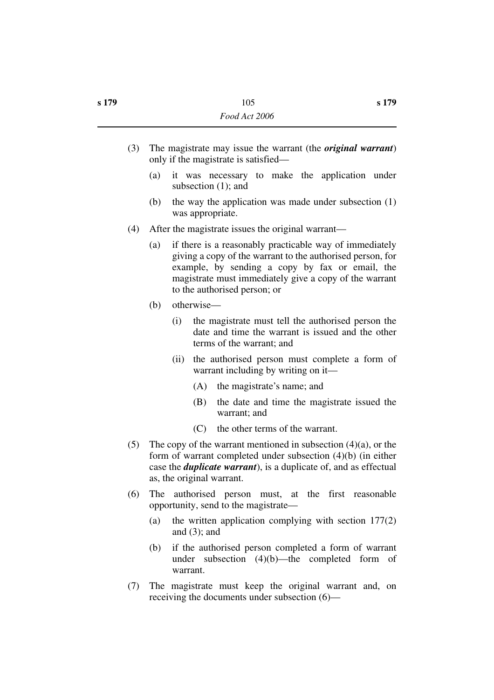- (3) The magistrate may issue the warrant (the *original warrant*) only if the magistrate is satisfied—
	- (a) it was necessary to make the application under subsection (1); and
	- (b) the way the application was made under subsection (1) was appropriate.
- (4) After the magistrate issues the original warrant—
	- (a) if there is a reasonably practicable way of immediately giving a copy of the warrant to the authorised person, for example, by sending a copy by fax or email, the magistrate must immediately give a copy of the warrant to the authorised person; or
	- (b) otherwise—
		- (i) the magistrate must tell the authorised person the date and time the warrant is issued and the other terms of the warrant; and
		- (ii) the authorised person must complete a form of warrant including by writing on it—
			- (A) the magistrate's name; and
			- (B) the date and time the magistrate issued the warrant; and
			- (C) the other terms of the warrant.
- (5) The copy of the warrant mentioned in subsection  $(4)(a)$ , or the form of warrant completed under subsection (4)(b) (in either case the *duplicate warrant*), is a duplicate of, and as effectual as, the original warrant.
- (6) The authorised person must, at the first reasonable opportunity, send to the magistrate—
	- (a) the written application complying with section 177(2) and  $(3)$ ; and
	- (b) if the authorised person completed a form of warrant under subsection (4)(b)—the completed form of warrant.
- (7) The magistrate must keep the original warrant and, on receiving the documents under subsection (6)—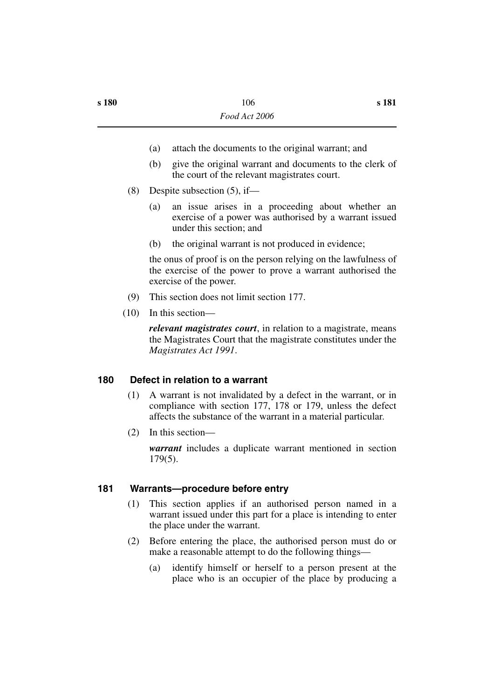- (a) attach the documents to the original warrant; and
- (b) give the original warrant and documents to the clerk of the court of the relevant magistrates court.
- (8) Despite subsection (5), if—
	- (a) an issue arises in a proceeding about whether an exercise of a power was authorised by a warrant issued under this section; and
	- (b) the original warrant is not produced in evidence;

the onus of proof is on the person relying on the lawfulness of the exercise of the power to prove a warrant authorised the exercise of the power.

- (9) This section does not limit section 177.
- (10) In this section—

*relevant magistrates court*, in relation to a magistrate, means the Magistrates Court that the magistrate constitutes under the *Magistrates Act 1991*.

#### **180 Defect in relation to a warrant**

- (1) A warrant is not invalidated by a defect in the warrant, or in compliance with section 177, 178 or 179, unless the defect affects the substance of the warrant in a material particular.
- (2) In this section—

*warrant* includes a duplicate warrant mentioned in section 179(5).

#### **181 Warrants—procedure before entry**

- (1) This section applies if an authorised person named in a warrant issued under this part for a place is intending to enter the place under the warrant.
- (2) Before entering the place, the authorised person must do or make a reasonable attempt to do the following things—
	- (a) identify himself or herself to a person present at the place who is an occupier of the place by producing a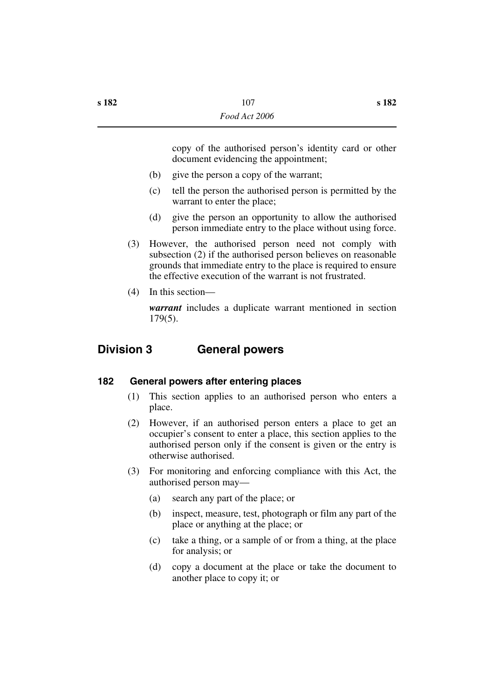copy of the authorised person's identity card or other document evidencing the appointment;

- (b) give the person a copy of the warrant;
- (c) tell the person the authorised person is permitted by the warrant to enter the place;
- (d) give the person an opportunity to allow the authorised person immediate entry to the place without using force.
- (3) However, the authorised person need not comply with subsection (2) if the authorised person believes on reasonable grounds that immediate entry to the place is required to ensure the effective execution of the warrant is not frustrated.
- (4) In this section—

*warrant* includes a duplicate warrant mentioned in section 179(5).

# **Division 3 General powers**

#### **182 General powers after entering places**

- (1) This section applies to an authorised person who enters a place.
- (2) However, if an authorised person enters a place to get an occupier's consent to enter a place, this section applies to the authorised person only if the consent is given or the entry is otherwise authorised.
- (3) For monitoring and enforcing compliance with this Act, the authorised person may—
	- (a) search any part of the place; or
	- (b) inspect, measure, test, photograph or film any part of the place or anything at the place; or
	- (c) take a thing, or a sample of or from a thing, at the place for analysis; or
	- (d) copy a document at the place or take the document to another place to copy it; or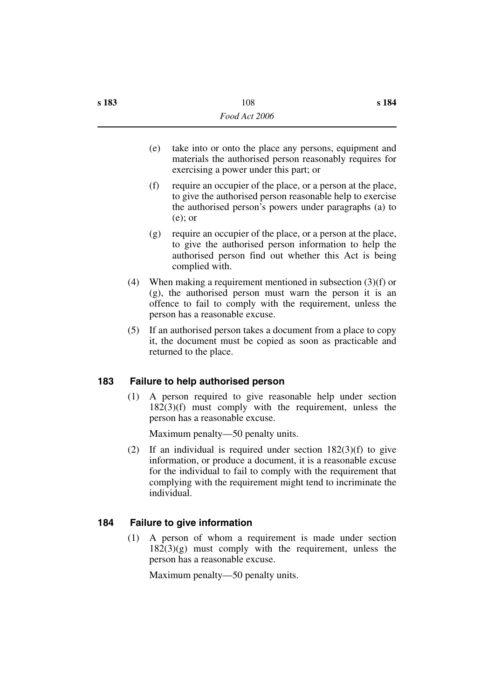- (e) take into or onto the place any persons, equipment and materials the authorised person reasonably requires for exercising a power under this part; or
- (f) require an occupier of the place, or a person at the place, to give the authorised person reasonable help to exercise the authorised person's powers under paragraphs (a) to (e); or
- (g) require an occupier of the place, or a person at the place, to give the authorised person information to help the authorised person find out whether this Act is being complied with.
- (4) When making a requirement mentioned in subsection (3)(f) or (g), the authorised person must warn the person it is an offence to fail to comply with the requirement, unless the person has a reasonable excuse.
- (5) If an authorised person takes a document from a place to copy it, the document must be copied as soon as practicable and returned to the place.

#### **183 Failure to help authorised person**

(1) A person required to give reasonable help under section  $182(3)(f)$  must comply with the requirement, unless the person has a reasonable excuse.

Maximum penalty—50 penalty units.

(2) If an individual is required under section  $182(3)(f)$  to give information, or produce a document, it is a reasonable excuse for the individual to fail to comply with the requirement that complying with the requirement might tend to incriminate the individual.

# **184 Failure to give information**

(1) A person of whom a requirement is made under section  $182(3)(g)$  must comply with the requirement, unless the person has a reasonable excuse.

Maximum penalty—50 penalty units.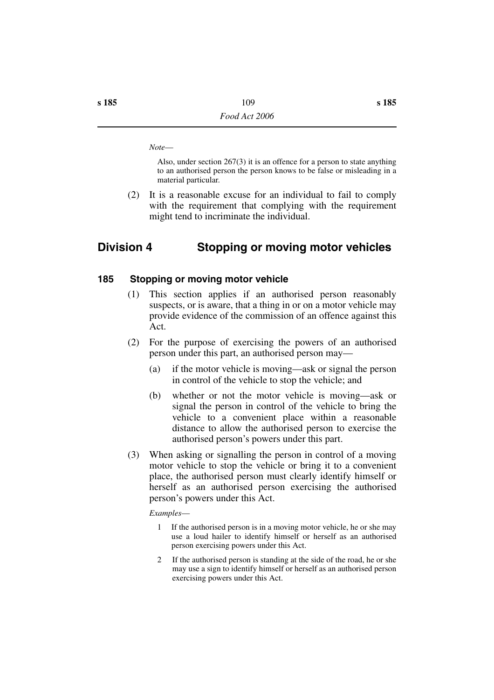*Note*—

Also, under section 267(3) it is an offence for a person to state anything to an authorised person the person knows to be false or misleading in a material particular.

(2) It is a reasonable excuse for an individual to fail to comply with the requirement that complying with the requirement might tend to incriminate the individual.

# **Division 4 Stopping or moving motor vehicles**

#### **185 Stopping or moving motor vehicle**

- (1) This section applies if an authorised person reasonably suspects, or is aware, that a thing in or on a motor vehicle may provide evidence of the commission of an offence against this Act.
- (2) For the purpose of exercising the powers of an authorised person under this part, an authorised person may—
	- (a) if the motor vehicle is moving—ask or signal the person in control of the vehicle to stop the vehicle; and
	- (b) whether or not the motor vehicle is moving—ask or signal the person in control of the vehicle to bring the vehicle to a convenient place within a reasonable distance to allow the authorised person to exercise the authorised person's powers under this part.
- (3) When asking or signalling the person in control of a moving motor vehicle to stop the vehicle or bring it to a convenient place, the authorised person must clearly identify himself or herself as an authorised person exercising the authorised person's powers under this Act.

*Examples*—

- 1 If the authorised person is in a moving motor vehicle, he or she may use a loud hailer to identify himself or herself as an authorised person exercising powers under this Act.
- 2 If the authorised person is standing at the side of the road, he or she may use a sign to identify himself or herself as an authorised person exercising powers under this Act.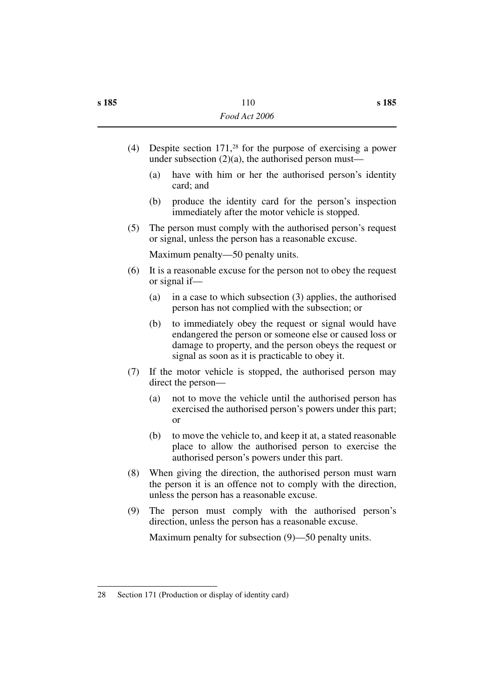- (4) Despite section 171,28 for the purpose of exercising a power under subsection  $(2)(a)$ , the authorised person must—
	- (a) have with him or her the authorised person's identity card; and
	- (b) produce the identity card for the person's inspection immediately after the motor vehicle is stopped.
- (5) The person must comply with the authorised person's request or signal, unless the person has a reasonable excuse.

Maximum penalty—50 penalty units.

- (6) It is a reasonable excuse for the person not to obey the request or signal if—
	- (a) in a case to which subsection (3) applies, the authorised person has not complied with the subsection; or
	- (b) to immediately obey the request or signal would have endangered the person or someone else or caused loss or damage to property, and the person obeys the request or signal as soon as it is practicable to obey it.
- (7) If the motor vehicle is stopped, the authorised person may direct the person—
	- (a) not to move the vehicle until the authorised person has exercised the authorised person's powers under this part; or
	- (b) to move the vehicle to, and keep it at, a stated reasonable place to allow the authorised person to exercise the authorised person's powers under this part.
- (8) When giving the direction, the authorised person must warn the person it is an offence not to comply with the direction, unless the person has a reasonable excuse.
- (9) The person must comply with the authorised person's direction, unless the person has a reasonable excuse.

Maximum penalty for subsection (9)—50 penalty units.

<sup>28</sup> Section 171 (Production or display of identity card)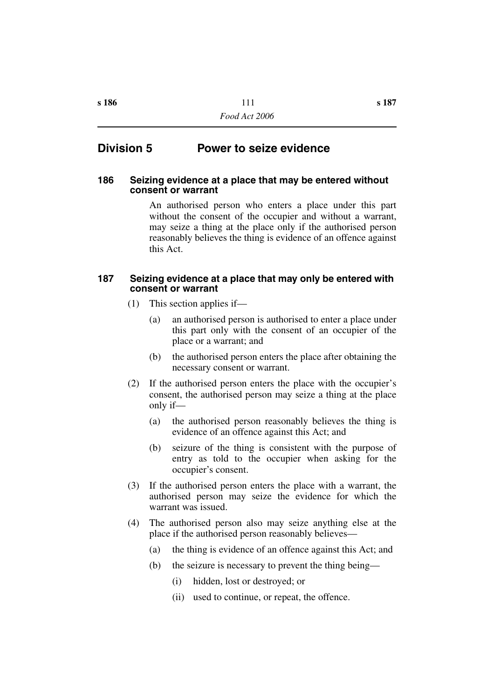# **Division 5 Power to seize evidence**

#### **186 Seizing evidence at a place that may be entered without consent or warrant**

An authorised person who enters a place under this part without the consent of the occupier and without a warrant, may seize a thing at the place only if the authorised person reasonably believes the thing is evidence of an offence against this Act.

#### **187 Seizing evidence at a place that may only be entered with consent or warrant**

- (1) This section applies if—
	- (a) an authorised person is authorised to enter a place under this part only with the consent of an occupier of the place or a warrant; and
	- (b) the authorised person enters the place after obtaining the necessary consent or warrant.
- (2) If the authorised person enters the place with the occupier's consent, the authorised person may seize a thing at the place only if—
	- (a) the authorised person reasonably believes the thing is evidence of an offence against this Act; and
	- (b) seizure of the thing is consistent with the purpose of entry as told to the occupier when asking for the occupier's consent.
- (3) If the authorised person enters the place with a warrant, the authorised person may seize the evidence for which the warrant was issued.
- (4) The authorised person also may seize anything else at the place if the authorised person reasonably believes—
	- (a) the thing is evidence of an offence against this Act; and
	- (b) the seizure is necessary to prevent the thing being—
		- (i) hidden, lost or destroyed; or
		- (ii) used to continue, or repeat, the offence.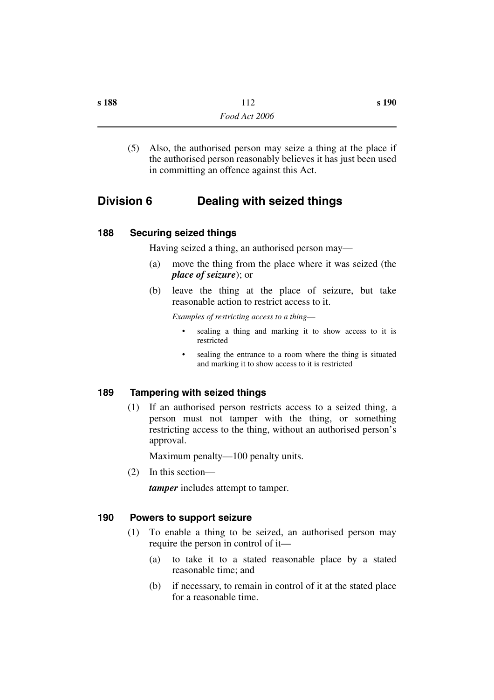(5) Also, the authorised person may seize a thing at the place if the authorised person reasonably believes it has just been used in committing an offence against this Act.

# **Division 6 Dealing with seized things**

### **188 Securing seized things**

Having seized a thing, an authorised person may—

- (a) move the thing from the place where it was seized (the *place of seizure*); or
- (b) leave the thing at the place of seizure, but take reasonable action to restrict access to it.

*Examples of restricting access to a thing*—

- sealing a thing and marking it to show access to it is restricted
- sealing the entrance to a room where the thing is situated and marking it to show access to it is restricted

# **189 Tampering with seized things**

(1) If an authorised person restricts access to a seized thing, a person must not tamper with the thing, or something restricting access to the thing, without an authorised person's approval.

Maximum penalty—100 penalty units.

(2) In this section—

*tamper* includes attempt to tamper.

# **190 Powers to support seizure**

- (1) To enable a thing to be seized, an authorised person may require the person in control of it—
	- (a) to take it to a stated reasonable place by a stated reasonable time; and
	- (b) if necessary, to remain in control of it at the stated place for a reasonable time.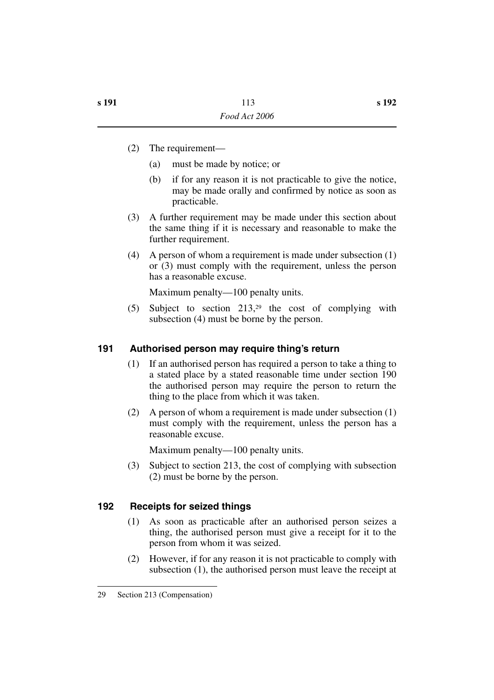- (2) The requirement—
	- (a) must be made by notice; or
	- (b) if for any reason it is not practicable to give the notice, may be made orally and confirmed by notice as soon as practicable.
- (3) A further requirement may be made under this section about the same thing if it is necessary and reasonable to make the further requirement.
- (4) A person of whom a requirement is made under subsection (1) or (3) must comply with the requirement, unless the person has a reasonable excuse.

Maximum penalty—100 penalty units.

(5) Subject to section 213,29 the cost of complying with subsection (4) must be borne by the person.

#### **191 Authorised person may require thing's return**

- (1) If an authorised person has required a person to take a thing to a stated place by a stated reasonable time under section 190 the authorised person may require the person to return the thing to the place from which it was taken.
- (2) A person of whom a requirement is made under subsection (1) must comply with the requirement, unless the person has a reasonable excuse.

Maximum penalty—100 penalty units.

(3) Subject to section 213, the cost of complying with subsection (2) must be borne by the person.

#### **192 Receipts for seized things**

- (1) As soon as practicable after an authorised person seizes a thing, the authorised person must give a receipt for it to the person from whom it was seized.
- (2) However, if for any reason it is not practicable to comply with subsection (1), the authorised person must leave the receipt at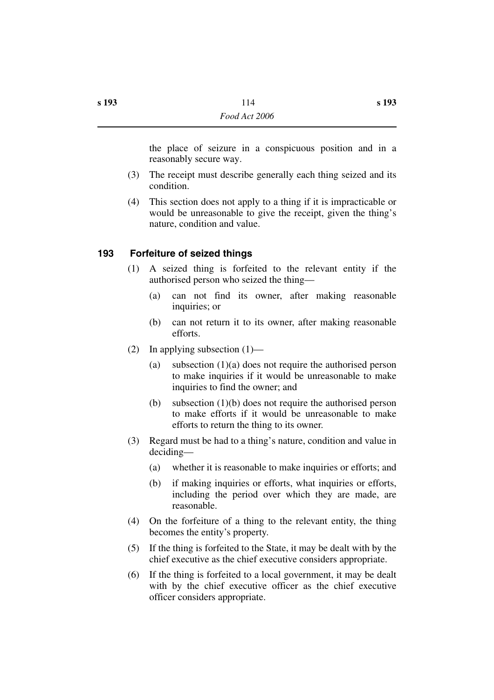the place of seizure in a conspicuous position and in a reasonably secure way.

- (3) The receipt must describe generally each thing seized and its condition.
- (4) This section does not apply to a thing if it is impracticable or would be unreasonable to give the receipt, given the thing's nature, condition and value.

# **193 Forfeiture of seized things**

- (1) A seized thing is forfeited to the relevant entity if the authorised person who seized the thing—
	- (a) can not find its owner, after making reasonable inquiries; or
	- (b) can not return it to its owner, after making reasonable efforts.
- (2) In applying subsection  $(1)$ 
	- (a) subsection  $(1)(a)$  does not require the authorised person to make inquiries if it would be unreasonable to make inquiries to find the owner; and
	- (b) subsection (1)(b) does not require the authorised person to make efforts if it would be unreasonable to make efforts to return the thing to its owner.
- (3) Regard must be had to a thing's nature, condition and value in deciding—
	- (a) whether it is reasonable to make inquiries or efforts; and
	- (b) if making inquiries or efforts, what inquiries or efforts, including the period over which they are made, are reasonable.
- (4) On the forfeiture of a thing to the relevant entity, the thing becomes the entity's property.
- (5) If the thing is forfeited to the State, it may be dealt with by the chief executive as the chief executive considers appropriate.
- (6) If the thing is forfeited to a local government, it may be dealt with by the chief executive officer as the chief executive officer considers appropriate.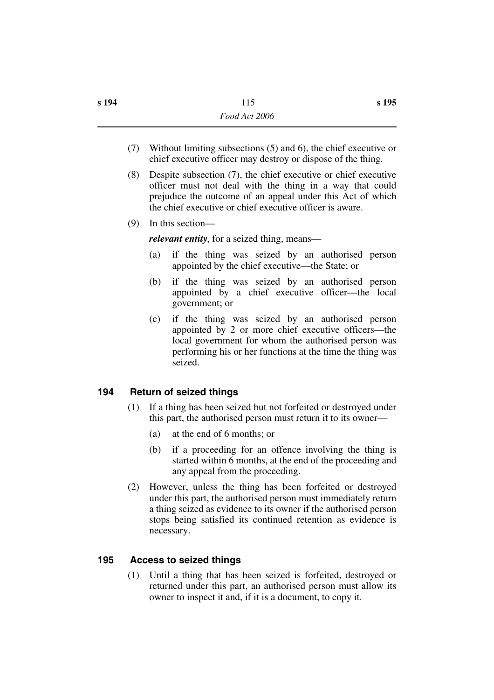- (7) Without limiting subsections (5) and 6), the chief executive or chief executive officer may destroy or dispose of the thing.
- (8) Despite subsection (7), the chief executive or chief executive officer must not deal with the thing in a way that could prejudice the outcome of an appeal under this Act of which the chief executive or chief executive officer is aware.
- (9) In this section—

*relevant entity*, for a seized thing, means—

- (a) if the thing was seized by an authorised person appointed by the chief executive—the State; or
- (b) if the thing was seized by an authorised person appointed by a chief executive officer—the local government; or
- (c) if the thing was seized by an authorised person appointed by 2 or more chief executive officers—the local government for whom the authorised person was performing his or her functions at the time the thing was seized.

# **194 Return of seized things**

- (1) If a thing has been seized but not forfeited or destroyed under this part, the authorised person must return it to its owner—
	- (a) at the end of 6 months; or
	- (b) if a proceeding for an offence involving the thing is started within 6 months, at the end of the proceeding and any appeal from the proceeding.
- (2) However, unless the thing has been forfeited or destroyed under this part, the authorised person must immediately return a thing seized as evidence to its owner if the authorised person stops being satisfied its continued retention as evidence is necessary.

# **195 Access to seized things**

(1) Until a thing that has been seized is forfeited, destroyed or returned under this part, an authorised person must allow its owner to inspect it and, if it is a document, to copy it.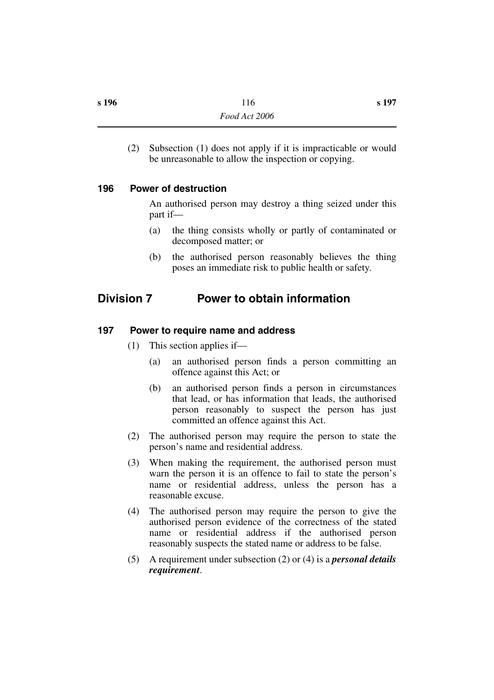(2) Subsection (1) does not apply if it is impracticable or would be unreasonable to allow the inspection or copying.

#### **196 Power of destruction**

An authorised person may destroy a thing seized under this part if—

- (a) the thing consists wholly or partly of contaminated or decomposed matter; or
- (b) the authorised person reasonably believes the thing poses an immediate risk to public health or safety.

# **Division 7 Power to obtain information**

#### **197 Power to require name and address**

- (1) This section applies if—
	- (a) an authorised person finds a person committing an offence against this Act; or
	- (b) an authorised person finds a person in circumstances that lead, or has information that leads, the authorised person reasonably to suspect the person has just committed an offence against this Act.
- (2) The authorised person may require the person to state the person's name and residential address.
- (3) When making the requirement, the authorised person must warn the person it is an offence to fail to state the person's name or residential address, unless the person has a reasonable excuse.
- (4) The authorised person may require the person to give the authorised person evidence of the correctness of the stated name or residential address if the authorised person reasonably suspects the stated name or address to be false.
- (5) A requirement under subsection (2) or (4) is a *personal details requirement*.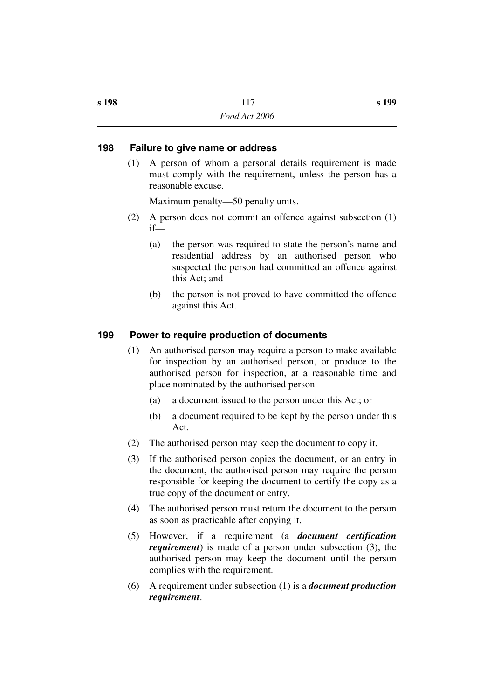#### **198 Failure to give name or address**

(1) A person of whom a personal details requirement is made must comply with the requirement, unless the person has a reasonable excuse.

Maximum penalty—50 penalty units.

- (2) A person does not commit an offence against subsection (1) if—
	- (a) the person was required to state the person's name and residential address by an authorised person who suspected the person had committed an offence against this Act; and
	- (b) the person is not proved to have committed the offence against this Act.

### **199 Power to require production of documents**

- (1) An authorised person may require a person to make available for inspection by an authorised person, or produce to the authorised person for inspection, at a reasonable time and place nominated by the authorised person—
	- (a) a document issued to the person under this Act; or
	- (b) a document required to be kept by the person under this Act.
- (2) The authorised person may keep the document to copy it.
- (3) If the authorised person copies the document, or an entry in the document, the authorised person may require the person responsible for keeping the document to certify the copy as a true copy of the document or entry.
- (4) The authorised person must return the document to the person as soon as practicable after copying it.
- (5) However, if a requirement (a *document certification requirement*) is made of a person under subsection (3), the authorised person may keep the document until the person complies with the requirement.
- (6) A requirement under subsection (1) is a *document production requirement*.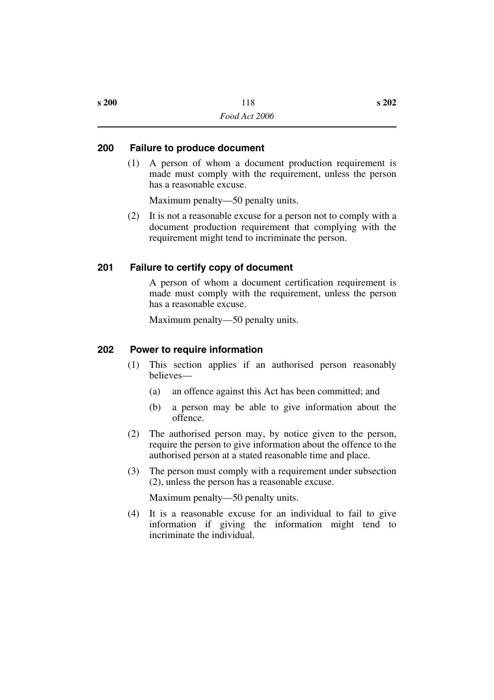#### **200 Failure to produce document**

(1) A person of whom a document production requirement is made must comply with the requirement, unless the person has a reasonable excuse.

Maximum penalty—50 penalty units.

(2) It is not a reasonable excuse for a person not to comply with a document production requirement that complying with the requirement might tend to incriminate the person.

### **201 Failure to certify copy of document**

A person of whom a document certification requirement is made must comply with the requirement, unless the person has a reasonable excuse.

Maximum penalty—50 penalty units.

# **202 Power to require information**

- (1) This section applies if an authorised person reasonably believes—
	- (a) an offence against this Act has been committed; and
	- (b) a person may be able to give information about the offence.
- (2) The authorised person may, by notice given to the person, require the person to give information about the offence to the authorised person at a stated reasonable time and place.
- (3) The person must comply with a requirement under subsection (2), unless the person has a reasonable excuse.

Maximum penalty—50 penalty units.

(4) It is a reasonable excuse for an individual to fail to give information if giving the information might tend to incriminate the individual.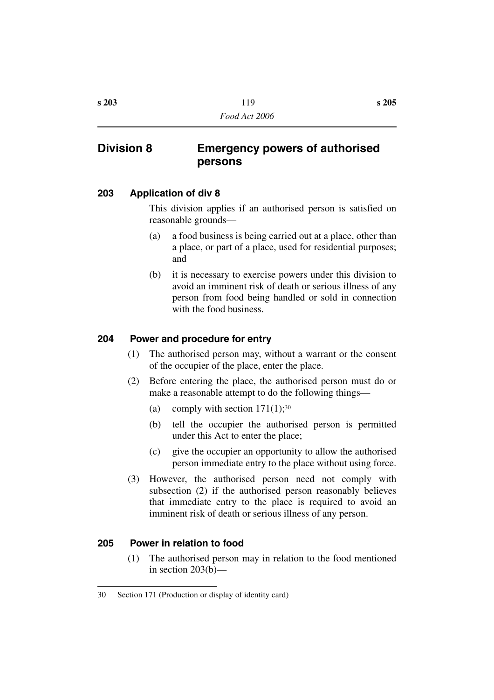# **Division 8 Emergency powers of authorised persons**

# **203 Application of div 8**

This division applies if an authorised person is satisfied on reasonable grounds—

- (a) a food business is being carried out at a place, other than a place, or part of a place, used for residential purposes; and
- (b) it is necessary to exercise powers under this division to avoid an imminent risk of death or serious illness of any person from food being handled or sold in connection with the food business.

# **204 Power and procedure for entry**

- (1) The authorised person may, without a warrant or the consent of the occupier of the place, enter the place.
- (2) Before entering the place, the authorised person must do or make a reasonable attempt to do the following things—
	- (a) comply with section  $171(1)$ ;<sup>30</sup>
	- (b) tell the occupier the authorised person is permitted under this Act to enter the place;
	- (c) give the occupier an opportunity to allow the authorised person immediate entry to the place without using force.
- (3) However, the authorised person need not comply with subsection (2) if the authorised person reasonably believes that immediate entry to the place is required to avoid an imminent risk of death or serious illness of any person.

# **205 Power in relation to food**

(1) The authorised person may in relation to the food mentioned in section 203(b)—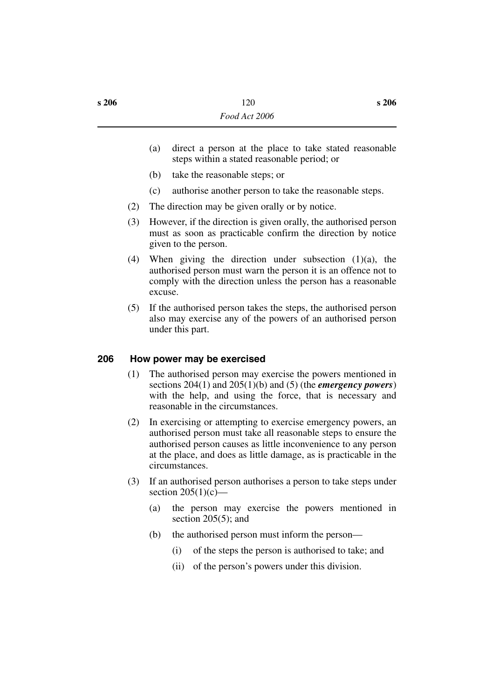- (a) direct a person at the place to take stated reasonable steps within a stated reasonable period; or
- (b) take the reasonable steps; or
- (c) authorise another person to take the reasonable steps.
- (2) The direction may be given orally or by notice.
- (3) However, if the direction is given orally, the authorised person must as soon as practicable confirm the direction by notice given to the person.
- (4) When giving the direction under subsection (1)(a), the authorised person must warn the person it is an offence not to comply with the direction unless the person has a reasonable excuse.
- (5) If the authorised person takes the steps, the authorised person also may exercise any of the powers of an authorised person under this part.

#### **206 How power may be exercised**

- (1) The authorised person may exercise the powers mentioned in sections 204(1) and 205(1)(b) and (5) (the *emergency powers*) with the help, and using the force, that is necessary and reasonable in the circumstances.
- (2) In exercising or attempting to exercise emergency powers, an authorised person must take all reasonable steps to ensure the authorised person causes as little inconvenience to any person at the place, and does as little damage, as is practicable in the circumstances.
- (3) If an authorised person authorises a person to take steps under section  $205(1)(c)$ —
	- (a) the person may exercise the powers mentioned in section 205(5); and
	- (b) the authorised person must inform the person—
		- (i) of the steps the person is authorised to take; and
		- (ii) of the person's powers under this division.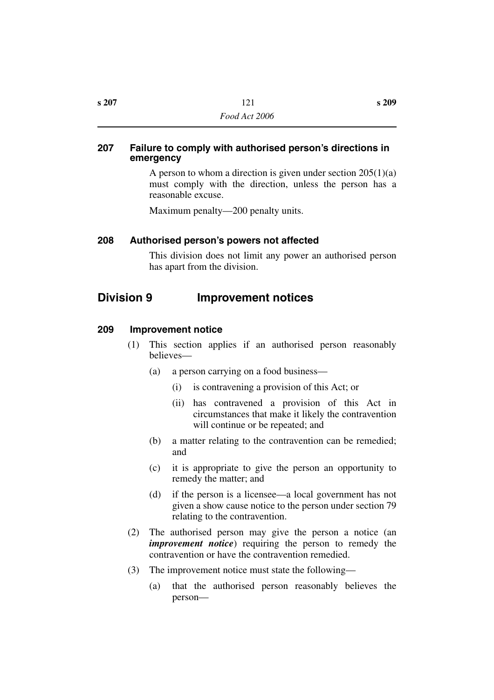#### **207 Failure to comply with authorised person's directions in emergency**

A person to whom a direction is given under section  $205(1)(a)$ must comply with the direction, unless the person has a reasonable excuse.

Maximum penalty—200 penalty units.

# **208 Authorised person's powers not affected**

This division does not limit any power an authorised person has apart from the division.

# **Division 9 Improvement notices**

# **209 Improvement notice**

- (1) This section applies if an authorised person reasonably believes—
	- (a) a person carrying on a food business—
		- (i) is contravening a provision of this Act; or
		- (ii) has contravened a provision of this Act in circumstances that make it likely the contravention will continue or be repeated; and
	- (b) a matter relating to the contravention can be remedied; and
	- (c) it is appropriate to give the person an opportunity to remedy the matter; and
	- (d) if the person is a licensee—a local government has not given a show cause notice to the person under section 79 relating to the contravention.
- (2) The authorised person may give the person a notice (an *improvement notice*) requiring the person to remedy the contravention or have the contravention remedied.
- (3) The improvement notice must state the following—
	- (a) that the authorised person reasonably believes the person—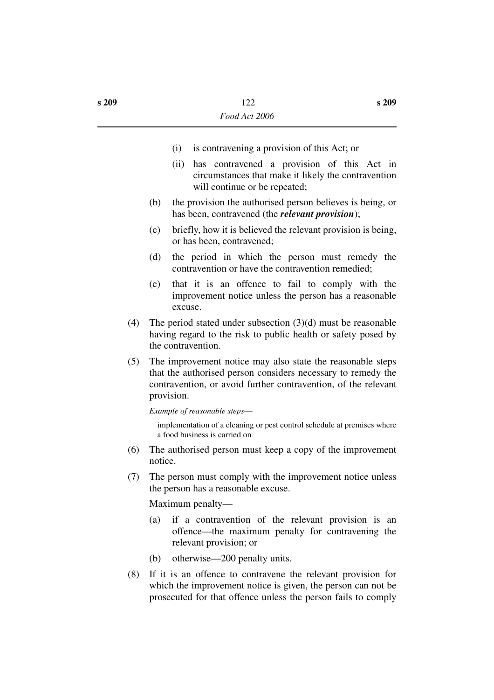- (i) is contravening a provision of this Act; or
- (ii) has contravened a provision of this Act in circumstances that make it likely the contravention will continue or be repeated;
- (b) the provision the authorised person believes is being, or has been, contravened (the *relevant provision*);
- (c) briefly, how it is believed the relevant provision is being, or has been, contravened;
- (d) the period in which the person must remedy the contravention or have the contravention remedied;
- (e) that it is an offence to fail to comply with the improvement notice unless the person has a reasonable excuse.
- (4) The period stated under subsection (3)(d) must be reasonable having regard to the risk to public health or safety posed by the contravention.
- (5) The improvement notice may also state the reasonable steps that the authorised person considers necessary to remedy the contravention, or avoid further contravention, of the relevant provision.

*Example of reasonable steps*—

implementation of a cleaning or pest control schedule at premises where a food business is carried on

- (6) The authorised person must keep a copy of the improvement notice.
- (7) The person must comply with the improvement notice unless the person has a reasonable excuse.

Maximum penalty—

- (a) if a contravention of the relevant provision is an offence—the maximum penalty for contravening the relevant provision; or
- (b) otherwise—200 penalty units.
- (8) If it is an offence to contravene the relevant provision for which the improvement notice is given, the person can not be prosecuted for that offence unless the person fails to comply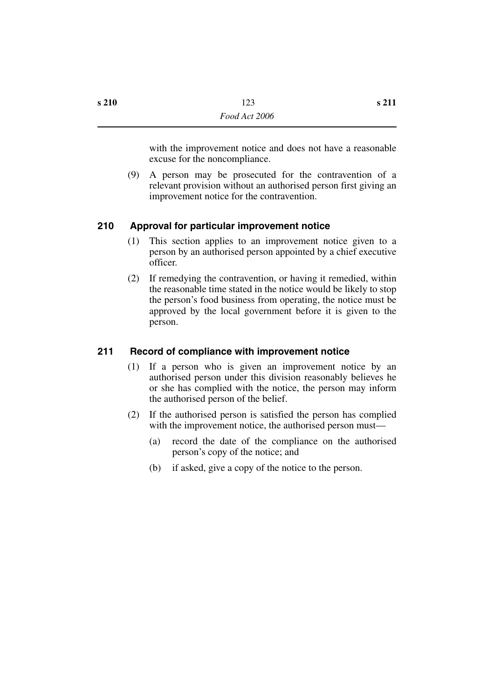with the improvement notice and does not have a reasonable excuse for the noncompliance.

(9) A person may be prosecuted for the contravention of a relevant provision without an authorised person first giving an improvement notice for the contravention.

# **210 Approval for particular improvement notice**

- (1) This section applies to an improvement notice given to a person by an authorised person appointed by a chief executive officer.
- (2) If remedying the contravention, or having it remedied, within the reasonable time stated in the notice would be likely to stop the person's food business from operating, the notice must be approved by the local government before it is given to the person.

# **211 Record of compliance with improvement notice**

- (1) If a person who is given an improvement notice by an authorised person under this division reasonably believes he or she has complied with the notice, the person may inform the authorised person of the belief.
- (2) If the authorised person is satisfied the person has complied with the improvement notice, the authorised person must—
	- (a) record the date of the compliance on the authorised person's copy of the notice; and
	- (b) if asked, give a copy of the notice to the person.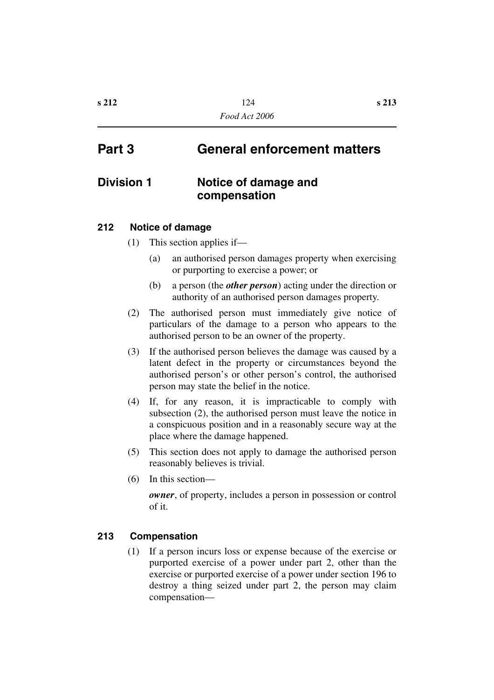# **Part 3 General enforcement matters**

# **Division 1 Notice of damage and compensation**

#### **212 Notice of damage**

- (1) This section applies if—
	- (a) an authorised person damages property when exercising or purporting to exercise a power; or
	- (b) a person (the *other person*) acting under the direction or authority of an authorised person damages property.
- (2) The authorised person must immediately give notice of particulars of the damage to a person who appears to the authorised person to be an owner of the property.
- (3) If the authorised person believes the damage was caused by a latent defect in the property or circumstances beyond the authorised person's or other person's control, the authorised person may state the belief in the notice.
- (4) If, for any reason, it is impracticable to comply with subsection (2), the authorised person must leave the notice in a conspicuous position and in a reasonably secure way at the place where the damage happened.
- (5) This section does not apply to damage the authorised person reasonably believes is trivial.
- (6) In this section—

*owner*, of property, includes a person in possession or control of it.

#### **213 Compensation**

(1) If a person incurs loss or expense because of the exercise or purported exercise of a power under part 2, other than the exercise or purported exercise of a power under section 196 to destroy a thing seized under part 2, the person may claim compensation—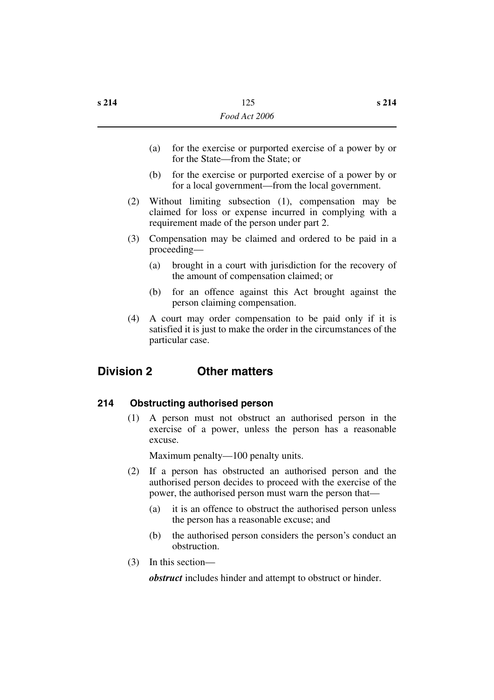- (a) for the exercise or purported exercise of a power by or for the State—from the State; or
- (b) for the exercise or purported exercise of a power by or for a local government—from the local government.
- (2) Without limiting subsection (1), compensation may be claimed for loss or expense incurred in complying with a requirement made of the person under part 2.
- (3) Compensation may be claimed and ordered to be paid in a proceeding—
	- (a) brought in a court with jurisdiction for the recovery of the amount of compensation claimed; or
	- (b) for an offence against this Act brought against the person claiming compensation.
- (4) A court may order compensation to be paid only if it is satisfied it is just to make the order in the circumstances of the particular case.

# **Division 2 Other matters**

# **214 Obstructing authorised person**

(1) A person must not obstruct an authorised person in the exercise of a power, unless the person has a reasonable excuse.

Maximum penalty—100 penalty units.

- (2) If a person has obstructed an authorised person and the authorised person decides to proceed with the exercise of the power, the authorised person must warn the person that—
	- (a) it is an offence to obstruct the authorised person unless the person has a reasonable excuse; and
	- (b) the authorised person considers the person's conduct an obstruction.
- (3) In this section—

*obstruct* includes hinder and attempt to obstruct or hinder.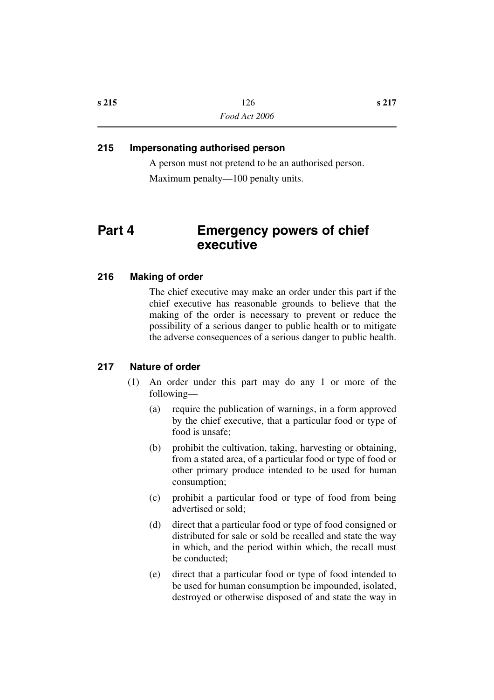#### **215 Impersonating authorised person**

A person must not pretend to be an authorised person. Maximum penalty—100 penalty units.

# **Part 4 Emergency powers of chief executive**

#### **216 Making of order**

The chief executive may make an order under this part if the chief executive has reasonable grounds to believe that the making of the order is necessary to prevent or reduce the possibility of a serious danger to public health or to mitigate the adverse consequences of a serious danger to public health.

#### **217 Nature of order**

- (1) An order under this part may do any 1 or more of the following—
	- (a) require the publication of warnings, in a form approved by the chief executive, that a particular food or type of food is unsafe;
	- (b) prohibit the cultivation, taking, harvesting or obtaining, from a stated area, of a particular food or type of food or other primary produce intended to be used for human consumption;
	- (c) prohibit a particular food or type of food from being advertised or sold;
	- (d) direct that a particular food or type of food consigned or distributed for sale or sold be recalled and state the way in which, and the period within which, the recall must be conducted;
	- (e) direct that a particular food or type of food intended to be used for human consumption be impounded, isolated, destroyed or otherwise disposed of and state the way in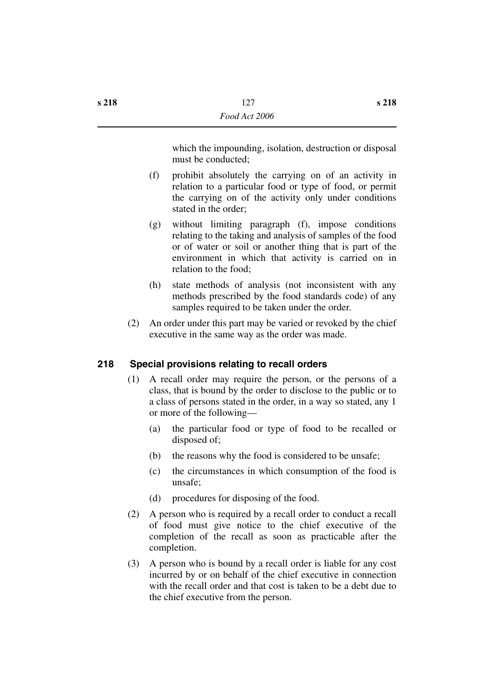which the impounding, isolation, destruction or disposal must be conducted;

- (f) prohibit absolutely the carrying on of an activity in relation to a particular food or type of food, or permit the carrying on of the activity only under conditions stated in the order;
- (g) without limiting paragraph (f), impose conditions relating to the taking and analysis of samples of the food or of water or soil or another thing that is part of the environment in which that activity is carried on in relation to the food;
- (h) state methods of analysis (not inconsistent with any methods prescribed by the food standards code) of any samples required to be taken under the order.
- (2) An order under this part may be varied or revoked by the chief executive in the same way as the order was made.

# **218 Special provisions relating to recall orders**

- (1) A recall order may require the person, or the persons of a class, that is bound by the order to disclose to the public or to a class of persons stated in the order, in a way so stated, any 1 or more of the following—
	- (a) the particular food or type of food to be recalled or disposed of;
	- (b) the reasons why the food is considered to be unsafe;
	- (c) the circumstances in which consumption of the food is unsafe;
	- (d) procedures for disposing of the food.
- (2) A person who is required by a recall order to conduct a recall of food must give notice to the chief executive of the completion of the recall as soon as practicable after the completion.
- (3) A person who is bound by a recall order is liable for any cost incurred by or on behalf of the chief executive in connection with the recall order and that cost is taken to be a debt due to the chief executive from the person.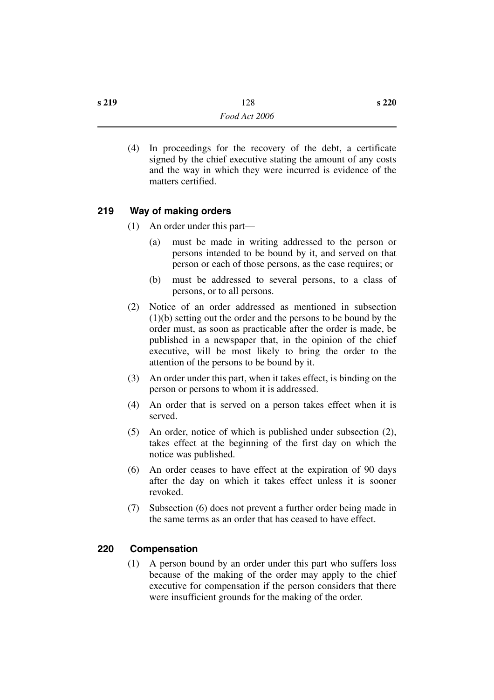| s 219 | 128           | s 220 |
|-------|---------------|-------|
|       | Food Act 2006 |       |

(4) In proceedings for the recovery of the debt, a certificate signed by the chief executive stating the amount of any costs and the way in which they were incurred is evidence of the matters certified.

### **219 Way of making orders**

- (1) An order under this part—
	- (a) must be made in writing addressed to the person or persons intended to be bound by it, and served on that person or each of those persons, as the case requires; or
	- (b) must be addressed to several persons, to a class of persons, or to all persons.
- (2) Notice of an order addressed as mentioned in subsection (1)(b) setting out the order and the persons to be bound by the order must, as soon as practicable after the order is made, be published in a newspaper that, in the opinion of the chief executive, will be most likely to bring the order to the attention of the persons to be bound by it.
- (3) An order under this part, when it takes effect, is binding on the person or persons to whom it is addressed.
- (4) An order that is served on a person takes effect when it is served.
- (5) An order, notice of which is published under subsection (2), takes effect at the beginning of the first day on which the notice was published.
- (6) An order ceases to have effect at the expiration of 90 days after the day on which it takes effect unless it is sooner revoked.
- (7) Subsection (6) does not prevent a further order being made in the same terms as an order that has ceased to have effect.

# **220 Compensation**

(1) A person bound by an order under this part who suffers loss because of the making of the order may apply to the chief executive for compensation if the person considers that there were insufficient grounds for the making of the order.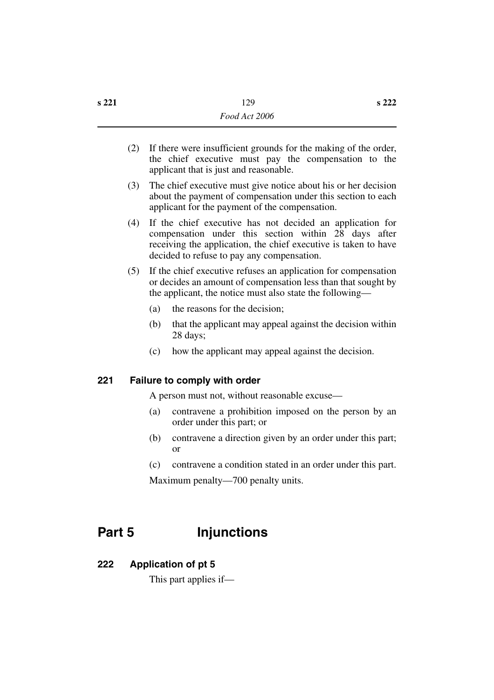- (2) If there were insufficient grounds for the making of the order, the chief executive must pay the compensation to the applicant that is just and reasonable.
- (3) The chief executive must give notice about his or her decision about the payment of compensation under this section to each applicant for the payment of the compensation.
- (4) If the chief executive has not decided an application for compensation under this section within 28 days after receiving the application, the chief executive is taken to have decided to refuse to pay any compensation.
- (5) If the chief executive refuses an application for compensation or decides an amount of compensation less than that sought by the applicant, the notice must also state the following—
	- (a) the reasons for the decision;
	- (b) that the applicant may appeal against the decision within 28 days;
	- (c) how the applicant may appeal against the decision.

#### **221 Failure to comply with order**

A person must not, without reasonable excuse—

- (a) contravene a prohibition imposed on the person by an order under this part; or
- (b) contravene a direction given by an order under this part; or
- (c) contravene a condition stated in an order under this part.

Maximum penalty—700 penalty units.

# **Part 5 Injunctions**

# **222 Application of pt 5**

This part applies if—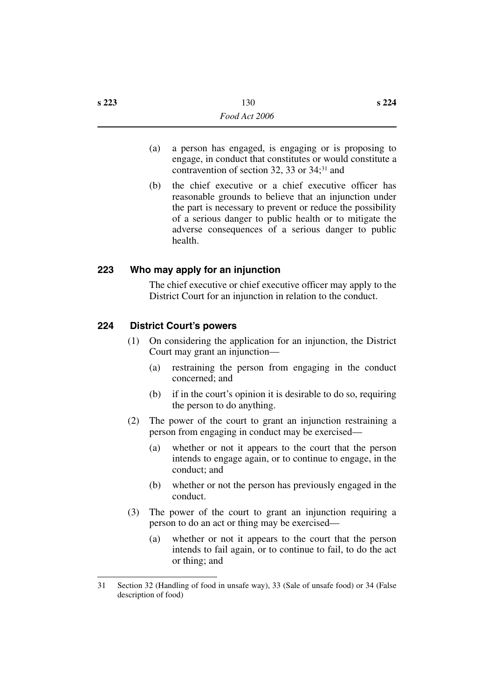- (a) a person has engaged, is engaging or is proposing to engage, in conduct that constitutes or would constitute a contravention of section 32, 33 or 34;31 and
- (b) the chief executive or a chief executive officer has reasonable grounds to believe that an injunction under the part is necessary to prevent or reduce the possibility of a serious danger to public health or to mitigate the adverse consequences of a serious danger to public health.

# **223 Who may apply for an injunction**

The chief executive or chief executive officer may apply to the District Court for an injunction in relation to the conduct.

# **224 District Court's powers**

- (1) On considering the application for an injunction, the District Court may grant an injunction—
	- (a) restraining the person from engaging in the conduct concerned; and
	- (b) if in the court's opinion it is desirable to do so, requiring the person to do anything.
- (2) The power of the court to grant an injunction restraining a person from engaging in conduct may be exercised—
	- (a) whether or not it appears to the court that the person intends to engage again, or to continue to engage, in the conduct; and
	- (b) whether or not the person has previously engaged in the conduct.
- (3) The power of the court to grant an injunction requiring a person to do an act or thing may be exercised—
	- (a) whether or not it appears to the court that the person intends to fail again, or to continue to fail, to do the act or thing; and

<sup>31</sup> Section 32 (Handling of food in unsafe way), 33 (Sale of unsafe food) or 34 (False description of food)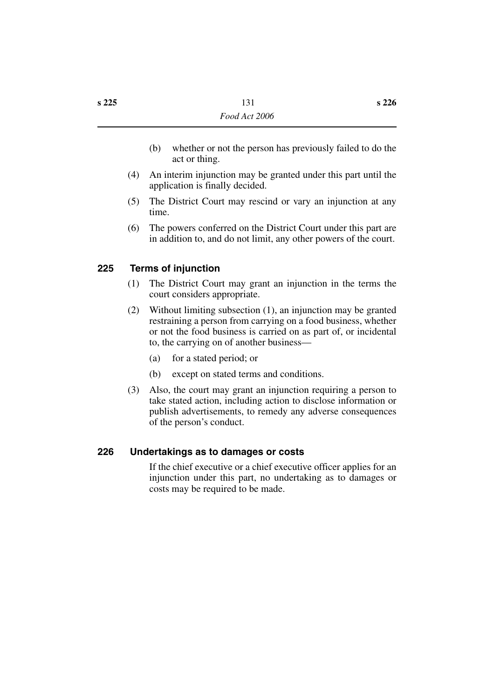- (b) whether or not the person has previously failed to do the act or thing.
- (4) An interim injunction may be granted under this part until the application is finally decided.
- (5) The District Court may rescind or vary an injunction at any time.
- (6) The powers conferred on the District Court under this part are in addition to, and do not limit, any other powers of the court.

### **225 Terms of injunction**

- (1) The District Court may grant an injunction in the terms the court considers appropriate.
- (2) Without limiting subsection (1), an injunction may be granted restraining a person from carrying on a food business, whether or not the food business is carried on as part of, or incidental to, the carrying on of another business—
	- (a) for a stated period; or
	- (b) except on stated terms and conditions.
- (3) Also, the court may grant an injunction requiring a person to take stated action, including action to disclose information or publish advertisements, to remedy any adverse consequences of the person's conduct.

#### **226 Undertakings as to damages or costs**

If the chief executive or a chief executive officer applies for an injunction under this part, no undertaking as to damages or costs may be required to be made.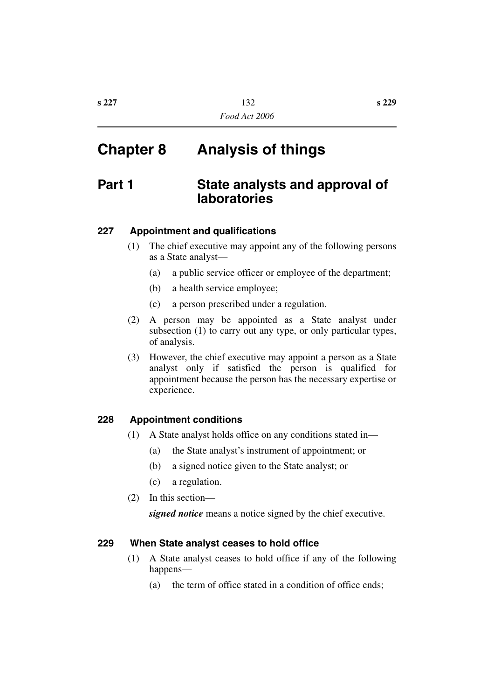# **Chapter 8 Analysis of things**

# **Part 1 State analysts and approval of laboratories**

### **227 Appointment and qualifications**

- (1) The chief executive may appoint any of the following persons as a State analyst—
	- (a) a public service officer or employee of the department;
	- (b) a health service employee;
	- (c) a person prescribed under a regulation.
- (2) A person may be appointed as a State analyst under subsection (1) to carry out any type, or only particular types, of analysis.
- (3) However, the chief executive may appoint a person as a State analyst only if satisfied the person is qualified for appointment because the person has the necessary expertise or experience.

#### **228 Appointment conditions**

- (1) A State analyst holds office on any conditions stated in—
	- (a) the State analyst's instrument of appointment; or
	- (b) a signed notice given to the State analyst; or
	- (c) a regulation.
- (2) In this section—

*signed notice* means a notice signed by the chief executive.

#### **229 When State analyst ceases to hold office**

- (1) A State analyst ceases to hold office if any of the following happens—
	- (a) the term of office stated in a condition of office ends;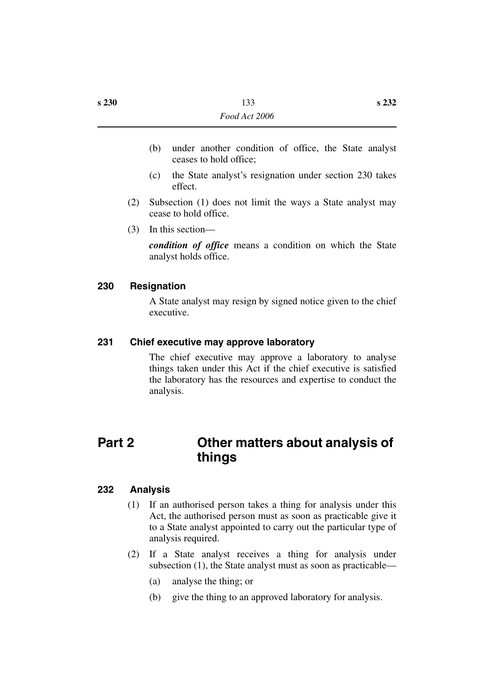- (b) under another condition of office, the State analyst ceases to hold office;
- (c) the State analyst's resignation under section 230 takes effect.
- (2) Subsection (1) does not limit the ways a State analyst may cease to hold office.
- (3) In this section—

*condition of office* means a condition on which the State analyst holds office.

# **230 Resignation**

A State analyst may resign by signed notice given to the chief executive.

### **231 Chief executive may approve laboratory**

The chief executive may approve a laboratory to analyse things taken under this Act if the chief executive is satisfied the laboratory has the resources and expertise to conduct the analysis.

# **Part 2 Other matters about analysis of things**

#### **232 Analysis**

- (1) If an authorised person takes a thing for analysis under this Act, the authorised person must as soon as practicable give it to a State analyst appointed to carry out the particular type of analysis required.
- (2) If a State analyst receives a thing for analysis under subsection (1), the State analyst must as soon as practicable—
	- (a) analyse the thing; or
	- (b) give the thing to an approved laboratory for analysis.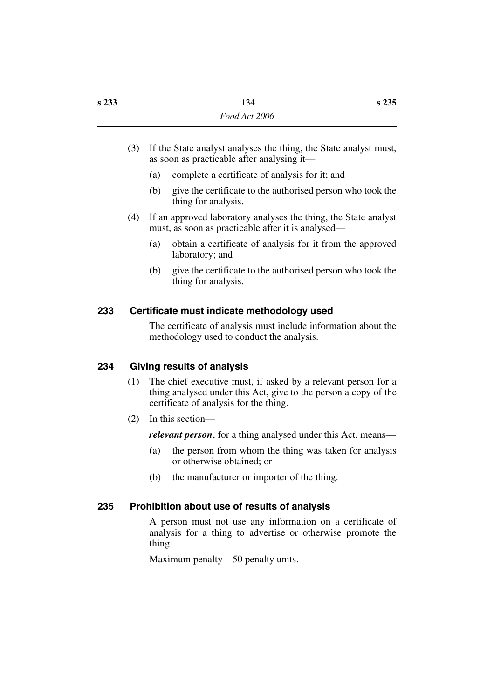- (3) If the State analyst analyses the thing, the State analyst must, as soon as practicable after analysing it—
	- (a) complete a certificate of analysis for it; and
	- (b) give the certificate to the authorised person who took the thing for analysis.
- (4) If an approved laboratory analyses the thing, the State analyst must, as soon as practicable after it is analysed—
	- (a) obtain a certificate of analysis for it from the approved laboratory; and
	- (b) give the certificate to the authorised person who took the thing for analysis.

# **233 Certificate must indicate methodology used**

The certificate of analysis must include information about the methodology used to conduct the analysis.

# **234 Giving results of analysis**

- (1) The chief executive must, if asked by a relevant person for a thing analysed under this Act, give to the person a copy of the certificate of analysis for the thing.
- (2) In this section—

*relevant person*, for a thing analysed under this Act, means—

- (a) the person from whom the thing was taken for analysis or otherwise obtained; or
- (b) the manufacturer or importer of the thing.

# **235 Prohibition about use of results of analysis**

A person must not use any information on a certificate of analysis for a thing to advertise or otherwise promote the thing.

Maximum penalty—50 penalty units.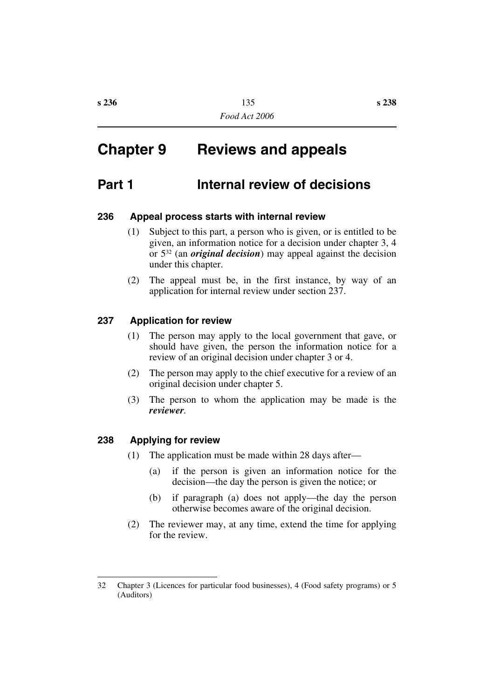# **Chapter 9 Reviews and appeals**

# **Part 1 Internal review of decisions**

#### **236 Appeal process starts with internal review**

- (1) Subject to this part, a person who is given, or is entitled to be given, an information notice for a decision under chapter 3, 4 or 532 (an *original decision*) may appeal against the decision under this chapter.
- (2) The appeal must be, in the first instance, by way of an application for internal review under section 237.

#### **237 Application for review**

- (1) The person may apply to the local government that gave, or should have given, the person the information notice for a review of an original decision under chapter 3 or 4.
- (2) The person may apply to the chief executive for a review of an original decision under chapter 5.
- (3) The person to whom the application may be made is the *reviewer*.

### **238 Applying for review**

- (1) The application must be made within 28 days after—
	- (a) if the person is given an information notice for the decision—the day the person is given the notice; or
	- (b) if paragraph (a) does not apply—the day the person otherwise becomes aware of the original decision.
- (2) The reviewer may, at any time, extend the time for applying for the review.

<sup>32</sup> Chapter 3 (Licences for particular food businesses), 4 (Food safety programs) or 5 (Auditors)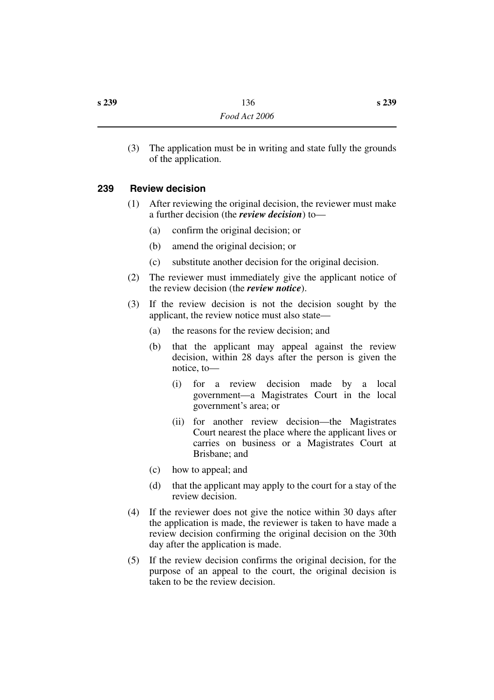(3) The application must be in writing and state fully the grounds of the application.

### **239 Review decision**

- (1) After reviewing the original decision, the reviewer must make a further decision (the *review decision*) to—
	- (a) confirm the original decision; or
	- (b) amend the original decision; or
	- (c) substitute another decision for the original decision.
- (2) The reviewer must immediately give the applicant notice of the review decision (the *review notice*).
- (3) If the review decision is not the decision sought by the applicant, the review notice must also state—
	- (a) the reasons for the review decision; and
	- (b) that the applicant may appeal against the review decision, within 28 days after the person is given the notice, to—
		- (i) for a review decision made by a local government—a Magistrates Court in the local government's area; or
		- (ii) for another review decision—the Magistrates Court nearest the place where the applicant lives or carries on business or a Magistrates Court at Brisbane; and
	- (c) how to appeal; and
	- (d) that the applicant may apply to the court for a stay of the review decision.
- (4) If the reviewer does not give the notice within 30 days after the application is made, the reviewer is taken to have made a review decision confirming the original decision on the 30th day after the application is made.
- (5) If the review decision confirms the original decision, for the purpose of an appeal to the court, the original decision is taken to be the review decision.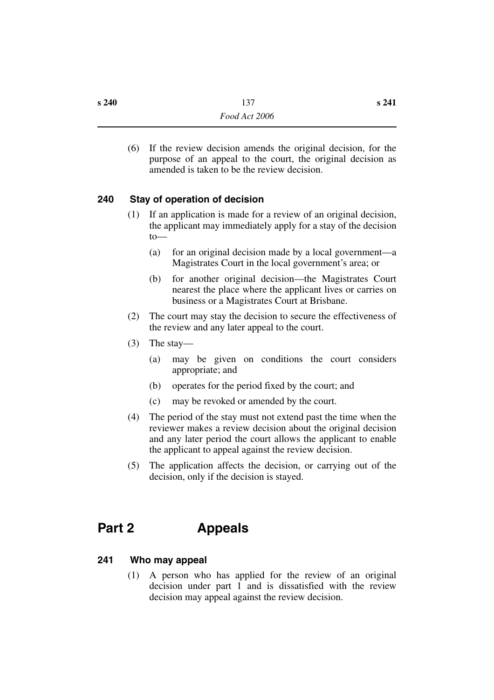(6) If the review decision amends the original decision, for the purpose of an appeal to the court, the original decision as amended is taken to be the review decision.

# **240 Stay of operation of decision**

- (1) If an application is made for a review of an original decision, the applicant may immediately apply for a stay of the decision  $to$ 
	- (a) for an original decision made by a local government—a Magistrates Court in the local government's area; or
	- (b) for another original decision—the Magistrates Court nearest the place where the applicant lives or carries on business or a Magistrates Court at Brisbane.
- (2) The court may stay the decision to secure the effectiveness of the review and any later appeal to the court.
- (3) The stay—
	- (a) may be given on conditions the court considers appropriate; and
	- (b) operates for the period fixed by the court; and
	- (c) may be revoked or amended by the court.
- (4) The period of the stay must not extend past the time when the reviewer makes a review decision about the original decision and any later period the court allows the applicant to enable the applicant to appeal against the review decision.
- (5) The application affects the decision, or carrying out of the decision, only if the decision is stayed.

# **Part 2 Appeals**

# **241 Who may appeal**

(1) A person who has applied for the review of an original decision under part 1 and is dissatisfied with the review decision may appeal against the review decision.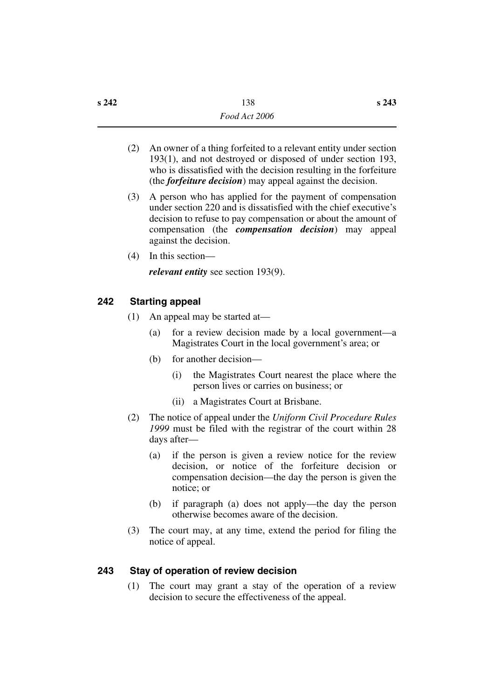- (2) An owner of a thing forfeited to a relevant entity under section 193(1), and not destroyed or disposed of under section 193, who is dissatisfied with the decision resulting in the forfeiture (the *forfeiture decision*) may appeal against the decision.
- (3) A person who has applied for the payment of compensation under section 220 and is dissatisfied with the chief executive's decision to refuse to pay compensation or about the amount of compensation (the *compensation decision*) may appeal against the decision.
- (4) In this section—

*relevant entity* see section 193(9).

# **242 Starting appeal**

- (1) An appeal may be started at—
	- (a) for a review decision made by a local government—a Magistrates Court in the local government's area; or
	- (b) for another decision—
		- (i) the Magistrates Court nearest the place where the person lives or carries on business; or
		- (ii) a Magistrates Court at Brisbane.
- (2) The notice of appeal under the *Uniform Civil Procedure Rules 1999* must be filed with the registrar of the court within 28 days after—
	- (a) if the person is given a review notice for the review decision, or notice of the forfeiture decision or compensation decision—the day the person is given the notice; or
	- (b) if paragraph (a) does not apply—the day the person otherwise becomes aware of the decision.
- (3) The court may, at any time, extend the period for filing the notice of appeal.

# **243 Stay of operation of review decision**

(1) The court may grant a stay of the operation of a review decision to secure the effectiveness of the appeal.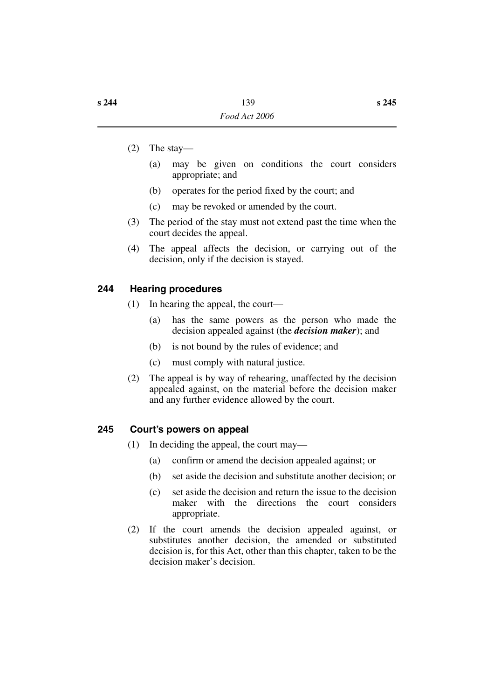- (2) The stay—
	- (a) may be given on conditions the court considers appropriate; and
	- (b) operates for the period fixed by the court; and
	- (c) may be revoked or amended by the court.
- (3) The period of the stay must not extend past the time when the court decides the appeal.
- (4) The appeal affects the decision, or carrying out of the decision, only if the decision is stayed.

# **244 Hearing procedures**

- (1) In hearing the appeal, the court—
	- (a) has the same powers as the person who made the decision appealed against (the *decision maker*); and
	- (b) is not bound by the rules of evidence; and
	- (c) must comply with natural justice.
- (2) The appeal is by way of rehearing, unaffected by the decision appealed against, on the material before the decision maker and any further evidence allowed by the court.

# **245 Court's powers on appeal**

- (1) In deciding the appeal, the court may—
	- (a) confirm or amend the decision appealed against; or
	- (b) set aside the decision and substitute another decision; or
	- (c) set aside the decision and return the issue to the decision maker with the directions the court considers appropriate.
- (2) If the court amends the decision appealed against, or substitutes another decision, the amended or substituted decision is, for this Act, other than this chapter, taken to be the decision maker's decision.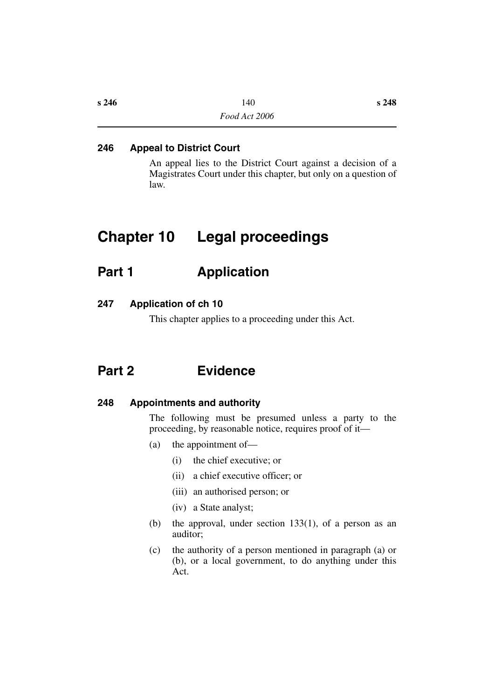#### **246 Appeal to District Court**

An appeal lies to the District Court against a decision of a Magistrates Court under this chapter, but only on a question of law.

# **Chapter 10 Legal proceedings**

# **Part 1 Application**

#### **247 Application of ch 10**

This chapter applies to a proceeding under this Act.

# **Part 2 Evidence**

#### **248 Appointments and authority**

The following must be presumed unless a party to the proceeding, by reasonable notice, requires proof of it—

- (a) the appointment of—
	- (i) the chief executive; or
	- (ii) a chief executive officer; or
	- (iii) an authorised person; or
	- (iv) a State analyst;
- (b) the approval, under section 133(1), of a person as an auditor;
- (c) the authority of a person mentioned in paragraph (a) or (b), or a local government, to do anything under this Act.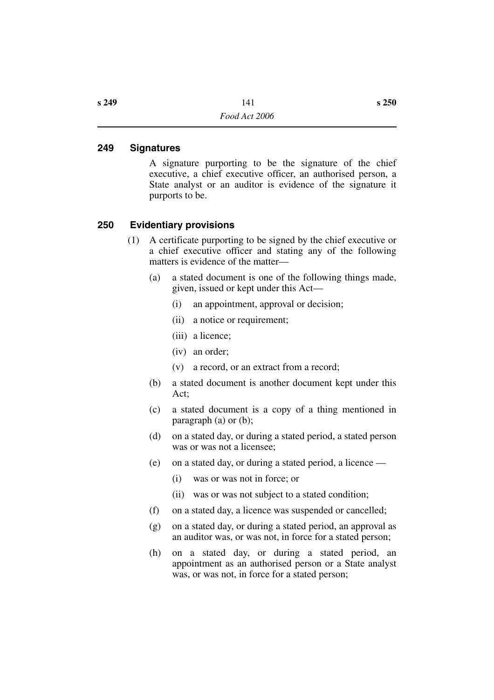#### **249 Signatures**

A signature purporting to be the signature of the chief executive, a chief executive officer, an authorised person, a State analyst or an auditor is evidence of the signature it purports to be.

### **250 Evidentiary provisions**

- (1) A certificate purporting to be signed by the chief executive or a chief executive officer and stating any of the following matters is evidence of the matter—
	- (a) a stated document is one of the following things made, given, issued or kept under this Act—
		- (i) an appointment, approval or decision;
		- (ii) a notice or requirement;
		- (iii) a licence;
		- (iv) an order;
		- (v) a record, or an extract from a record;
	- (b) a stated document is another document kept under this Act;
	- (c) a stated document is a copy of a thing mentioned in paragraph (a) or (b);
	- (d) on a stated day, or during a stated period, a stated person was or was not a licensee;
	- (e) on a stated day, or during a stated period, a licence
		- (i) was or was not in force; or
		- (ii) was or was not subject to a stated condition;
	- (f) on a stated day, a licence was suspended or cancelled;
	- (g) on a stated day, or during a stated period, an approval as an auditor was, or was not, in force for a stated person;
	- (h) on a stated day, or during a stated period, an appointment as an authorised person or a State analyst was, or was not, in force for a stated person;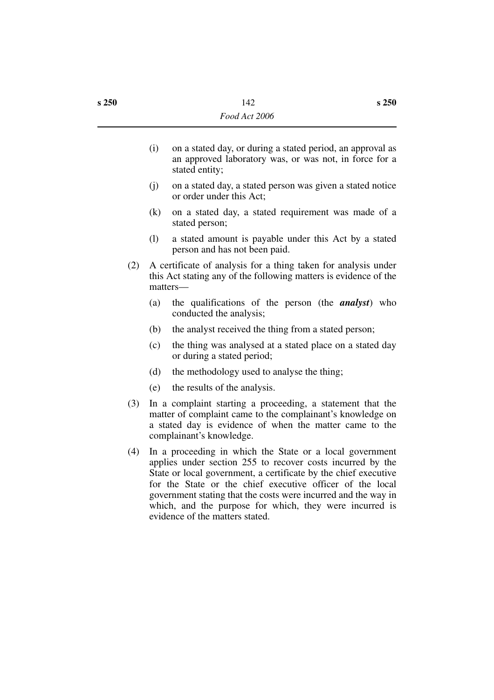- (i) on a stated day, or during a stated period, an approval as an approved laboratory was, or was not, in force for a stated entity;
- (j) on a stated day, a stated person was given a stated notice or order under this Act;
- (k) on a stated day, a stated requirement was made of a stated person;
- (l) a stated amount is payable under this Act by a stated person and has not been paid.
- (2) A certificate of analysis for a thing taken for analysis under this Act stating any of the following matters is evidence of the matters—
	- (a) the qualifications of the person (the *analyst*) who conducted the analysis;
	- (b) the analyst received the thing from a stated person;
	- (c) the thing was analysed at a stated place on a stated day or during a stated period;
	- (d) the methodology used to analyse the thing;
	- (e) the results of the analysis.
- (3) In a complaint starting a proceeding, a statement that the matter of complaint came to the complainant's knowledge on a stated day is evidence of when the matter came to the complainant's knowledge.
- (4) In a proceeding in which the State or a local government applies under section 255 to recover costs incurred by the State or local government, a certificate by the chief executive for the State or the chief executive officer of the local government stating that the costs were incurred and the way in which, and the purpose for which, they were incurred is evidence of the matters stated.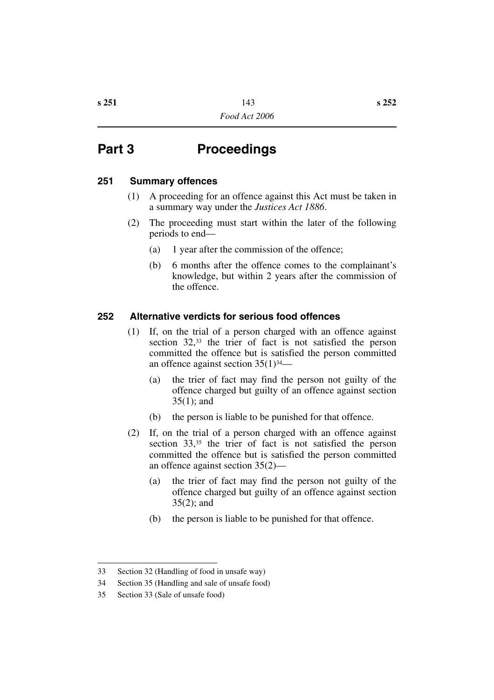# **Part 3 Proceedings**

### **251 Summary offences**

- (1) A proceeding for an offence against this Act must be taken in a summary way under the *Justices Act 1886*.
- (2) The proceeding must start within the later of the following periods to end—
	- (a) 1 year after the commission of the offence;
	- (b) 6 months after the offence comes to the complainant's knowledge, but within 2 years after the commission of the offence.

### **252 Alternative verdicts for serious food offences**

- (1) If, on the trial of a person charged with an offence against section 32,<sup>33</sup> the trier of fact is not satisfied the person committed the offence but is satisfied the person committed an offence against section  $35(1)^{34}$ —
	- (a) the trier of fact may find the person not guilty of the offence charged but guilty of an offence against section 35(1); and
	- (b) the person is liable to be punished for that offence.
- (2) If, on the trial of a person charged with an offence against section 33,<sup>35</sup> the trier of fact is not satisfied the person committed the offence but is satisfied the person committed an offence against section 35(2)—
	- (a) the trier of fact may find the person not guilty of the offence charged but guilty of an offence against section 35(2); and
	- (b) the person is liable to be punished for that offence.

<sup>33</sup> Section 32 (Handling of food in unsafe way)

<sup>34</sup> Section 35 (Handling and sale of unsafe food)

<sup>35</sup> Section 33 (Sale of unsafe food)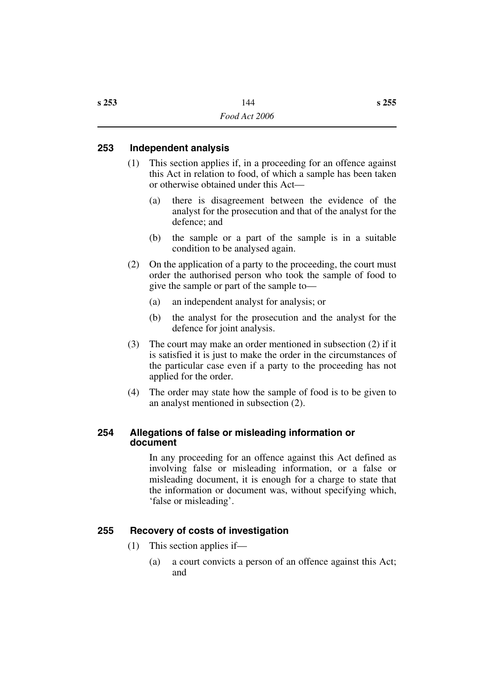### **253 Independent analysis**

- (1) This section applies if, in a proceeding for an offence against this Act in relation to food, of which a sample has been taken or otherwise obtained under this Act—
	- (a) there is disagreement between the evidence of the analyst for the prosecution and that of the analyst for the defence; and
	- (b) the sample or a part of the sample is in a suitable condition to be analysed again.
- (2) On the application of a party to the proceeding, the court must order the authorised person who took the sample of food to give the sample or part of the sample to—
	- (a) an independent analyst for analysis; or
	- (b) the analyst for the prosecution and the analyst for the defence for joint analysis.
- (3) The court may make an order mentioned in subsection (2) if it is satisfied it is just to make the order in the circumstances of the particular case even if a party to the proceeding has not applied for the order.
- (4) The order may state how the sample of food is to be given to an analyst mentioned in subsection (2).

### **254 Allegations of false or misleading information or document**

In any proceeding for an offence against this Act defined as involving false or misleading information, or a false or misleading document, it is enough for a charge to state that the information or document was, without specifying which, 'false or misleading'.

### **255 Recovery of costs of investigation**

- (1) This section applies if—
	- (a) a court convicts a person of an offence against this Act; and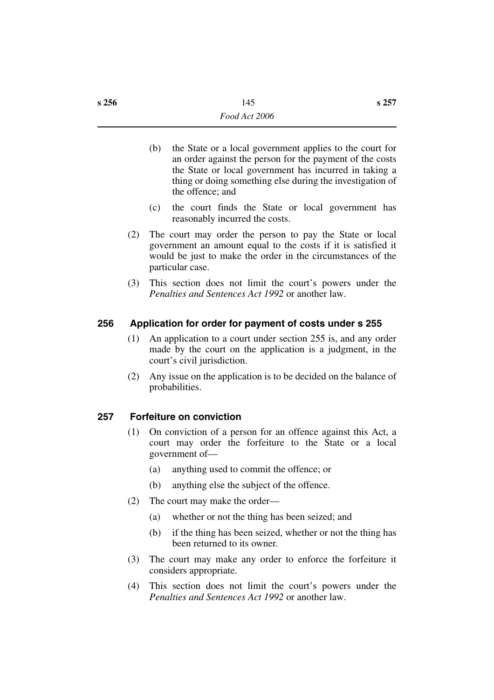- (b) the State or a local government applies to the court for an order against the person for the payment of the costs the State or local government has incurred in taking a thing or doing something else during the investigation of the offence; and
- (c) the court finds the State or local government has reasonably incurred the costs.
- (2) The court may order the person to pay the State or local government an amount equal to the costs if it is satisfied it would be just to make the order in the circumstances of the particular case.
- (3) This section does not limit the court's powers under the *Penalties and Sentences Act 1992* or another law.

### **256 Application for order for payment of costs under s 255**

- (1) An application to a court under section 255 is, and any order made by the court on the application is a judgment, in the court's civil jurisdiction.
- (2) Any issue on the application is to be decided on the balance of probabilities.

### **257 Forfeiture on conviction**

- (1) On conviction of a person for an offence against this Act, a court may order the forfeiture to the State or a local government of—
	- (a) anything used to commit the offence; or
	- (b) anything else the subject of the offence.
- (2) The court may make the order—
	- (a) whether or not the thing has been seized; and
	- (b) if the thing has been seized, whether or not the thing has been returned to its owner.
- (3) The court may make any order to enforce the forfeiture it considers appropriate.
- (4) This section does not limit the court's powers under the *Penalties and Sentences Act 1992* or another law.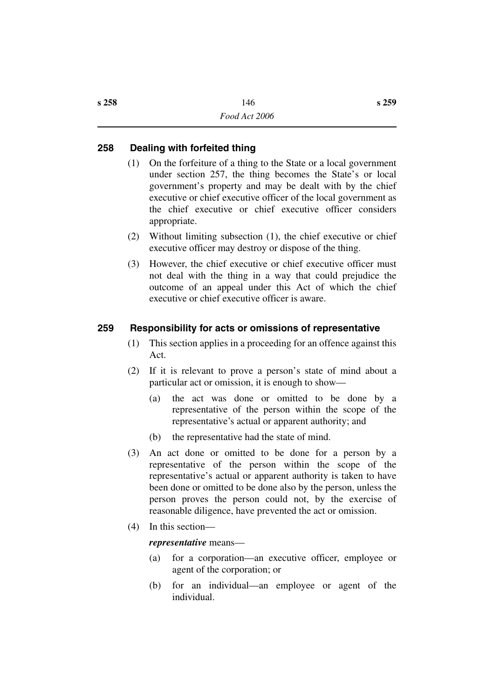### **258 Dealing with forfeited thing**

- (1) On the forfeiture of a thing to the State or a local government under section 257, the thing becomes the State's or local government's property and may be dealt with by the chief executive or chief executive officer of the local government as the chief executive or chief executive officer considers appropriate.
- (2) Without limiting subsection (1), the chief executive or chief executive officer may destroy or dispose of the thing.
- (3) However, the chief executive or chief executive officer must not deal with the thing in a way that could prejudice the outcome of an appeal under this Act of which the chief executive or chief executive officer is aware.

### **259 Responsibility for acts or omissions of representative**

- (1) This section applies in a proceeding for an offence against this Act.
- (2) If it is relevant to prove a person's state of mind about a particular act or omission, it is enough to show—
	- (a) the act was done or omitted to be done by a representative of the person within the scope of the representative's actual or apparent authority; and
	- (b) the representative had the state of mind.
- (3) An act done or omitted to be done for a person by a representative of the person within the scope of the representative's actual or apparent authority is taken to have been done or omitted to be done also by the person, unless the person proves the person could not, by the exercise of reasonable diligence, have prevented the act or omission.
- (4) In this section—

#### *representative* means—

- (a) for a corporation—an executive officer, employee or agent of the corporation; or
- (b) for an individual—an employee or agent of the individual.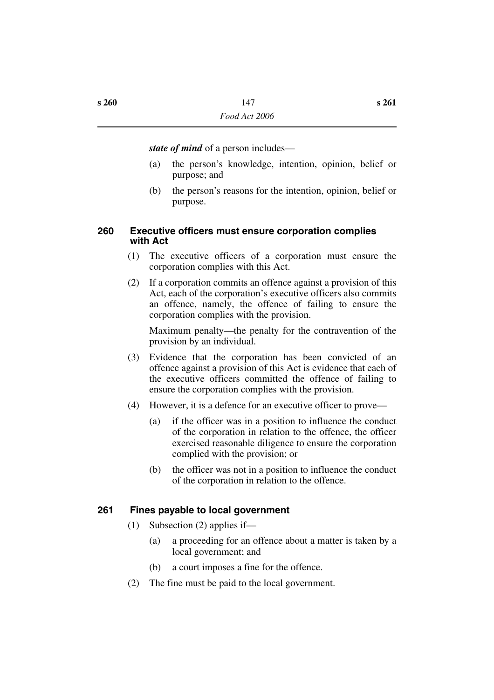*state of mind* of a person includes—

- (a) the person's knowledge, intention, opinion, belief or purpose; and
- (b) the person's reasons for the intention, opinion, belief or purpose.

#### **260 Executive officers must ensure corporation complies with Act**

- (1) The executive officers of a corporation must ensure the corporation complies with this Act.
- (2) If a corporation commits an offence against a provision of this Act, each of the corporation's executive officers also commits an offence, namely, the offence of failing to ensure the corporation complies with the provision.

Maximum penalty—the penalty for the contravention of the provision by an individual.

- (3) Evidence that the corporation has been convicted of an offence against a provision of this Act is evidence that each of the executive officers committed the offence of failing to ensure the corporation complies with the provision.
- (4) However, it is a defence for an executive officer to prove—
	- (a) if the officer was in a position to influence the conduct of the corporation in relation to the offence, the officer exercised reasonable diligence to ensure the corporation complied with the provision; or
	- (b) the officer was not in a position to influence the conduct of the corporation in relation to the offence.

#### **261 Fines payable to local government**

- (1) Subsection (2) applies if—
	- (a) a proceeding for an offence about a matter is taken by a local government; and
	- (b) a court imposes a fine for the offence.
- (2) The fine must be paid to the local government.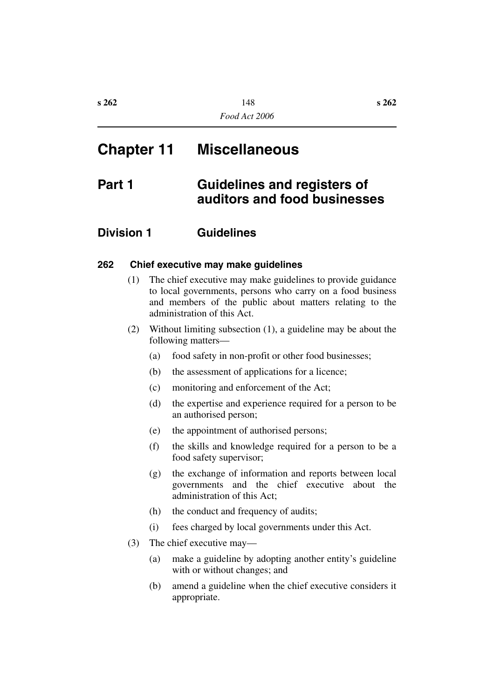# **Chapter 11 Miscellaneous**

# **Part 1 Guidelines and registers of auditors and food businesses**

### **Division 1 Guidelines**

#### **262 Chief executive may make guidelines**

- (1) The chief executive may make guidelines to provide guidance to local governments, persons who carry on a food business and members of the public about matters relating to the administration of this Act.
- (2) Without limiting subsection (1), a guideline may be about the following matters—
	- (a) food safety in non-profit or other food businesses;
	- (b) the assessment of applications for a licence;
	- (c) monitoring and enforcement of the Act;
	- (d) the expertise and experience required for a person to be an authorised person;
	- (e) the appointment of authorised persons;
	- (f) the skills and knowledge required for a person to be a food safety supervisor;
	- (g) the exchange of information and reports between local governments and the chief executive about the administration of this Act;
	- (h) the conduct and frequency of audits;
	- (i) fees charged by local governments under this Act.
- (3) The chief executive may—
	- (a) make a guideline by adopting another entity's guideline with or without changes; and
	- (b) amend a guideline when the chief executive considers it appropriate.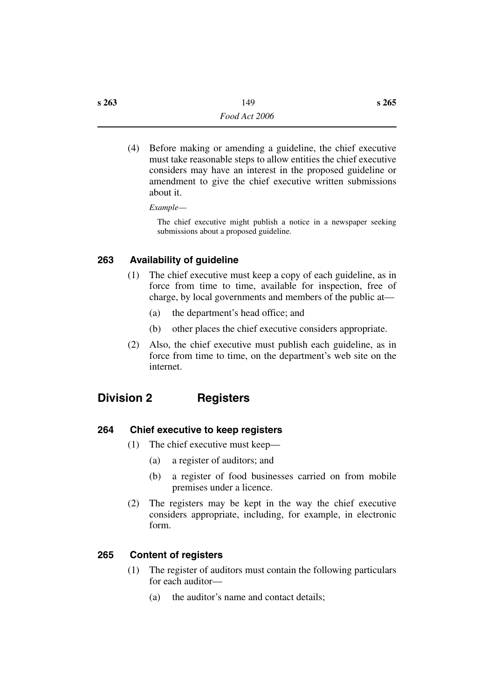(4) Before making or amending a guideline, the chief executive must take reasonable steps to allow entities the chief executive considers may have an interest in the proposed guideline or amendment to give the chief executive written submissions about it.

*Example*—

The chief executive might publish a notice in a newspaper seeking submissions about a proposed guideline.

### **263 Availability of guideline**

- (1) The chief executive must keep a copy of each guideline, as in force from time to time, available for inspection, free of charge, by local governments and members of the public at—
	- (a) the department's head office; and
	- (b) other places the chief executive considers appropriate.
- (2) Also, the chief executive must publish each guideline, as in force from time to time, on the department's web site on the internet.

# **Division 2 Registers**

### **264 Chief executive to keep registers**

- (1) The chief executive must keep—
	- (a) a register of auditors; and
	- (b) a register of food businesses carried on from mobile premises under a licence.
- (2) The registers may be kept in the way the chief executive considers appropriate, including, for example, in electronic form.

### **265 Content of registers**

- (1) The register of auditors must contain the following particulars for each auditor—
	- (a) the auditor's name and contact details;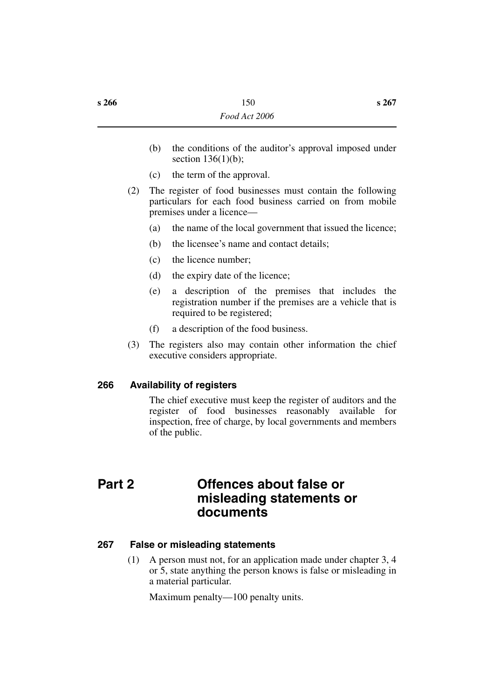- (b) the conditions of the auditor's approval imposed under section  $136(1)(b)$ ;
- (c) the term of the approval.
- (2) The register of food businesses must contain the following particulars for each food business carried on from mobile premises under a licence—
	- (a) the name of the local government that issued the licence;
	- (b) the licensee's name and contact details;
	- (c) the licence number;
	- (d) the expiry date of the licence;
	- (e) a description of the premises that includes the registration number if the premises are a vehicle that is required to be registered;
	- (f) a description of the food business.
- (3) The registers also may contain other information the chief executive considers appropriate.

#### **266 Availability of registers**

The chief executive must keep the register of auditors and the register of food businesses reasonably available for inspection, free of charge, by local governments and members of the public.

# **Part 2 Offences about false or misleading statements or documents**

#### **267 False or misleading statements**

(1) A person must not, for an application made under chapter 3, 4 or 5, state anything the person knows is false or misleading in a material particular.

Maximum penalty—100 penalty units.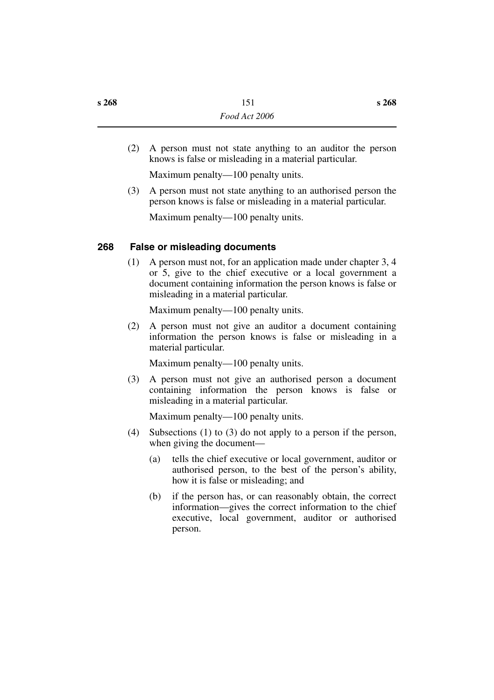(2) A person must not state anything to an auditor the person knows is false or misleading in a material particular.

Maximum penalty—100 penalty units.

(3) A person must not state anything to an authorised person the person knows is false or misleading in a material particular.

Maximum penalty—100 penalty units.

### **268 False or misleading documents**

(1) A person must not, for an application made under chapter 3, 4 or 5, give to the chief executive or a local government a document containing information the person knows is false or misleading in a material particular.

Maximum penalty—100 penalty units.

(2) A person must not give an auditor a document containing information the person knows is false or misleading in a material particular.

Maximum penalty—100 penalty units.

(3) A person must not give an authorised person a document containing information the person knows is false or misleading in a material particular.

Maximum penalty—100 penalty units.

- (4) Subsections (1) to (3) do not apply to a person if the person, when giving the document—
	- (a) tells the chief executive or local government, auditor or authorised person, to the best of the person's ability, how it is false or misleading; and
	- (b) if the person has, or can reasonably obtain, the correct information—gives the correct information to the chief executive, local government, auditor or authorised person.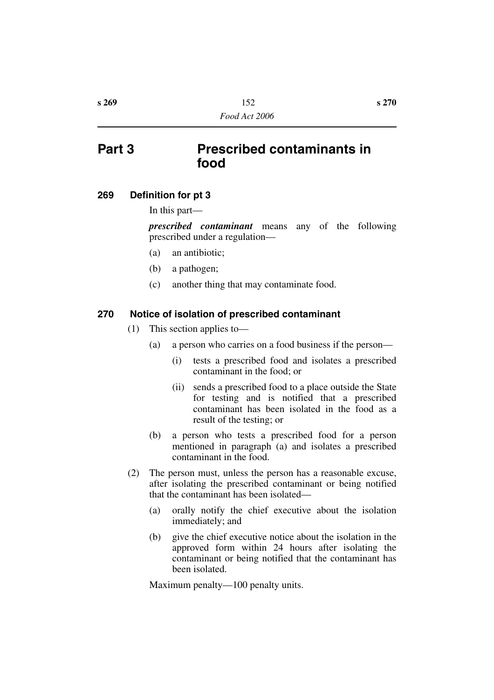# **Part 3 Prescribed contaminants in food**

### **269 Definition for pt 3**

In this part—

*prescribed contaminant* means any of the following prescribed under a regulation—

- (a) an antibiotic;
- (b) a pathogen;
- (c) another thing that may contaminate food.

### **270 Notice of isolation of prescribed contaminant**

- (1) This section applies to—
	- (a) a person who carries on a food business if the person—
		- (i) tests a prescribed food and isolates a prescribed contaminant in the food; or
		- (ii) sends a prescribed food to a place outside the State for testing and is notified that a prescribed contaminant has been isolated in the food as a result of the testing; or
	- (b) a person who tests a prescribed food for a person mentioned in paragraph (a) and isolates a prescribed contaminant in the food.
- (2) The person must, unless the person has a reasonable excuse, after isolating the prescribed contaminant or being notified that the contaminant has been isolated—
	- (a) orally notify the chief executive about the isolation immediately; and
	- (b) give the chief executive notice about the isolation in the approved form within 24 hours after isolating the contaminant or being notified that the contaminant has been isolated.

Maximum penalty—100 penalty units.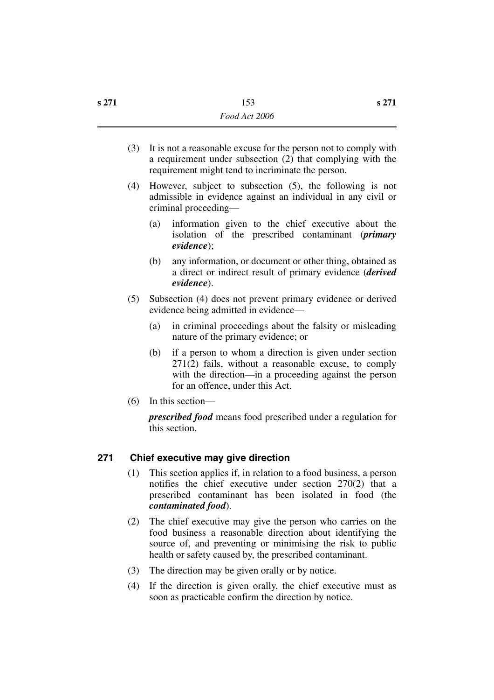- (3) It is not a reasonable excuse for the person not to comply with a requirement under subsection (2) that complying with the requirement might tend to incriminate the person.
- (4) However, subject to subsection (5), the following is not admissible in evidence against an individual in any civil or criminal proceeding—
	- (a) information given to the chief executive about the isolation of the prescribed contaminant (*primary evidence*);
	- (b) any information, or document or other thing, obtained as a direct or indirect result of primary evidence (*derived evidence*).
- (5) Subsection (4) does not prevent primary evidence or derived evidence being admitted in evidence—
	- (a) in criminal proceedings about the falsity or misleading nature of the primary evidence; or
	- (b) if a person to whom a direction is given under section 271(2) fails, without a reasonable excuse, to comply with the direction—in a proceeding against the person for an offence, under this Act.
- (6) In this section—

*prescribed food* means food prescribed under a regulation for this section.

### **271 Chief executive may give direction**

- (1) This section applies if, in relation to a food business, a person notifies the chief executive under section 270(2) that a prescribed contaminant has been isolated in food (the *contaminated food*).
- (2) The chief executive may give the person who carries on the food business a reasonable direction about identifying the source of, and preventing or minimising the risk to public health or safety caused by, the prescribed contaminant.
- (3) The direction may be given orally or by notice.
- (4) If the direction is given orally, the chief executive must as soon as practicable confirm the direction by notice.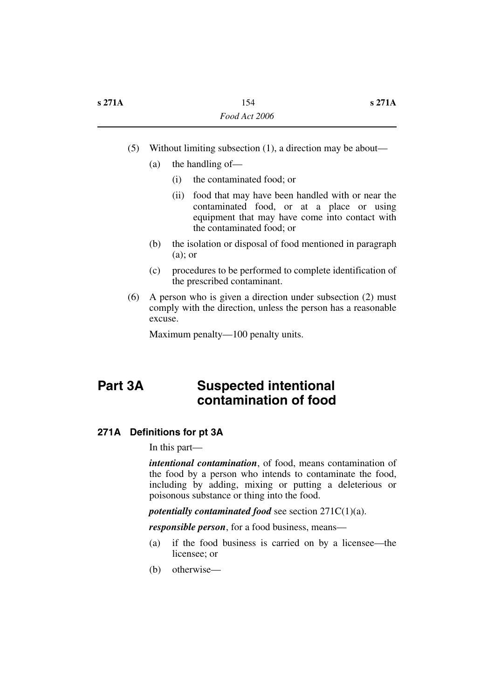- (5) Without limiting subsection (1), a direction may be about—
	- (a) the handling of—
		- (i) the contaminated food; or
		- (ii) food that may have been handled with or near the contaminated food, or at a place or using equipment that may have come into contact with the contaminated food; or
	- (b) the isolation or disposal of food mentioned in paragraph (a); or
	- (c) procedures to be performed to complete identification of the prescribed contaminant.
- (6) A person who is given a direction under subsection (2) must comply with the direction, unless the person has a reasonable excuse.

Maximum penalty—100 penalty units.

# **Part 3A Suspected intentional contamination of food**

### **271A Definitions for pt 3A**

In this part—

*intentional contamination*, of food, means contamination of the food by a person who intends to contaminate the food, including by adding, mixing or putting a deleterious or poisonous substance or thing into the food.

*potentially contaminated food* see section 271C(1)(a).

*responsible person*, for a food business, means—

- (a) if the food business is carried on by a licensee—the licensee; or
- (b) otherwise—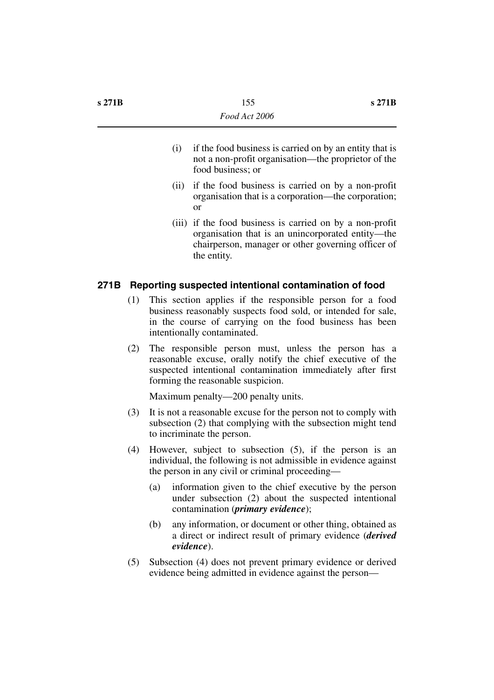- (i) if the food business is carried on by an entity that is not a non-profit organisation—the proprietor of the food business; or
- (ii) if the food business is carried on by a non-profit organisation that is a corporation—the corporation; or
- (iii) if the food business is carried on by a non-profit organisation that is an unincorporated entity—the chairperson, manager or other governing officer of the entity.

### **271B Reporting suspected intentional contamination of food**

- (1) This section applies if the responsible person for a food business reasonably suspects food sold, or intended for sale, in the course of carrying on the food business has been intentionally contaminated.
- (2) The responsible person must, unless the person has a reasonable excuse, orally notify the chief executive of the suspected intentional contamination immediately after first forming the reasonable suspicion.

Maximum penalty—200 penalty units.

- (3) It is not a reasonable excuse for the person not to comply with subsection (2) that complying with the subsection might tend to incriminate the person.
- (4) However, subject to subsection (5), if the person is an individual, the following is not admissible in evidence against the person in any civil or criminal proceeding—
	- (a) information given to the chief executive by the person under subsection (2) about the suspected intentional contamination (*primary evidence*);
	- (b) any information, or document or other thing, obtained as a direct or indirect result of primary evidence (*derived evidence*).
- (5) Subsection (4) does not prevent primary evidence or derived evidence being admitted in evidence against the person—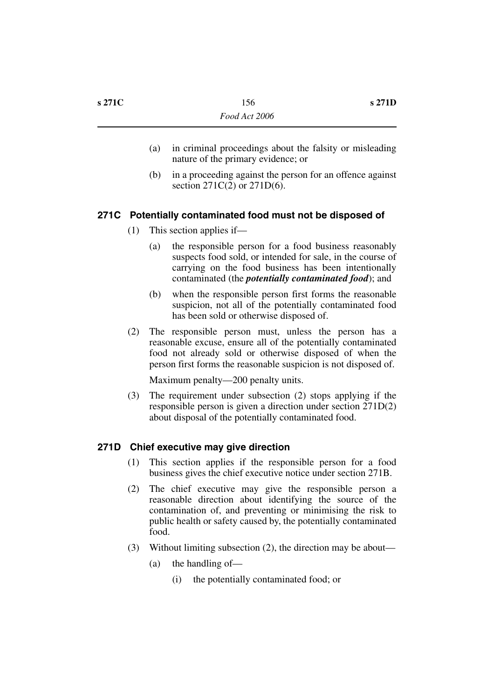- (a) in criminal proceedings about the falsity or misleading nature of the primary evidence; or
- (b) in a proceeding against the person for an offence against section 271C(2) or 271D(6).

### **271C Potentially contaminated food must not be disposed of**

- (1) This section applies if—
	- (a) the responsible person for a food business reasonably suspects food sold, or intended for sale, in the course of carrying on the food business has been intentionally contaminated (the *potentially contaminated food*); and
	- (b) when the responsible person first forms the reasonable suspicion, not all of the potentially contaminated food has been sold or otherwise disposed of.
- (2) The responsible person must, unless the person has a reasonable excuse, ensure all of the potentially contaminated food not already sold or otherwise disposed of when the person first forms the reasonable suspicion is not disposed of.

Maximum penalty—200 penalty units.

(3) The requirement under subsection (2) stops applying if the responsible person is given a direction under section 271D(2) about disposal of the potentially contaminated food.

### **271D Chief executive may give direction**

- (1) This section applies if the responsible person for a food business gives the chief executive notice under section 271B.
- (2) The chief executive may give the responsible person a reasonable direction about identifying the source of the contamination of, and preventing or minimising the risk to public health or safety caused by, the potentially contaminated food.
- (3) Without limiting subsection (2), the direction may be about—
	- (a) the handling of—
		- (i) the potentially contaminated food; or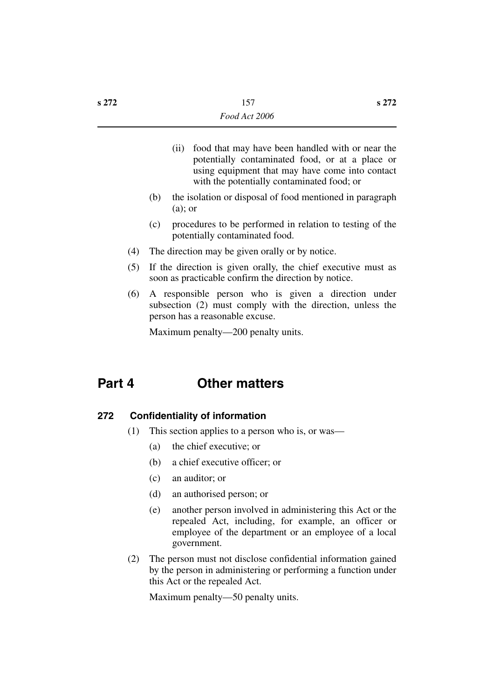- (ii) food that may have been handled with or near the potentially contaminated food, or at a place or using equipment that may have come into contact with the potentially contaminated food; or
- (b) the isolation or disposal of food mentioned in paragraph (a); or
- (c) procedures to be performed in relation to testing of the potentially contaminated food.
- (4) The direction may be given orally or by notice.
- (5) If the direction is given orally, the chief executive must as soon as practicable confirm the direction by notice.
- (6) A responsible person who is given a direction under subsection (2) must comply with the direction, unless the person has a reasonable excuse.

Maximum penalty—200 penalty units.

# **Part 4 Other matters**

### **272 Confidentiality of information**

- (1) This section applies to a person who is, or was—
	- (a) the chief executive; or
	- (b) a chief executive officer; or
	- (c) an auditor; or
	- (d) an authorised person; or
	- (e) another person involved in administering this Act or the repealed Act, including, for example, an officer or employee of the department or an employee of a local government.
- (2) The person must not disclose confidential information gained by the person in administering or performing a function under this Act or the repealed Act.

Maximum penalty—50 penalty units.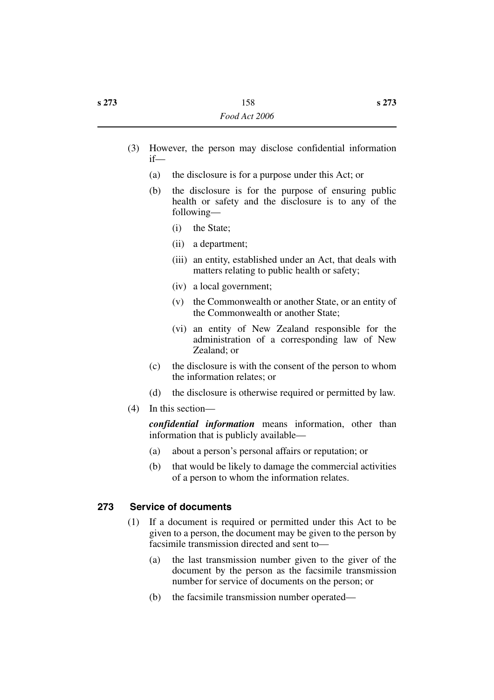- (3) However, the person may disclose confidential information if—
	- (a) the disclosure is for a purpose under this Act; or
	- (b) the disclosure is for the purpose of ensuring public health or safety and the disclosure is to any of the following—
		- (i) the State;
		- (ii) a department;
		- (iii) an entity, established under an Act, that deals with matters relating to public health or safety;
		- (iv) a local government;
		- (v) the Commonwealth or another State, or an entity of the Commonwealth or another State;
		- (vi) an entity of New Zealand responsible for the administration of a corresponding law of New Zealand; or
	- (c) the disclosure is with the consent of the person to whom the information relates; or
	- (d) the disclosure is otherwise required or permitted by law.
- (4) In this section—

*confidential information* means information, other than information that is publicly available—

- (a) about a person's personal affairs or reputation; or
- (b) that would be likely to damage the commercial activities of a person to whom the information relates.

### **273 Service of documents**

- (1) If a document is required or permitted under this Act to be given to a person, the document may be given to the person by facsimile transmission directed and sent to—
	- (a) the last transmission number given to the giver of the document by the person as the facsimile transmission number for service of documents on the person; or
	- (b) the facsimile transmission number operated—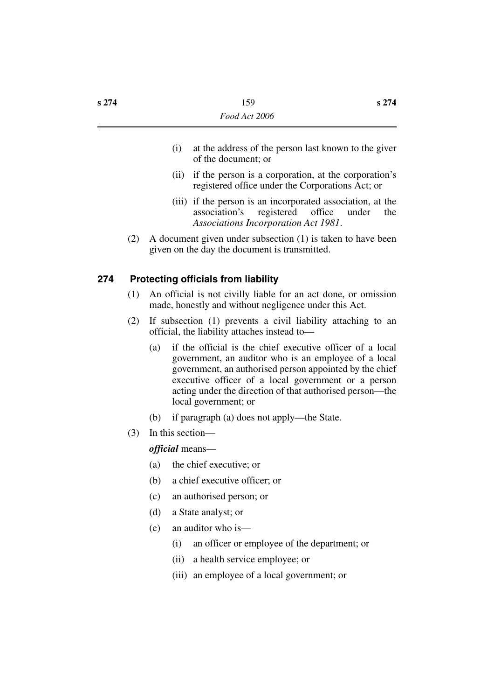- (i) at the address of the person last known to the giver of the document; or
- (ii) if the person is a corporation, at the corporation's registered office under the Corporations Act; or
- (iii) if the person is an incorporated association, at the association's registered office under the *Associations Incorporation Act 1981*.
- (2) A document given under subsection (1) is taken to have been given on the day the document is transmitted.

### **274 Protecting officials from liability**

- (1) An official is not civilly liable for an act done, or omission made, honestly and without negligence under this Act.
- (2) If subsection (1) prevents a civil liability attaching to an official, the liability attaches instead to—
	- (a) if the official is the chief executive officer of a local government, an auditor who is an employee of a local government, an authorised person appointed by the chief executive officer of a local government or a person acting under the direction of that authorised person—the local government; or
	- (b) if paragraph (a) does not apply—the State.
- (3) In this section—

### *official* means—

- (a) the chief executive; or
- (b) a chief executive officer; or
- (c) an authorised person; or
- (d) a State analyst; or
- (e) an auditor who is—
	- (i) an officer or employee of the department; or
	- (ii) a health service employee; or
	- (iii) an employee of a local government; or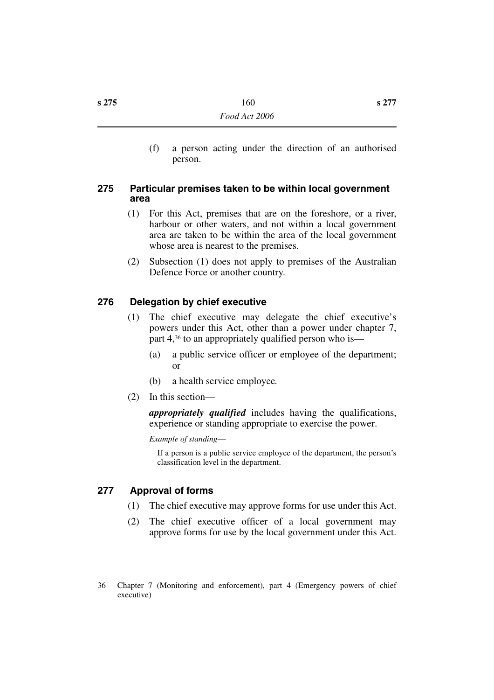(f) a person acting under the direction of an authorised person.

### **275 Particular premises taken to be within local government area**

- (1) For this Act, premises that are on the foreshore, or a river, harbour or other waters, and not within a local government area are taken to be within the area of the local government whose area is nearest to the premises.
- (2) Subsection (1) does not apply to premises of the Australian Defence Force or another country.

### **276 Delegation by chief executive**

- (1) The chief executive may delegate the chief executive's powers under this Act, other than a power under chapter 7, part 4,36 to an appropriately qualified person who is—
	- (a) a public service officer or employee of the department; or
	- (b) a health service employee*.*
- (2) In this section—

*appropriately qualified* includes having the qualifications, experience or standing appropriate to exercise the power.

*Example of standing*—

If a person is a public service employee of the department, the person's classification level in the department.

### **277 Approval of forms**

- (1) The chief executive may approve forms for use under this Act.
- (2) The chief executive officer of a local government may approve forms for use by the local government under this Act.

<sup>36</sup> Chapter 7 (Monitoring and enforcement), part 4 (Emergency powers of chief executive)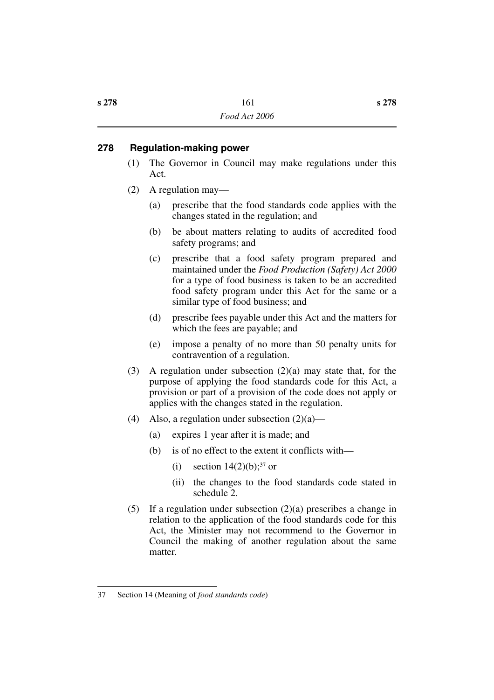### **278 Regulation-making power**

- (1) The Governor in Council may make regulations under this Act.
- (2) A regulation may—
	- (a) prescribe that the food standards code applies with the changes stated in the regulation; and
	- (b) be about matters relating to audits of accredited food safety programs; and
	- (c) prescribe that a food safety program prepared and maintained under the *Food Production (Safety) Act 2000* for a type of food business is taken to be an accredited food safety program under this Act for the same or a similar type of food business; and
	- (d) prescribe fees payable under this Act and the matters for which the fees are payable; and
	- (e) impose a penalty of no more than 50 penalty units for contravention of a regulation.
- (3) A regulation under subsection (2)(a) may state that, for the purpose of applying the food standards code for this Act, a provision or part of a provision of the code does not apply or applies with the changes stated in the regulation.
- (4) Also, a regulation under subsection  $(2)(a)$ 
	- (a) expires 1 year after it is made; and
	- (b) is of no effect to the extent it conflicts with—
		- (i) section  $14(2)(b)$ ;<sup>37</sup> or
		- (ii) the changes to the food standards code stated in schedule 2.
- (5) If a regulation under subsection (2)(a) prescribes a change in relation to the application of the food standards code for this Act, the Minister may not recommend to the Governor in Council the making of another regulation about the same matter.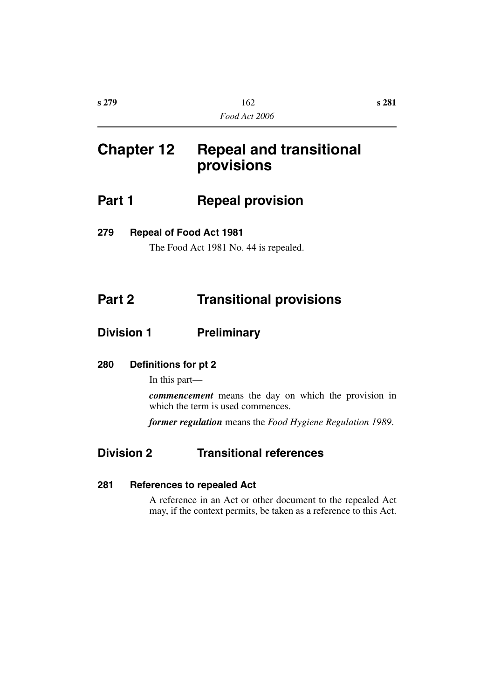# **Chapter 12 Repeal and transitional provisions**

# **Part 1 Repeal provision**

### **279 Repeal of Food Act 1981**

The Food Act 1981 No. 44 is repealed.

# **Part 2 Transitional provisions**

## **Division 1 Preliminary**

### **280 Definitions for pt 2**

In this part—

*commencement* means the day on which the provision in which the term is used commences.

*former regulation* means the *Food Hygiene Regulation 1989*.

## **Division 2 Transitional references**

### **281 References to repealed Act**

A reference in an Act or other document to the repealed Act may, if the context permits, be taken as a reference to this Act.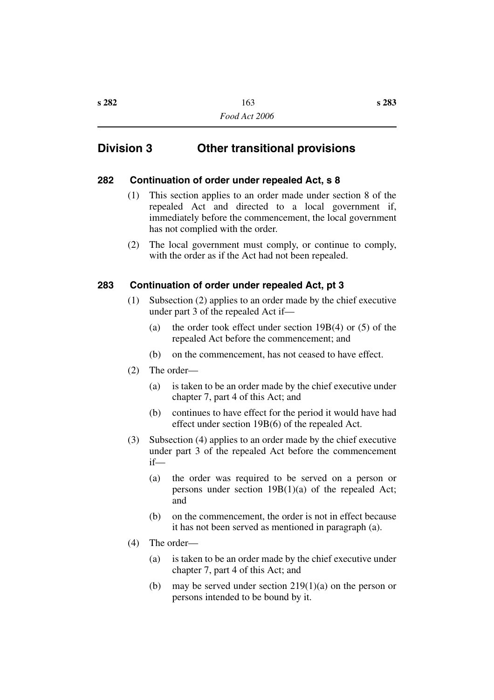### **Division 3 Other transitional provisions**

#### **282 Continuation of order under repealed Act, s 8**

- (1) This section applies to an order made under section 8 of the repealed Act and directed to a local government if, immediately before the commencement, the local government has not complied with the order.
- (2) The local government must comply, or continue to comply, with the order as if the Act had not been repealed.

#### **283 Continuation of order under repealed Act, pt 3**

- (1) Subsection (2) applies to an order made by the chief executive under part 3 of the repealed Act if—
	- (a) the order took effect under section 19B(4) or (5) of the repealed Act before the commencement; and
	- (b) on the commencement, has not ceased to have effect.
- (2) The order—
	- (a) is taken to be an order made by the chief executive under chapter 7, part 4 of this Act; and
	- (b) continues to have effect for the period it would have had effect under section 19B(6) of the repealed Act.
- (3) Subsection (4) applies to an order made by the chief executive under part 3 of the repealed Act before the commencement if—
	- (a) the order was required to be served on a person or persons under section  $19B(1)(a)$  of the repealed Act; and
	- (b) on the commencement, the order is not in effect because it has not been served as mentioned in paragraph (a).
- (4) The order—
	- (a) is taken to be an order made by the chief executive under chapter 7, part 4 of this Act; and
	- (b) may be served under section 219(1)(a) on the person or persons intended to be bound by it.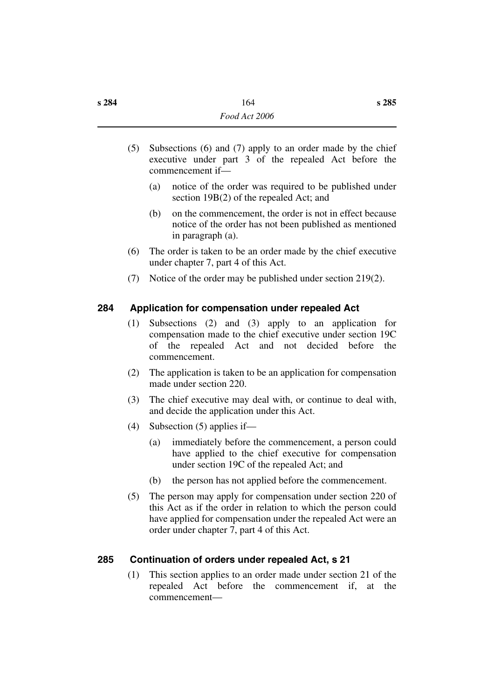- (5) Subsections (6) and (7) apply to an order made by the chief executive under part 3 of the repealed Act before the commencement if—
	- (a) notice of the order was required to be published under section 19B(2) of the repealed Act; and
	- (b) on the commencement, the order is not in effect because notice of the order has not been published as mentioned in paragraph (a).
- (6) The order is taken to be an order made by the chief executive under chapter 7, part 4 of this Act.
- (7) Notice of the order may be published under section 219(2).

### **284 Application for compensation under repealed Act**

- (1) Subsections (2) and (3) apply to an application for compensation made to the chief executive under section 19C of the repealed Act and not decided before the commencement.
- (2) The application is taken to be an application for compensation made under section 220.
- (3) The chief executive may deal with, or continue to deal with, and decide the application under this Act.
- (4) Subsection (5) applies if—
	- (a) immediately before the commencement, a person could have applied to the chief executive for compensation under section 19C of the repealed Act; and
	- (b) the person has not applied before the commencement.
- (5) The person may apply for compensation under section 220 of this Act as if the order in relation to which the person could have applied for compensation under the repealed Act were an order under chapter 7, part 4 of this Act.

### **285 Continuation of orders under repealed Act, s 21**

(1) This section applies to an order made under section 21 of the repealed Act before the commencement if, at the commencement—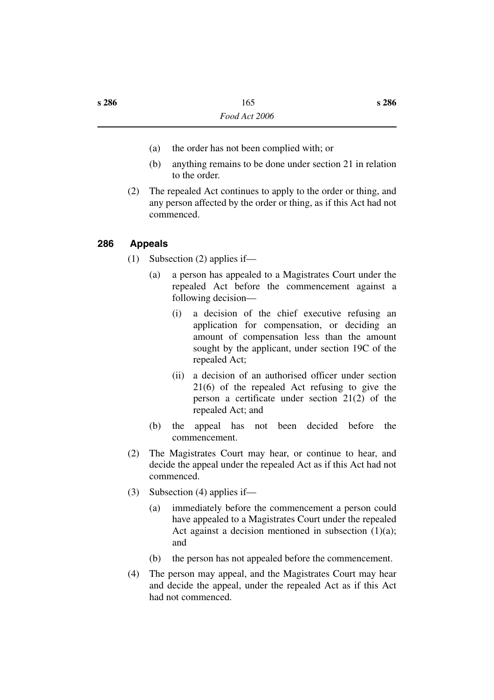- (a) the order has not been complied with; or
- (b) anything remains to be done under section 21 in relation to the order.
- (2) The repealed Act continues to apply to the order or thing, and any person affected by the order or thing, as if this Act had not commenced.

### **286 Appeals**

- (1) Subsection (2) applies if—
	- (a) a person has appealed to a Magistrates Court under the repealed Act before the commencement against a following decision—
		- (i) a decision of the chief executive refusing an application for compensation, or deciding an amount of compensation less than the amount sought by the applicant, under section 19C of the repealed Act;
		- (ii) a decision of an authorised officer under section 21(6) of the repealed Act refusing to give the person a certificate under section 21(2) of the repealed Act; and
	- (b) the appeal has not been decided before the commencement.
- (2) The Magistrates Court may hear, or continue to hear, and decide the appeal under the repealed Act as if this Act had not commenced.
- (3) Subsection (4) applies if—
	- (a) immediately before the commencement a person could have appealed to a Magistrates Court under the repealed Act against a decision mentioned in subsection  $(1)(a)$ ; and
	- (b) the person has not appealed before the commencement.
- (4) The person may appeal, and the Magistrates Court may hear and decide the appeal, under the repealed Act as if this Act had not commenced.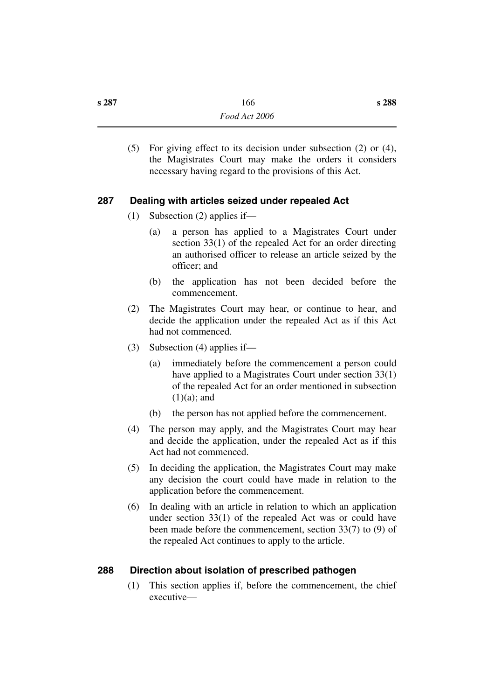(5) For giving effect to its decision under subsection (2) or (4), the Magistrates Court may make the orders it considers necessary having regard to the provisions of this Act.

### **287 Dealing with articles seized under repealed Act**

- (1) Subsection (2) applies if—
	- (a) a person has applied to a Magistrates Court under section 33(1) of the repealed Act for an order directing an authorised officer to release an article seized by the officer; and
	- (b) the application has not been decided before the commencement.
- (2) The Magistrates Court may hear, or continue to hear, and decide the application under the repealed Act as if this Act had not commenced.
- (3) Subsection (4) applies if—
	- (a) immediately before the commencement a person could have applied to a Magistrates Court under section 33(1) of the repealed Act for an order mentioned in subsection  $(1)(a)$ ; and
	- (b) the person has not applied before the commencement.
- (4) The person may apply, and the Magistrates Court may hear and decide the application, under the repealed Act as if this Act had not commenced.
- (5) In deciding the application, the Magistrates Court may make any decision the court could have made in relation to the application before the commencement.
- (6) In dealing with an article in relation to which an application under section 33(1) of the repealed Act was or could have been made before the commencement, section 33(7) to (9) of the repealed Act continues to apply to the article.

### **288 Direction about isolation of prescribed pathogen**

(1) This section applies if, before the commencement, the chief executive—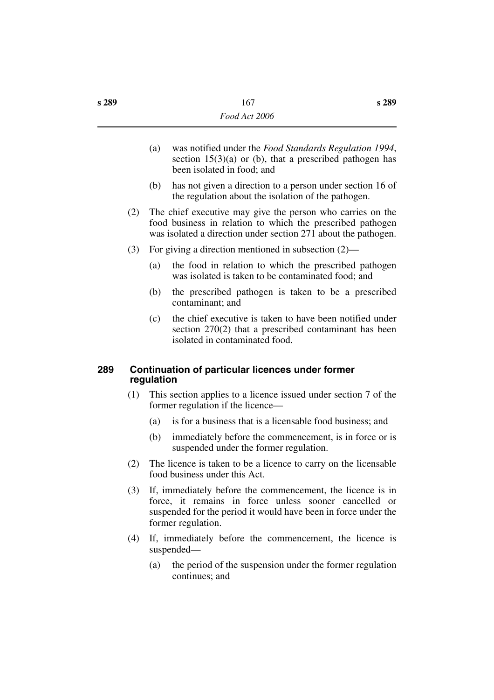- (a) was notified under the *Food Standards Regulation 1994*, section  $15(3)(a)$  or (b), that a prescribed pathogen has been isolated in food; and
- (b) has not given a direction to a person under section 16 of the regulation about the isolation of the pathogen.
- (2) The chief executive may give the person who carries on the food business in relation to which the prescribed pathogen was isolated a direction under section 271 about the pathogen.
- (3) For giving a direction mentioned in subsection (2)—
	- (a) the food in relation to which the prescribed pathogen was isolated is taken to be contaminated food; and
	- (b) the prescribed pathogen is taken to be a prescribed contaminant; and
	- (c) the chief executive is taken to have been notified under section 270(2) that a prescribed contaminant has been isolated in contaminated food.

#### **289 Continuation of particular licences under former regulation**

- (1) This section applies to a licence issued under section 7 of the former regulation if the licence—
	- (a) is for a business that is a licensable food business; and
	- (b) immediately before the commencement, is in force or is suspended under the former regulation.
- (2) The licence is taken to be a licence to carry on the licensable food business under this Act.
- (3) If, immediately before the commencement, the licence is in force, it remains in force unless sooner cancelled or suspended for the period it would have been in force under the former regulation.
- (4) If, immediately before the commencement, the licence is suspended—
	- (a) the period of the suspension under the former regulation continues; and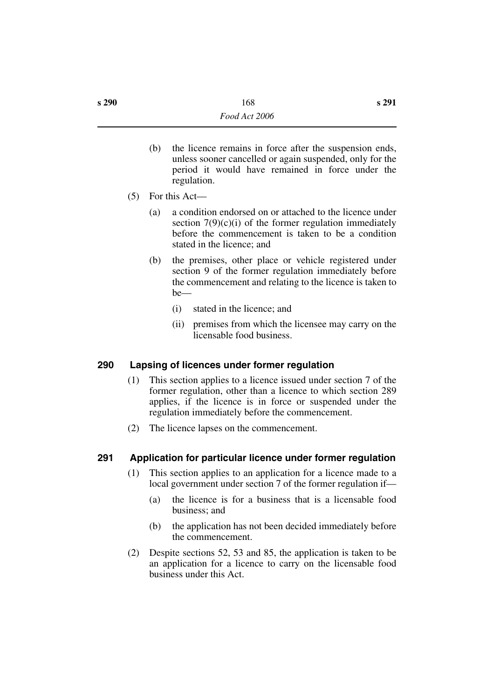- (b) the licence remains in force after the suspension ends, unless sooner cancelled or again suspended, only for the period it would have remained in force under the regulation.
- (5) For this Act—
	- (a) a condition endorsed on or attached to the licence under section  $7(9)(c)(i)$  of the former regulation immediately before the commencement is taken to be a condition stated in the licence; and
	- (b) the premises, other place or vehicle registered under section 9 of the former regulation immediately before the commencement and relating to the licence is taken to be—
		- (i) stated in the licence; and
		- (ii) premises from which the licensee may carry on the licensable food business.

### **290 Lapsing of licences under former regulation**

- (1) This section applies to a licence issued under section 7 of the former regulation, other than a licence to which section 289 applies, if the licence is in force or suspended under the regulation immediately before the commencement.
- (2) The licence lapses on the commencement.

### **291 Application for particular licence under former regulation**

- (1) This section applies to an application for a licence made to a local government under section 7 of the former regulation if—
	- (a) the licence is for a business that is a licensable food business; and
	- (b) the application has not been decided immediately before the commencement.
- (2) Despite sections 52, 53 and 85, the application is taken to be an application for a licence to carry on the licensable food business under this Act.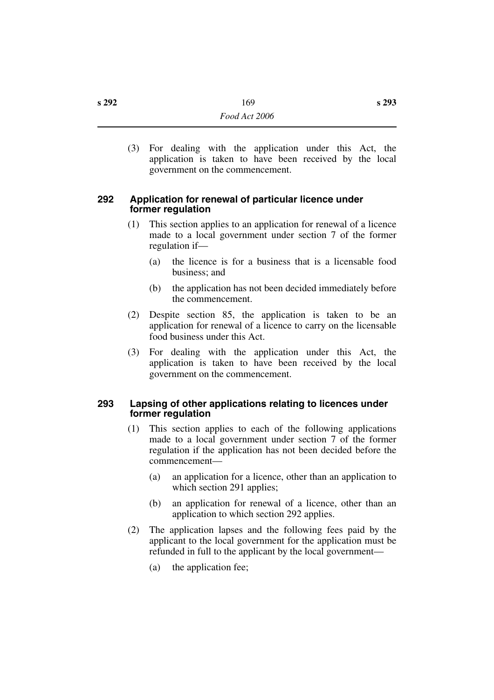(3) For dealing with the application under this Act, the application is taken to have been received by the local government on the commencement.

#### **292 Application for renewal of particular licence under former regulation**

- (1) This section applies to an application for renewal of a licence made to a local government under section 7 of the former regulation if—
	- (a) the licence is for a business that is a licensable food business; and
	- (b) the application has not been decided immediately before the commencement.
- (2) Despite section 85, the application is taken to be an application for renewal of a licence to carry on the licensable food business under this Act.
- (3) For dealing with the application under this Act, the application is taken to have been received by the local government on the commencement.

### **293 Lapsing of other applications relating to licences under former regulation**

- (1) This section applies to each of the following applications made to a local government under section 7 of the former regulation if the application has not been decided before the commencement—
	- (a) an application for a licence, other than an application to which section 291 applies;
	- (b) an application for renewal of a licence, other than an application to which section 292 applies.
- (2) The application lapses and the following fees paid by the applicant to the local government for the application must be refunded in full to the applicant by the local government—
	- (a) the application fee;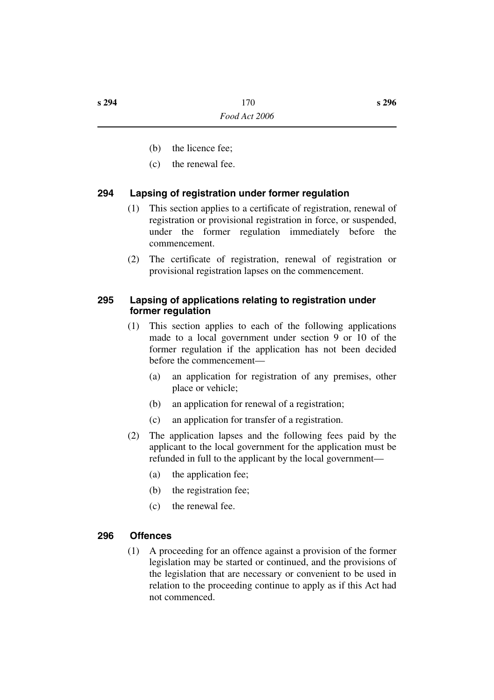- (b) the licence fee;
- (c) the renewal fee.

### **294 Lapsing of registration under former regulation**

- (1) This section applies to a certificate of registration, renewal of registration or provisional registration in force, or suspended, under the former regulation immediately before the commencement.
- (2) The certificate of registration, renewal of registration or provisional registration lapses on the commencement.

### **295 Lapsing of applications relating to registration under former regulation**

- (1) This section applies to each of the following applications made to a local government under section 9 or 10 of the former regulation if the application has not been decided before the commencement—
	- (a) an application for registration of any premises, other place or vehicle;
	- (b) an application for renewal of a registration;
	- (c) an application for transfer of a registration.
- (2) The application lapses and the following fees paid by the applicant to the local government for the application must be refunded in full to the applicant by the local government—
	- (a) the application fee;
	- (b) the registration fee;
	- (c) the renewal fee.

### **296 Offences**

(1) A proceeding for an offence against a provision of the former legislation may be started or continued, and the provisions of the legislation that are necessary or convenient to be used in relation to the proceeding continue to apply as if this Act had not commenced.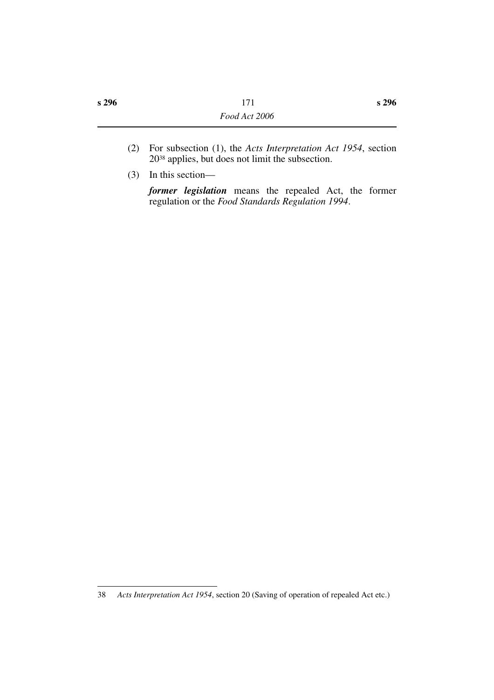- (2) For subsection (1), the *Acts Interpretation Act 1954*, section 2038 applies, but does not limit the subsection.
- (3) In this section—

*former legislation* means the repealed Act, the former regulation or the *Food Standards Regulation 1994*.

<sup>38</sup> *Acts Interpretation Act 1954*, section 20 (Saving of operation of repealed Act etc.)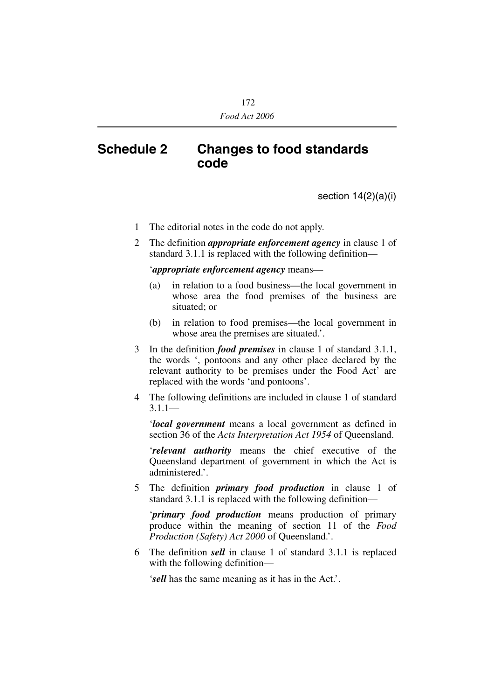# **Schedule 2 Changes to food standards code**

section  $14(2)(a)(i)$ 

- 1 The editorial notes in the code do not apply.
- 2 The definition *appropriate enforcement agency* in clause 1 of standard 3.1.1 is replaced with the following definition—

'*appropriate enforcement agency* means—

- (a) in relation to a food business—the local government in whose area the food premises of the business are situated; or
- (b) in relation to food premises—the local government in whose area the premises are situated.'.
- 3 In the definition *food premises* in clause 1 of standard 3.1.1, the words ', pontoons and any other place declared by the relevant authority to be premises under the Food Act' are replaced with the words 'and pontoons'.
- 4 The following definitions are included in clause 1 of standard  $3.1.1$ —

'*local government* means a local government as defined in section 36 of the *Acts Interpretation Act 1954* of Queensland.

'*relevant authority* means the chief executive of the Queensland department of government in which the Act is administered.'.

5 The definition *primary food production* in clause 1 of standard 3.1.1 is replaced with the following definition—

'*primary food production* means production of primary produce within the meaning of section 11 of the *Food Production (Safety) Act 2000* of Queensland.'.

6 The definition *sell* in clause 1 of standard 3.1.1 is replaced with the following definition—

'*sell* has the same meaning as it has in the Act.'.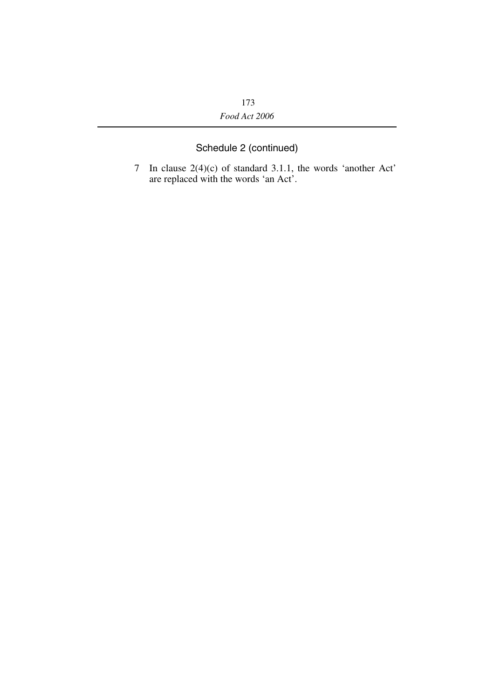7 In clause 2(4)(c) of standard 3.1.1, the words 'another Act' are replaced with the words 'an Act'.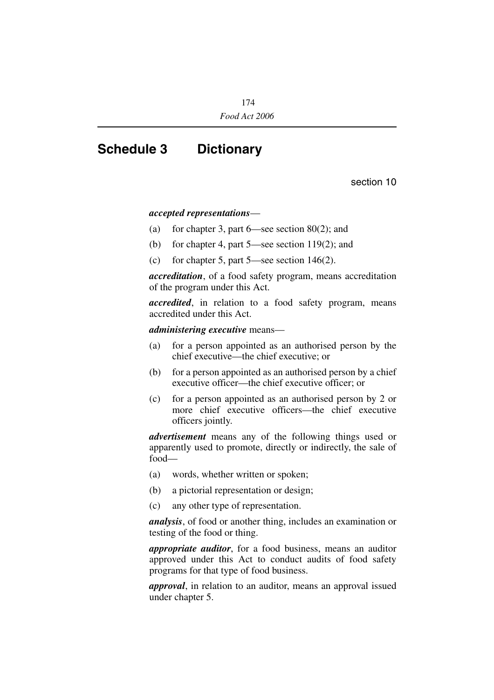# **Schedule 3 Dictionary**

section 10

#### *accepted representations*—

- (a) for chapter 3, part 6—see section 80(2); and
- (b) for chapter 4, part 5—see section 119(2); and
- (c) for chapter 5, part  $5$ —see section  $146(2)$ .

*accreditation*, of a food safety program, means accreditation of the program under this Act.

*accredited*, in relation to a food safety program, means accredited under this Act.

*administering executive* means—

- (a) for a person appointed as an authorised person by the chief executive—the chief executive; or
- (b) for a person appointed as an authorised person by a chief executive officer—the chief executive officer; or
- (c) for a person appointed as an authorised person by 2 or more chief executive officers—the chief executive officers jointly.

*advertisement* means any of the following things used or apparently used to promote, directly or indirectly, the sale of food—

- (a) words, whether written or spoken;
- (b) a pictorial representation or design;
- (c) any other type of representation.

*analysis*, of food or another thing, includes an examination or testing of the food or thing.

*appropriate auditor*, for a food business, means an auditor approved under this Act to conduct audits of food safety programs for that type of food business.

*approval*, in relation to an auditor, means an approval issued under chapter 5.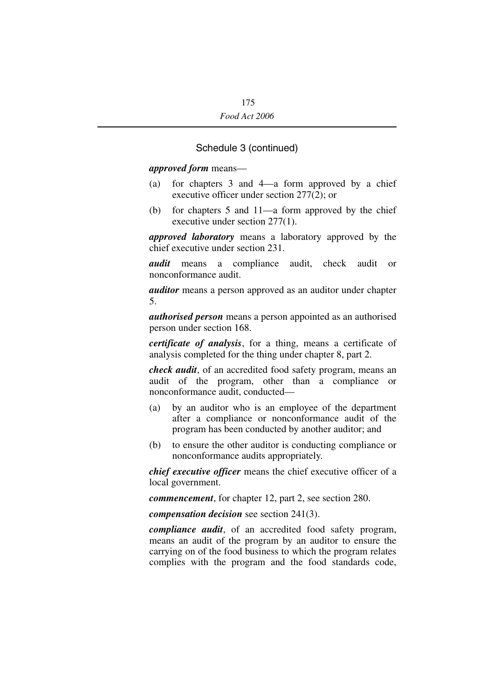#### *approved form* means—

- (a) for chapters 3 and 4—a form approved by a chief executive officer under section 277(2); or
- (b) for chapters 5 and 11—a form approved by the chief executive under section 277(1).

*approved laboratory* means a laboratory approved by the chief executive under section 231.

*audit* means a compliance audit, check audit or nonconformance audit.

*auditor* means a person approved as an auditor under chapter 5.

*authorised person* means a person appointed as an authorised person under section 168.

*certificate of analysis*, for a thing, means a certificate of analysis completed for the thing under chapter 8, part 2.

*check audit*, of an accredited food safety program, means an audit of the program, other than a compliance or nonconformance audit, conducted—

- (a) by an auditor who is an employee of the department after a compliance or nonconformance audit of the program has been conducted by another auditor; and
- (b) to ensure the other auditor is conducting compliance or nonconformance audits appropriately.

*chief executive officer* means the chief executive officer of a local government.

*commencement*, for chapter 12, part 2, see section 280.

*compensation decision* see section 241(3).

*compliance audit*, of an accredited food safety program, means an audit of the program by an auditor to ensure the carrying on of the food business to which the program relates complies with the program and the food standards code,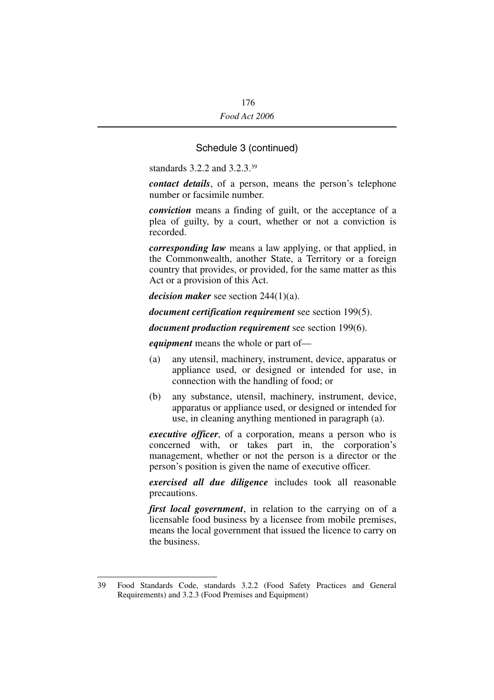standards 3.2.2 and 3.2.3.39

*contact details*, of a person, means the person's telephone number or facsimile number.

*conviction* means a finding of guilt, or the acceptance of a plea of guilty, by a court, whether or not a conviction is recorded.

*corresponding law* means a law applying, or that applied, in the Commonwealth, another State, a Territory or a foreign country that provides, or provided, for the same matter as this Act or a provision of this Act.

*decision maker* see section 244(1)(a).

*document certification requirement* see section 199(5).

*document production requirement* see section 199(6).

*equipment* means the whole or part of—

- (a) any utensil, machinery, instrument, device, apparatus or appliance used, or designed or intended for use, in connection with the handling of food; or
- (b) any substance, utensil, machinery, instrument, device, apparatus or appliance used, or designed or intended for use, in cleaning anything mentioned in paragraph (a).

*executive officer*, of a corporation, means a person who is concerned with, or takes part in, the corporation's management, whether or not the person is a director or the person's position is given the name of executive officer.

*exercised all due diligence* includes took all reasonable precautions.

*first local government*, in relation to the carrying on of a licensable food business by a licensee from mobile premises, means the local government that issued the licence to carry on the business.

<sup>39</sup> Food Standards Code, standards 3.2.2 (Food Safety Practices and General Requirements) and 3.2.3 (Food Premises and Equipment)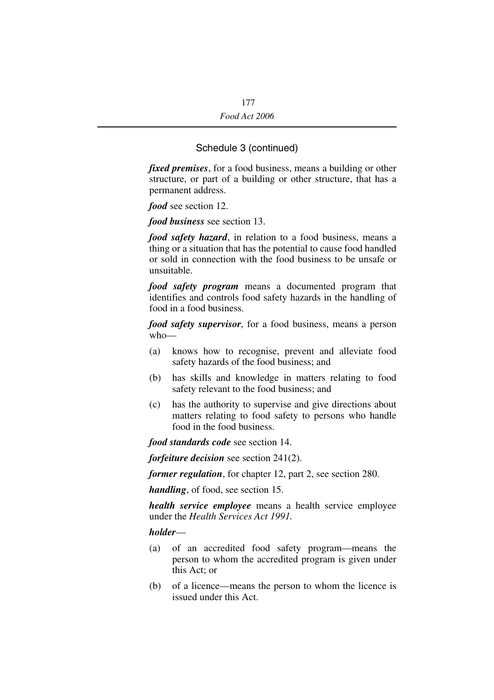*fixed premises*, for a food business, means a building or other structure, or part of a building or other structure, that has a permanent address.

*food* see section 12.

*food business* see section 13.

*food safety hazard*, in relation to a food business, means a thing or a situation that has the potential to cause food handled or sold in connection with the food business to be unsafe or unsuitable.

*food safety program* means a documented program that identifies and controls food safety hazards in the handling of food in a food business.

*food safety supervisor*, for a food business, means a person  $who$ —

- (a) knows how to recognise, prevent and alleviate food safety hazards of the food business; and
- (b) has skills and knowledge in matters relating to food safety relevant to the food business; and
- (c) has the authority to supervise and give directions about matters relating to food safety to persons who handle food in the food business.

*food standards code* see section 14.

*forfeiture decision* see section 241(2).

*former regulation*, for chapter 12, part 2, see section 280.

*handling*, of food, see section 15.

*health service employee* means a health service employee under the *Health Services Act 1991.*

*holder*—

- (a) of an accredited food safety program—means the person to whom the accredited program is given under this Act; or
- (b) of a licence—means the person to whom the licence is issued under this Act.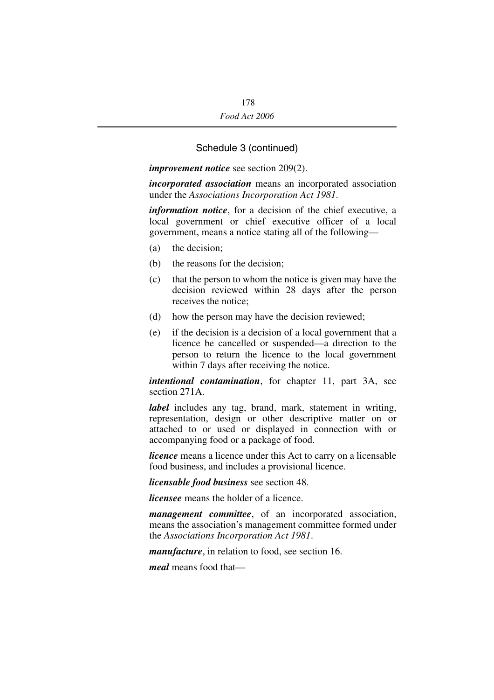*improvement notice* see section 209(2).

*incorporated association* means an incorporated association under the *Associations Incorporation Act 1981*.

*information notice*, for a decision of the chief executive, a local government or chief executive officer of a local government, means a notice stating all of the following—

- (a) the decision;
- (b) the reasons for the decision;
- (c) that the person to whom the notice is given may have the decision reviewed within 28 days after the person receives the notice;
- (d) how the person may have the decision reviewed;
- (e) if the decision is a decision of a local government that a licence be cancelled or suspended—a direction to the person to return the licence to the local government within 7 days after receiving the notice.

*intentional contamination*, for chapter 11, part 3A, see section 271A.

*label* includes any tag, brand, mark, statement in writing, representation, design or other descriptive matter on or attached to or used or displayed in connection with or accompanying food or a package of food.

*licence* means a licence under this Act to carry on a licensable food business, and includes a provisional licence.

*licensable food business* see section 48.

*licensee* means the holder of a licence.

*management committee*, of an incorporated association, means the association's management committee formed under the *Associations Incorporation Act 1981*.

*manufacture*, in relation to food, see section 16.

*meal* means food that—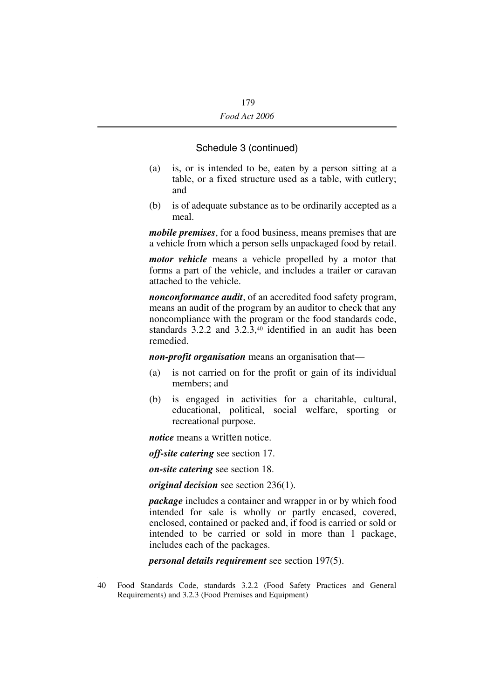- (a) is, or is intended to be, eaten by a person sitting at a table, or a fixed structure used as a table, with cutlery; and
- (b) is of adequate substance as to be ordinarily accepted as a meal.

*mobile premises*, for a food business, means premises that are a vehicle from which a person sells unpackaged food by retail.

*motor vehicle* means a vehicle propelled by a motor that forms a part of the vehicle, and includes a trailer or caravan attached to the vehicle.

*nonconformance audit*, of an accredited food safety program, means an audit of the program by an auditor to check that any noncompliance with the program or the food standards code, standards 3.2.2 and 3.2.3,<sup>40</sup> identified in an audit has been remedied.

*non-profit organisation* means an organisation that—

- (a) is not carried on for the profit or gain of its individual members; and
- (b) is engaged in activities for a charitable, cultural, educational, political, social welfare, sporting or recreational purpose.

*notice* means a written notice.

*off-site catering* see section 17.

*on-site catering* see section 18.

*original decision* see section 236(1).

*package* includes a container and wrapper in or by which food intended for sale is wholly or partly encased, covered, enclosed, contained or packed and, if food is carried or sold or intended to be carried or sold in more than 1 package, includes each of the packages.

*personal details requirement* see section 197(5).

<sup>40</sup> Food Standards Code, standards 3.2.2 (Food Safety Practices and General Requirements) and 3.2.3 (Food Premises and Equipment)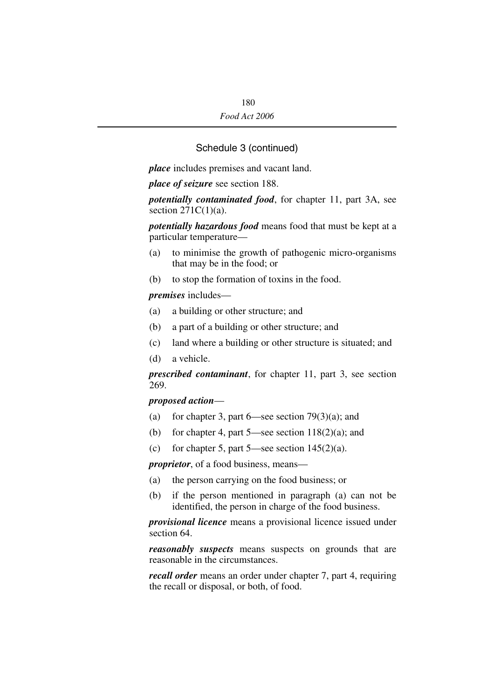*place* includes premises and vacant land.

*place of seizure* see section 188.

*potentially contaminated food*, for chapter 11, part 3A, see section  $271C(1)(a)$ .

*potentially hazardous food* means food that must be kept at a particular temperature—

- (a) to minimise the growth of pathogenic micro-organisms that may be in the food; or
- (b) to stop the formation of toxins in the food.

*premises* includes—

- (a) a building or other structure; and
- (b) a part of a building or other structure; and
- (c) land where a building or other structure is situated; and
- (d) a vehicle.

*prescribed contaminant*, for chapter 11, part 3, see section 269.

### *proposed action*—

- (a) for chapter 3, part 6—see section  $79(3)(a)$ ; and
- (b) for chapter 4, part 5—see section  $118(2)(a)$ ; and
- (c) for chapter 5, part 5—see section  $145(2)(a)$ .

*proprietor*, of a food business, means—

- (a) the person carrying on the food business; or
- (b) if the person mentioned in paragraph (a) can not be identified, the person in charge of the food business.

*provisional licence* means a provisional licence issued under section 64

*reasonably suspects* means suspects on grounds that are reasonable in the circumstances.

*recall order* means an order under chapter 7, part 4, requiring the recall or disposal, or both, of food.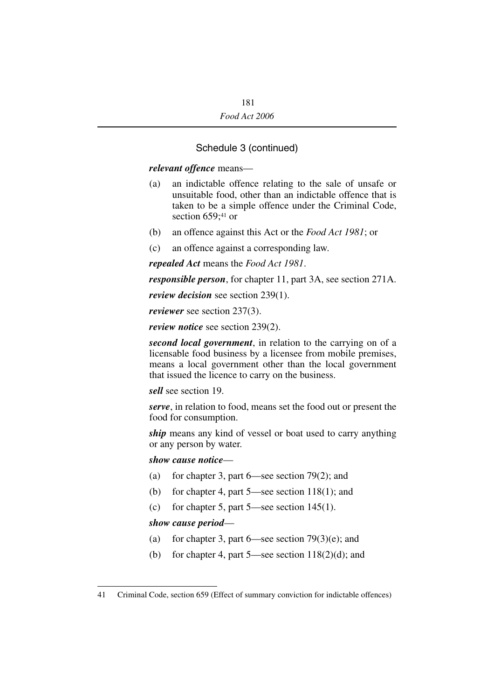#### *relevant offence* means—

- (a) an indictable offence relating to the sale of unsafe or unsuitable food, other than an indictable offence that is taken to be a simple offence under the Criminal Code, section 659;<sup>41</sup> or
- (b) an offence against this Act or the *Food Act 1981*; or
- (c) an offence against a corresponding law.

*repealed Act* means the *Food Act 1981*.

*responsible person*, for chapter 11, part 3A, see section 271A.

*review decision* see section 239(1).

*reviewer* see section 237(3).

*review notice* see section 239(2).

*second local government*, in relation to the carrying on of a licensable food business by a licensee from mobile premises, means a local government other than the local government that issued the licence to carry on the business.

*sell* see section 19.

*serve*, in relation to food, means set the food out or present the food for consumption.

*ship* means any kind of vessel or boat used to carry anything or any person by water.

### *show cause notice*—

- (a) for chapter 3, part 6—see section 79(2); and
- (b) for chapter 4, part 5—see section 118(1); and
- (c) for chapter 5, part  $5$ —see section 145(1).

### *show cause period*—

- (a) for chapter 3, part 6—see section  $79(3)(e)$ ; and
- (b) for chapter 4, part 5—see section  $118(2)(d)$ ; and

<sup>41</sup> Criminal Code, section 659 (Effect of summary conviction for indictable offences)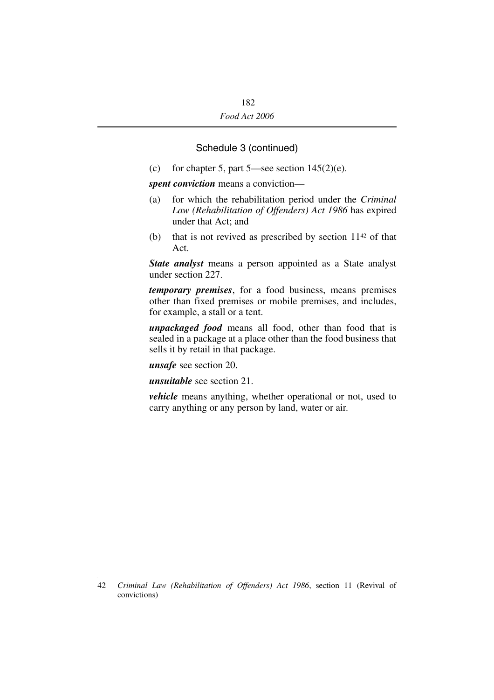(c) for chapter 5, part 5—see section  $145(2)(e)$ .

*spent conviction* means a conviction—

- (a) for which the rehabilitation period under the *Criminal Law (Rehabilitation of Offenders) Act 1986* has expired under that Act; and
- (b) that is not revived as prescribed by section  $11<sup>42</sup>$  of that Act.

*State analyst* means a person appointed as a State analyst under section 227.

*temporary premises*, for a food business, means premises other than fixed premises or mobile premises, and includes, for example, a stall or a tent.

*unpackaged food* means all food, other than food that is sealed in a package at a place other than the food business that sells it by retail in that package.

*unsafe* see section 20.

*unsuitable* see section 21.

*vehicle* means anything, whether operational or not, used to carry anything or any person by land, water or air.

<sup>42</sup> *Criminal Law (Rehabilitation of Offenders) Act 1986*, section 11 (Revival of convictions)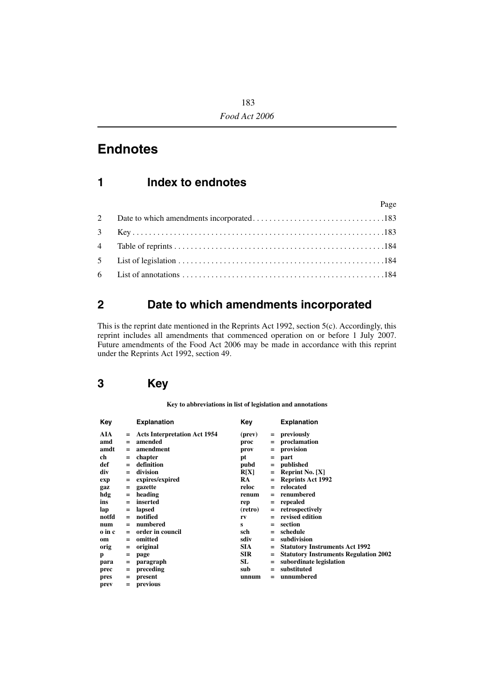# **Endnotes**

## **1 Index to endnotes**

|  | Page |
|--|------|
|  |      |
|  |      |
|  |      |
|  |      |
|  |      |

## <span id="page-184-0"></span>**2 Date to which amendments incorporated**

This is the reprint date mentioned in the Reprints Act 1992, section 5(c). Accordingly, this reprint includes all amendments that commenced operation on or before 1 July 2007. Future amendments of the Food Act 2006 may be made in accordance with this reprint under the Reprints Act 1992, section 49.

## <span id="page-184-1"></span>**3 Key**

**Key to abbreviations in list of legislation and annotations**

| Key    |     | <b>Explanation</b>                  | Key        |     | <b>Explanation</b>                           |
|--------|-----|-------------------------------------|------------|-----|----------------------------------------------|
| AIA    |     | <b>Acts Interpretation Act 1954</b> | (prev)     | $=$ | previously                                   |
| amd    | $=$ | amended                             | proc       | $=$ | proclamation                                 |
| amdt   | $=$ | amendment                           | prov       | $=$ | provision                                    |
| ch     | $=$ | chapter                             | pt         | $=$ | part                                         |
| def    | $=$ | definition                          | pubd       | $=$ | published                                    |
| div    | $=$ | division                            | R[X]       | $=$ | Reprint No. [X]                              |
| exp    | $=$ | expires/expired                     | <b>RA</b>  | $=$ | <b>Reprints Act 1992</b>                     |
| gaz    | $=$ | gazette                             | reloc      | $=$ | relocated                                    |
| hdg    | $=$ | heading                             | renum      | $=$ | renumbered                                   |
| ins    | $=$ | inserted                            | rep        | $=$ | repealed                                     |
| lap    | $=$ | lapsed                              | (retro)    | $=$ | retrospectively                              |
| notfd  | $=$ | notified                            | rv         |     | revised edition                              |
| num    | $=$ | numbered                            | s          | $=$ | section                                      |
| o in c | $=$ | order in council                    | sch        | $=$ | schedule                                     |
| om     | $=$ | omitted                             | sdiv       | $=$ | subdivision                                  |
| orig   | $=$ | original                            | <b>SIA</b> | $=$ | <b>Statutory Instruments Act 1992</b>        |
| p      | =   | page                                | <b>SIR</b> | $=$ | <b>Statutory Instruments Regulation 2002</b> |
| para   | $=$ | paragraph                           | SL         | $=$ | subordinate legislation                      |
| prec   | $=$ | preceding                           | sub        | $=$ | substituted                                  |
| pres   | $=$ | present                             | unnum      | $=$ | unnumbered                                   |
| prev   | $=$ | previous                            |            |     |                                              |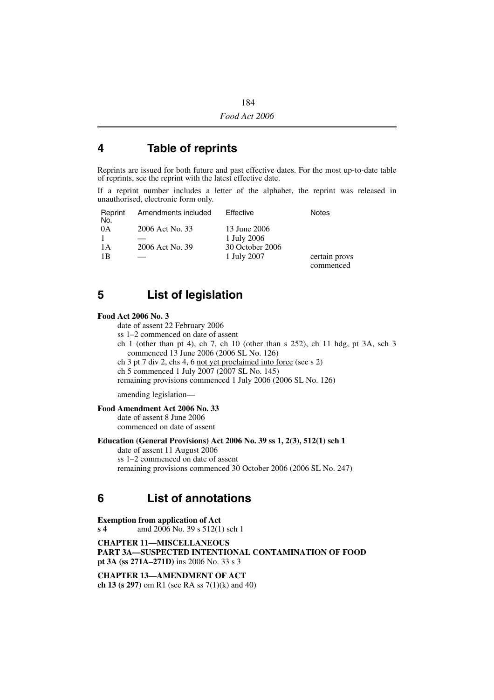## <span id="page-185-0"></span>**4 Table of reprints**

Reprints are issued for both future and past effective dates. For the most up-to-date table of reprints, see the reprint with the latest effective date.

If a reprint number includes a letter of the alphabet, the reprint was released in unauthorised, electronic form only.

| Reprint<br>No. | Amendments included | Effective       | <b>Notes</b>  |
|----------------|---------------------|-----------------|---------------|
| 0A             | 2006 Act No. 33     | 13 June 2006    |               |
|                |                     | 1 July 2006     |               |
| 1 A            | 2006 Act No. 39     | 30 October 2006 |               |
| 1 B            |                     | 1 July 2007     | certain provs |
|                |                     |                 | commenced     |

## <span id="page-185-2"></span>**5 List of legislation**

#### **Food Act 2006 No. 3**

date of assent 22 February 2006

ss 1–2 commenced on date of assent

ch 1 (other than pt 4), ch 7, ch 10 (other than s 252), ch 11 hdg, pt 3A, sch 3 commenced 13 June 2006 (2006 SL No. 126)

ch 3 pt 7 div 2, chs 4, 6 not yet proclaimed into force (see s 2)

ch 5 commenced 1 July 2007 (2007 SL No. 145)

remaining provisions commenced 1 July 2006 (2006 SL No. 126)

amending legislation—

#### **Food Amendment Act 2006 No. 33**

date of assent 8 June 2006 commenced on date of assent

#### **Education (General Provisions) Act 2006 No. 39 ss 1, 2(3), 512(1) sch 1**

date of assent 11 August 2006 ss 1–2 commenced on date of assent remaining provisions commenced 30 October 2006 (2006 SL No. 247)

## <span id="page-185-1"></span>**6 List of annotations**

**Exemption from application of Act s 4** amd 2006 No. 39 s 512(1) sch 1

**CHAPTER 11—MISCELLANEOUS PART 3A—SUSPECTED INTENTIONAL CONTAMINATION OF FOOD pt 3A (ss 271A–271D)** ins 2006 No. 33 s 3

**CHAPTER 13—AMENDMENT OF ACT ch 13 (s 297)** om R1 (see RA ss 7(1)(k) and 40)